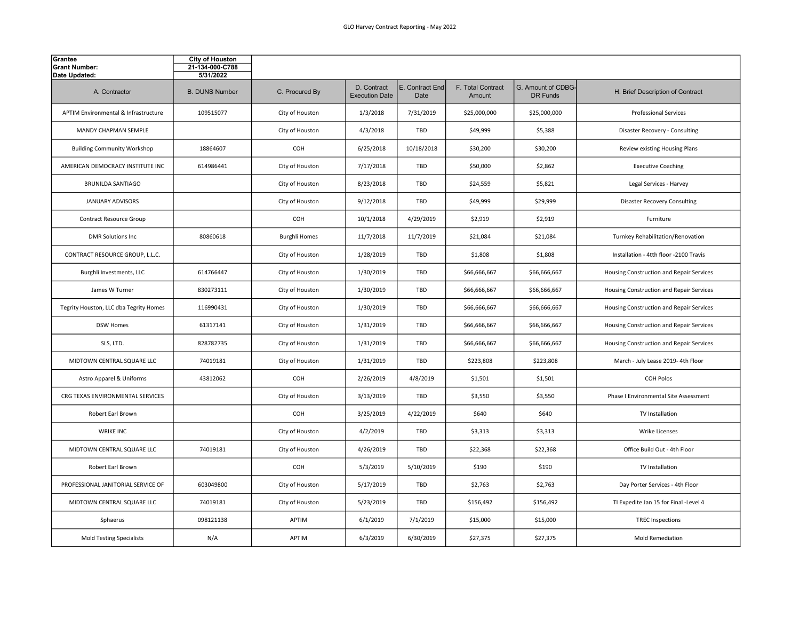| Grantee<br><b>Grant Number:</b><br>Date Updated: | <b>City of Houston</b><br>21-134-000-C788<br>5/31/2022 |                      |                                      |                         |                             |                                |                                          |
|--------------------------------------------------|--------------------------------------------------------|----------------------|--------------------------------------|-------------------------|-----------------------------|--------------------------------|------------------------------------------|
| A. Contractor                                    | <b>B. DUNS Number</b>                                  | C. Procured By       | D. Contract<br><b>Execution Date</b> | E. Contract End<br>Date | F. Total Contract<br>Amount | G. Amount of CDBG-<br>DR Funds | H. Brief Description of Contract         |
| APTIM Environmental & Infrastructure             | 109515077                                              | City of Houston      | 1/3/2018                             | 7/31/2019               | \$25,000,000                | \$25,000,000                   | <b>Professional Services</b>             |
| MANDY CHAPMAN SEMPLE                             |                                                        | City of Houston      | 4/3/2018                             | TBD                     | \$49,999                    | \$5,388                        | Disaster Recovery - Consulting           |
| <b>Building Community Workshop</b>               | 18864607                                               | <b>COH</b>           | 6/25/2018                            | 10/18/2018              | \$30,200                    | \$30,200                       | Review existing Housing Plans            |
| AMERICAN DEMOCRACY INSTITUTE INC                 | 614986441                                              | City of Houston      | 7/17/2018                            | TBD                     | \$50,000                    | \$2,862                        | <b>Executive Coaching</b>                |
| <b>BRUNILDA SANTIAGO</b>                         |                                                        | City of Houston      | 8/23/2018                            | TBD                     | \$24,559                    | \$5,821                        | Legal Services - Harvey                  |
| <b>JANUARY ADVISORS</b>                          |                                                        | City of Houston      | 9/12/2018                            | TBD                     | \$49,999                    | \$29,999                       | <b>Disaster Recovery Consulting</b>      |
| Contract Resource Group                          |                                                        | COH                  | 10/1/2018                            | 4/29/2019               | \$2,919                     | \$2,919                        | Furniture                                |
| <b>DMR Solutions Inc</b>                         | 80860618                                               | <b>Burghli Homes</b> | 11/7/2018                            | 11/7/2019               | \$21,084                    | \$21,084                       | Turnkey Rehabilitation/Renovation        |
| CONTRACT RESOURCE GROUP, L.L.C.                  |                                                        | City of Houston      | 1/28/2019                            | <b>TBD</b>              | \$1,808                     | \$1,808                        | Installation - 4tth floor -2100 Travis   |
| Burghli Investments, LLC                         | 614766447                                              | City of Houston      | 1/30/2019                            | TBD                     | \$66,666,667                | \$66,666,667                   | Housing Construction and Repair Services |
| James W Turner                                   | 830273111                                              | City of Houston      | 1/30/2019                            | <b>TBD</b>              | \$66,666,667                | \$66,666,667                   | Housing Construction and Repair Services |
| Tegrity Houston, LLC dba Tegrity Homes           | 116990431                                              | City of Houston      | 1/30/2019                            | TBD                     | \$66,666,667                | \$66,666,667                   | Housing Construction and Repair Services |
| <b>DSW Homes</b>                                 | 61317141                                               | City of Houston      | 1/31/2019                            | TBD                     | \$66,666,667                | \$66,666,667                   | Housing Construction and Repair Services |
| SLS, LTD.                                        | 828782735                                              | City of Houston      | 1/31/2019                            | TBD                     | \$66,666,667                | \$66,666,667                   | Housing Construction and Repair Services |
| MIDTOWN CENTRAL SQUARE LLC                       | 74019181                                               | City of Houston      | 1/31/2019                            | <b>TBD</b>              | \$223,808                   | \$223,808                      | March - July Lease 2019- 4th Floor       |
| Astro Apparel & Uniforms                         | 43812062                                               | COH                  | 2/26/2019                            | 4/8/2019                | \$1,501                     | \$1,501                        | <b>COH Polos</b>                         |
| CRG TEXAS ENVIRONMENTAL SERVICES                 |                                                        | City of Houston      | 3/13/2019                            | <b>TBD</b>              | \$3,550                     | \$3,550                        | Phase I Environmental Site Assessment    |
| Robert Earl Brown                                |                                                        | COH                  | 3/25/2019                            | 4/22/2019               | \$640                       | \$640                          | TV Installation                          |
| <b>WRIKE INC</b>                                 |                                                        | City of Houston      | 4/2/2019                             | TBD                     | \$3,313                     | \$3,313                        | <b>Wrike Licenses</b>                    |
| MIDTOWN CENTRAL SQUARE LLC                       | 74019181                                               | City of Houston      | 4/26/2019                            | <b>TBD</b>              | \$22,368                    | \$22,368                       | Office Build Out - 4th Floor             |
| Robert Earl Brown                                |                                                        | <b>COH</b>           | 5/3/2019                             | 5/10/2019               | \$190                       | \$190                          | TV Installation                          |
| PROFESSIONAL JANITORIAL SERVICE OF               | 603049800                                              | City of Houston      | 5/17/2019                            | TBD                     | \$2,763                     | \$2,763                        | Day Porter Services - 4th Floor          |
| MIDTOWN CENTRAL SQUARE LLC                       | 74019181                                               | City of Houston      | 5/23/2019                            | TBD                     | \$156,492                   | \$156,492                      | TI Expedite Jan 15 for Final -Level 4    |
| Sphaerus                                         | 098121138                                              | APTIM                | 6/1/2019                             | 7/1/2019                | \$15,000                    | \$15,000                       | <b>TREC Inspections</b>                  |
| <b>Mold Testing Specialists</b>                  | N/A                                                    | APTIM                | 6/3/2019                             | 6/30/2019               | \$27,375                    | \$27,375                       | Mold Remediation                         |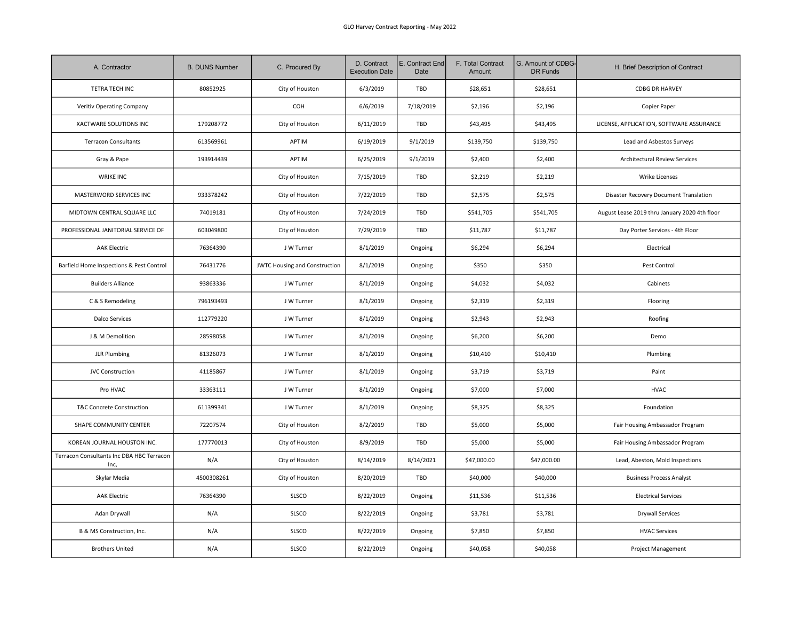| A. Contractor                                     | <b>B. DUNS Number</b> | C. Procured By                       | D. Contract<br><b>Execution Date</b> | E. Contract End<br>Date | F. Total Contract<br>Amount | G. Amount of CDBG-<br>DR Funds | H. Brief Description of Contract              |
|---------------------------------------------------|-----------------------|--------------------------------------|--------------------------------------|-------------------------|-----------------------------|--------------------------------|-----------------------------------------------|
| TETRA TECH INC                                    | 80852925              | City of Houston                      | 6/3/2019                             | TBD                     | \$28,651                    | \$28,651                       | <b>CDBG DR HARVEY</b>                         |
| Veritiv Operating Company                         |                       | COH                                  | 6/6/2019                             | 7/18/2019               | \$2,196                     | \$2,196                        | Copier Paper                                  |
| XACTWARE SOLUTIONS INC                            | 179208772             | City of Houston                      | 6/11/2019                            | TBD                     | \$43,495                    | \$43,495                       | LICENSE, APPLICATION, SOFTWARE ASSURANCE      |
| <b>Terracon Consultants</b>                       | 613569961             | <b>APTIM</b>                         | 6/19/2019                            | 9/1/2019                | \$139,750                   | \$139,750                      | Lead and Asbestos Surveys                     |
| Gray & Pape                                       | 193914439             | APTIM                                | 6/25/2019                            | 9/1/2019                | \$2,400                     | \$2,400                        | Architectural Review Services                 |
| <b>WRIKE INC</b>                                  |                       | City of Houston                      | 7/15/2019                            | TBD                     | \$2,219                     | \$2,219                        | Wrike Licenses                                |
| MASTERWORD SERVICES INC                           | 933378242             | City of Houston                      | 7/22/2019                            | TBD                     | \$2,575                     | \$2,575                        | Disaster Recovery Document Translation        |
| MIDTOWN CENTRAL SQUARE LLC                        | 74019181              | City of Houston                      | 7/24/2019                            | TBD                     | \$541,705                   | \$541,705                      | August Lease 2019 thru January 2020 4th floor |
| PROFESSIONAL JANITORIAL SERVICE OF                | 603049800             | City of Houston                      | 7/29/2019                            | TBD                     | \$11,787                    | \$11,787                       | Day Porter Services - 4th Floor               |
| <b>AAK Electric</b>                               | 76364390              | J W Turner                           | 8/1/2019                             | Ongoing                 | \$6,294                     | \$6,294                        | Electrical                                    |
| Barfield Home Inspections & Pest Control          | 76431776              | <b>JWTC Housing and Construction</b> | 8/1/2019                             | Ongoing                 | \$350                       | \$350                          | Pest Control                                  |
| <b>Builders Alliance</b>                          | 93863336              | J W Turner                           | 8/1/2019                             | Ongoing                 | \$4,032                     | \$4,032                        | Cabinets                                      |
| C & S Remodeling                                  | 796193493             | J W Turner                           | 8/1/2019                             | Ongoing                 | \$2,319                     | \$2,319                        | Flooring                                      |
| <b>Dalco Services</b>                             | 112779220             | J W Turner                           | 8/1/2019                             | Ongoing                 | \$2,943                     | \$2,943                        | Roofing                                       |
| J & M Demolition                                  | 28598058              | J W Turner                           | 8/1/2019                             | Ongoing                 | \$6,200                     | \$6,200                        | Demo                                          |
| <b>JLR Plumbing</b>                               | 81326073              | J W Turner                           | 8/1/2019                             | Ongoing                 | \$10,410                    | \$10,410                       | Plumbing                                      |
| <b>JVC Construction</b>                           | 41185867              | J W Turner                           | 8/1/2019                             | Ongoing                 | \$3,719                     | \$3,719                        | Paint                                         |
| Pro HVAC                                          | 33363111              | J W Turner                           | 8/1/2019                             | Ongoing                 | \$7,000                     | \$7,000                        | <b>HVAC</b>                                   |
| <b>T&amp;C Concrete Construction</b>              | 611399341             | J W Turner                           | 8/1/2019                             | Ongoing                 | \$8,325                     | \$8,325                        | Foundation                                    |
| SHAPE COMMUNITY CENTER                            | 72207574              | City of Houston                      | 8/2/2019                             | TBD                     | \$5,000                     | \$5,000                        | Fair Housing Ambassador Program               |
| KOREAN JOURNAL HOUSTON INC.                       | 177770013             | City of Houston                      | 8/9/2019                             | TBD                     | \$5,000                     | \$5,000                        | Fair Housing Ambassador Program               |
| Terracon Consultants Inc DBA HBC Terracon<br>Inc, | N/A                   | City of Houston                      | 8/14/2019                            | 8/14/2021               | \$47,000.00                 | \$47,000.00                    | Lead, Abeston, Mold Inspections               |
| Skylar Media                                      | 4500308261            | City of Houston                      | 8/20/2019                            | TBD                     | \$40,000                    | \$40,000                       | <b>Business Process Analyst</b>               |
| <b>AAK Electric</b>                               | 76364390              | SLSCO                                | 8/22/2019                            | Ongoing                 | \$11,536                    | \$11,536                       | <b>Electrical Services</b>                    |
| Adan Drywall                                      | N/A                   | SLSCO                                | 8/22/2019                            | Ongoing                 | \$3,781                     | \$3,781                        | <b>Drywall Services</b>                       |
| B & MS Construction, Inc.                         | N/A                   | SLSCO                                | 8/22/2019                            | Ongoing                 | \$7,850                     | \$7,850                        | <b>HVAC Services</b>                          |
| <b>Brothers United</b>                            | N/A                   | SLSCO                                | 8/22/2019                            | Ongoing                 | \$40,058                    | \$40,058                       | <b>Project Management</b>                     |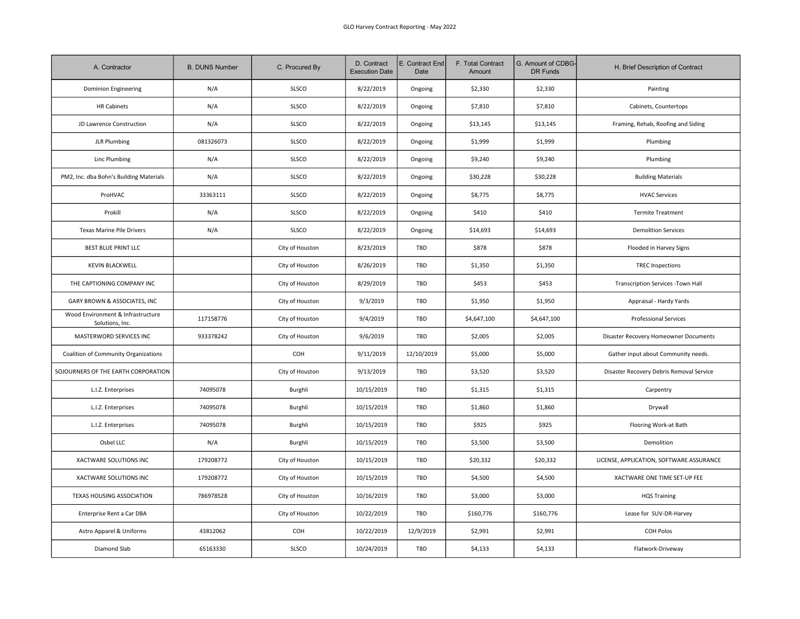| A. Contractor                                        | <b>B. DUNS Number</b> | C. Procured By  | D. Contract<br><b>Execution Date</b> | E. Contract End<br>Date | F. Total Contract<br>Amount | G. Amount of CDBG-<br>DR Funds | H. Brief Description of Contract         |
|------------------------------------------------------|-----------------------|-----------------|--------------------------------------|-------------------------|-----------------------------|--------------------------------|------------------------------------------|
| <b>Dominion Engineering</b>                          | N/A                   | <b>SLSCO</b>    | 8/22/2019                            | Ongoing                 | \$2,330                     | \$2,330                        | Painting                                 |
| <b>HR Cabinets</b>                                   | N/A                   | SLSCO           | 8/22/2019                            | Ongoing                 | \$7,810                     | \$7,810                        | Cabinets, Countertops                    |
| JD Lawrence Construction                             | N/A                   | SLSCO           | 8/22/2019                            | Ongoing                 | \$13,145                    | \$13,145                       | Framing, Rehab, Roofing and Siding       |
| <b>JLR Plumbing</b>                                  | 081326073             | <b>SLSCO</b>    | 8/22/2019                            | Ongoing                 | \$1,999                     | \$1,999                        | Plumbing                                 |
| Linc Plumbing                                        | N/A                   | SLSCO           | 8/22/2019                            | Ongoing                 | \$9,240                     | \$9,240                        | Plumbing                                 |
| PM2, Inc. dba Bohn's Building Materials              | N/A                   | SLSCO           | 8/22/2019                            | Ongoing                 | \$30,228                    | \$30,228                       | <b>Building Materials</b>                |
| ProHVAC                                              | 33363111              | <b>SLSCO</b>    | 8/22/2019                            | Ongoing                 | \$8,775                     | \$8,775                        | <b>HVAC Services</b>                     |
| Prokill                                              | N/A                   | SLSCO           | 8/22/2019                            | Ongoing                 | \$410                       | \$410                          | <b>Termite Treatment</b>                 |
| <b>Texas Marine Pile Drivers</b>                     | N/A                   | SLSCO           | 8/22/2019                            | Ongoing                 | \$14,693                    | \$14,693                       | <b>Demolition Services</b>               |
| <b>BEST BLUE PRINT LLC</b>                           |                       | City of Houston | 8/23/2019                            | TBD                     | \$878                       | \$878                          | Flooded in Harvey Signs                  |
| <b>KEVIN BLACKWELL</b>                               |                       | City of Houston | 8/26/2019                            | TBD                     | \$1,350                     | \$1,350                        | <b>TREC Inspections</b>                  |
| THE CAPTIONING COMPANY INC                           |                       | City of Houston | 8/29/2019                            | TBD                     | \$453                       | \$453                          | Transcription Services - Town Hall       |
| GARY BROWN & ASSOCIATES, INC                         |                       | City of Houston | 9/3/2019                             | TBD                     | \$1,950                     | \$1,950                        | Appraisal - Hardy Yards                  |
| Wood Environment & Infrastructure<br>Solutions, Inc. | 117158776             | City of Houston | 9/4/2019                             | <b>TBD</b>              | \$4,647,100                 | \$4,647,100                    | <b>Professional Services</b>             |
| MASTERWORD SERVICES INC                              | 933378242             | City of Houston | 9/6/2019                             | TBD                     | \$2,005                     | \$2,005                        | Disaster Recovery Homeowner Documents    |
| Coalition of Community Organizations                 |                       | COH             | 9/11/2019                            | 12/10/2019              | \$5,000                     | \$5,000                        | Gather input about Community needs.      |
| SOJOURNERS OF THE EARTH CORPORATION                  |                       | City of Houston | 9/13/2019                            | TBD                     | \$3,520                     | \$3,520                        | Disaster Recovery Debris Removal Service |
| L.I.Z. Enterprises                                   | 74095078              | Burghli         | 10/15/2019                           | TBD                     | \$1,315                     | \$1,315                        | Carpentry                                |
| L.I.Z. Enterprises                                   | 74095078              | Burghli         | 10/15/2019                           | TBD                     | \$1,860                     | \$1,860                        | Drywall                                  |
| L.I.Z. Enterprises                                   | 74095078              | Burghli         | 10/15/2019                           | TBD                     | \$925                       | \$925                          | Flooring Work-at Bath                    |
| Osbel LLC                                            | N/A                   | Burghli         | 10/15/2019                           | TBD                     | \$3,500                     | \$3,500                        | Demolition                               |
| XACTWARE SOLUTIONS INC                               | 179208772             | City of Houston | 10/15/2019                           | TBD                     | \$20,332                    | \$20,332                       | LICENSE, APPLICATION, SOFTWARE ASSURANCE |
| XACTWARE SOLUTIONS INC                               | 179208772             | City of Houston | 10/15/2019                           | TBD                     | \$4,500                     | \$4,500                        | XACTWARE ONE TIME SET-UP FEE             |
| TEXAS HOUSING ASSOCIATION                            | 786978528             | City of Houston | 10/16/2019                           | TBD                     | \$3,000                     | \$3,000                        | <b>HQS Training</b>                      |
| Enterprise Rent a Car DBA                            |                       | City of Houston | 10/22/2019                           | <b>TBD</b>              | \$160,776                   | \$160,776                      | Lease for SUV-DR-Harvey                  |
| Astro Apparel & Uniforms                             | 43812062              | COH             | 10/22/2019                           | 12/9/2019               | \$2,991                     | \$2,991                        | <b>COH Polos</b>                         |
| Diamond Slab                                         | 65163330              | SLSCO           | 10/24/2019                           | TBD                     | \$4,133                     | \$4,133                        | Flatwork-Driveway                        |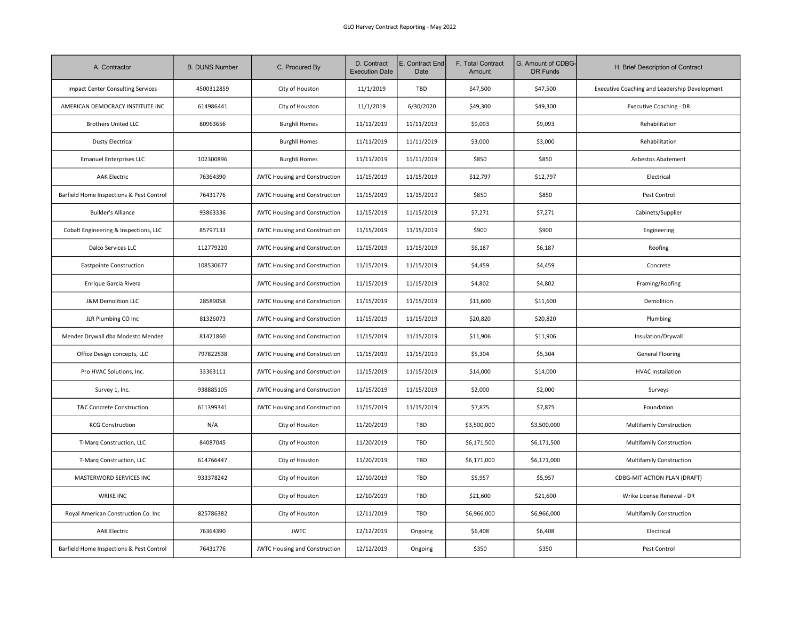| A. Contractor                            | <b>B. DUNS Number</b> | C. Procured By                       | D. Contract<br><b>Execution Date</b> | E. Contract End<br>Date | F. Total Contract<br>Amount | G. Amount of CDBG-<br>DR Funds | H. Brief Description of Contract              |
|------------------------------------------|-----------------------|--------------------------------------|--------------------------------------|-------------------------|-----------------------------|--------------------------------|-----------------------------------------------|
| Impact Center Consulting Services        | 4500312859            | City of Houston                      | 11/1/2019                            | <b>TBD</b>              | \$47,500                    | \$47,500                       | Executive Coaching and Leadership Development |
| AMERICAN DEMOCRACY INSTITUTE INC         | 614986441             | City of Houston                      | 11/1/2019                            | 6/30/2020               | \$49,300                    | \$49,300                       | Executive Coaching - DR                       |
| <b>Brothers United LLC</b>               | 80963656              | <b>Burghli Homes</b>                 | 11/11/2019                           | 11/11/2019              | \$9,093                     | \$9,093                        | Rehabilitation                                |
| <b>Dusty Electrical</b>                  |                       | <b>Burghli Homes</b>                 | 11/11/2019                           | 11/11/2019              | \$3,000                     | \$3,000                        | Rehabilitation                                |
| <b>Emanuel Enterprises LLC</b>           | 102300896             | <b>Burghli Homes</b>                 | 11/11/2019                           | 11/11/2019              | \$850                       | \$850                          | Asbestos Abatement                            |
| <b>AAK Electric</b>                      | 76364390              | <b>JWTC Housing and Construction</b> | 11/15/2019                           | 11/15/2019              | \$12,797                    | \$12,797                       | Electrical                                    |
| Barfield Home Inspections & Pest Control | 76431776              | <b>JWTC Housing and Construction</b> | 11/15/2019                           | 11/15/2019              | \$850                       | \$850                          | Pest Control                                  |
| <b>Builder's Alliance</b>                | 93863336              | <b>JWTC Housing and Construction</b> | 11/15/2019                           | 11/15/2019              | \$7,271                     | \$7,271                        | Cabinets/Supplier                             |
| Cobalt Engineering & Inspections, LLC    | 85797133              | <b>JWTC Housing and Construction</b> | 11/15/2019                           | 11/15/2019              | \$900                       | \$900                          | Engineering                                   |
| Dalco Services LLC                       | 112779220             | <b>JWTC Housing and Construction</b> | 11/15/2019                           | 11/15/2019              | \$6,187                     | \$6,187                        | Roofing                                       |
| <b>Eastpointe Construction</b>           | 108530677             | <b>JWTC Housing and Construction</b> | 11/15/2019                           | 11/15/2019              | \$4,459                     | \$4,459                        | Concrete                                      |
| Enrique Garcia Rivera                    |                       | JWTC Housing and Construction        | 11/15/2019                           | 11/15/2019              | \$4,802                     | \$4,802                        | Framing/Roofing                               |
| J&M Demolition LLC                       | 28589058              | JWTC Housing and Construction        | 11/15/2019                           | 11/15/2019              | \$11,600                    | \$11,600                       | Demolition                                    |
| JLR Plumbing CO Inc                      | 81326073              | JWTC Housing and Construction        | 11/15/2019                           | 11/15/2019              | \$20,820                    | \$20,820                       | Plumbing                                      |
| Mendez Drywall dba Modesto Mendez        | 81421860              | <b>JWTC Housing and Construction</b> | 11/15/2019                           | 11/15/2019              | \$11,906                    | \$11,906                       | Insulation/Drywall                            |
| Office Design concepts, LLC              | 797822538             | JWTC Housing and Construction        | 11/15/2019                           | 11/15/2019              | \$5,304                     | \$5,304                        | <b>General Flooring</b>                       |
| Pro HVAC Solutions, Inc.                 | 33363111              | JWTC Housing and Construction        | 11/15/2019                           | 11/15/2019              | \$14,000                    | \$14,000                       | <b>HVAC Installation</b>                      |
| Survey 1, Inc.                           | 938885105             | JWTC Housing and Construction        | 11/15/2019                           | 11/15/2019              | \$2,000                     | \$2,000                        | Surveys                                       |
| T&C Concrete Construction                | 611399341             | <b>JWTC Housing and Construction</b> | 11/15/2019                           | 11/15/2019              | \$7,875                     | \$7,875                        | Foundation                                    |
| <b>KCG Construction</b>                  | N/A                   | City of Houston                      | 11/20/2019                           | TBD                     | \$3,500,000                 | \$3,500,000                    | <b>Multifamily Construction</b>               |
| T-Marq Construction, LLC                 | 84087045              | City of Houston                      | 11/20/2019                           | TBD                     | \$6,171,500                 | \$6,171,500                    | Multifamily Construction                      |
| T-Marq Construction, LLC                 | 614766447             | City of Houston                      | 11/20/2019                           | TBD                     | \$6,171,000                 | \$6,171,000                    | <b>Multifamily Construction</b>               |
| MASTERWORD SERVICES INC                  | 933378242             | City of Houston                      | 12/10/2019                           | TBD                     | \$5,957                     | \$5,957                        | CDBG-MIT ACTION PLAN (DRAFT)                  |
| <b>WRIKE INC</b>                         |                       | City of Houston                      | 12/10/2019                           | TBD                     | \$21,600                    | \$21,600                       | Wrike License Renewal - DR                    |
| Royal American Construction Co. Inc      | 825786382             | City of Houston                      | 12/11/2019                           | <b>TBD</b>              | \$6,966,000                 | \$6,966,000                    | Multifamily Construction                      |
| <b>AAK Electric</b>                      | 76364390              | <b>JWTC</b>                          | 12/12/2019                           | Ongoing                 | \$6,408                     | \$6,408                        | Electrical                                    |
| Barfield Home Inspections & Pest Control | 76431776              | <b>JWTC Housing and Construction</b> | 12/12/2019                           | Ongoing                 | \$350                       | \$350                          | Pest Control                                  |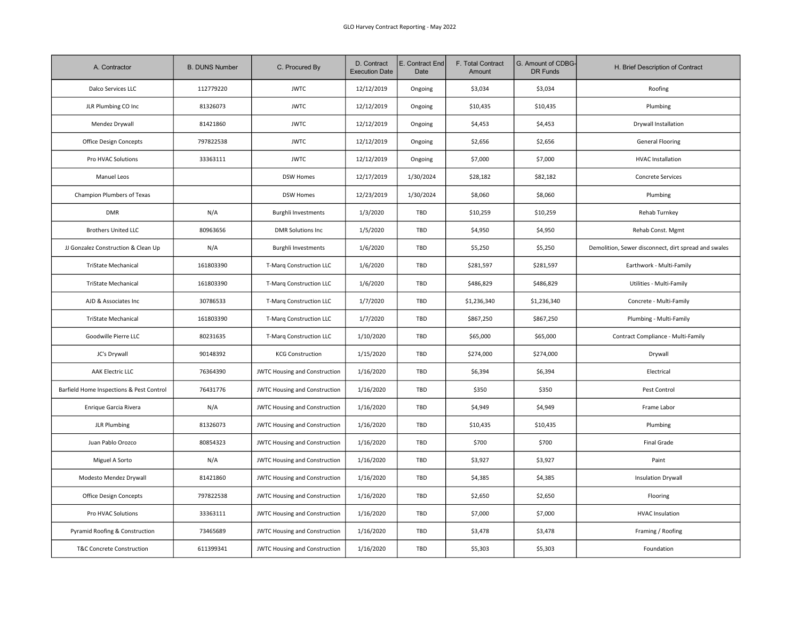| A. Contractor                            | <b>B. DUNS Number</b> | C. Procured By                       | D. Contract<br><b>Execution Date</b> | E. Contract End<br>Date | F. Total Contract<br>Amount | G. Amount of CDBG-<br>DR Funds | H. Brief Description of Contract                     |
|------------------------------------------|-----------------------|--------------------------------------|--------------------------------------|-------------------------|-----------------------------|--------------------------------|------------------------------------------------------|
| Dalco Services LLC                       | 112779220             | <b>JWTC</b>                          | 12/12/2019                           | Ongoing                 | \$3,034                     | \$3,034                        | Roofing                                              |
| JLR Plumbing CO Inc                      | 81326073              | <b>JWTC</b>                          | 12/12/2019                           | Ongoing                 | \$10,435                    | \$10,435                       | Plumbing                                             |
| Mendez Drywall                           | 81421860              | <b>JWTC</b>                          | 12/12/2019                           | Ongoing                 | \$4,453                     | \$4,453                        | Drywall Installation                                 |
| Office Design Concepts                   | 797822538             | <b>JWTC</b>                          | 12/12/2019                           | Ongoing                 | \$2,656                     | \$2,656                        | <b>General Flooring</b>                              |
| Pro HVAC Solutions                       | 33363111              | <b>JWTC</b>                          | 12/12/2019                           | Ongoing                 | \$7,000                     | \$7,000                        | <b>HVAC Installation</b>                             |
| Manuel Leos                              |                       | <b>DSW Homes</b>                     | 12/17/2019                           | 1/30/2024               | \$28,182                    | \$82,182                       | Concrete Services                                    |
| Champion Plumbers of Texas               |                       | <b>DSW Homes</b>                     | 12/23/2019                           | 1/30/2024               | \$8,060                     | \$8,060                        | Plumbing                                             |
| <b>DMR</b>                               | N/A                   | <b>Burghli Investments</b>           | 1/3/2020                             | TBD                     | \$10,259                    | \$10,259                       | Rehab Turnkey                                        |
| <b>Brothers United LLC</b>               | 80963656              | <b>DMR Solutions Inc</b>             | 1/5/2020                             | TBD                     | \$4,950                     | \$4,950                        | Rehab Const. Mgmt                                    |
| JJ Gonzalez Construction & Clean Up      | N/A                   | <b>Burghli Investments</b>           | 1/6/2020                             | TBD                     | \$5,250                     | \$5,250                        | Demolition, Sewer disconnect, dirt spread and swales |
| <b>TriState Mechanical</b>               | 161803390             | T-Marq Construction LLC              | 1/6/2020                             | TBD                     | \$281,597                   | \$281,597                      | Earthwork - Multi-Family                             |
| TriState Mechanical                      | 161803390             | T-Marq Construction LLC              | 1/6/2020                             | TBD                     | \$486,829                   | \$486,829                      | Utilities - Multi-Family                             |
| AJD & Associates Inc                     | 30786533              | <b>T-Marg Construction LLC</b>       | 1/7/2020                             | TBD                     | \$1,236,340                 | \$1,236,340                    | Concrete - Multi-Family                              |
| <b>TriState Mechanical</b>               | 161803390             | T-Marq Construction LLC              | 1/7/2020                             | TBD                     | \$867,250                   | \$867,250                      | Plumbing - Multi-Family                              |
| Goodwille Pierre LLC                     | 80231635              | <b>T-Marq Construction LLC</b>       | 1/10/2020                            | TBD                     | \$65,000                    | \$65,000                       | Contract Compliance - Multi-Family                   |
| JC's Drywall                             | 90148392              | <b>KCG Construction</b>              | 1/15/2020                            | TBD                     | \$274,000                   | \$274,000                      | Drywall                                              |
| <b>AAK Electric LLC</b>                  | 76364390              | <b>JWTC Housing and Construction</b> | 1/16/2020                            | TBD                     | \$6,394                     | \$6,394                        | Electrical                                           |
| Barfield Home Inspections & Pest Control | 76431776              | JWTC Housing and Construction        | 1/16/2020                            | TBD                     | \$350                       | \$350                          | Pest Control                                         |
| Enrique Garcia Rivera                    | N/A                   | JWTC Housing and Construction        | 1/16/2020                            | TBD                     | \$4,949                     | \$4,949                        | Frame Labor                                          |
| <b>JLR Plumbing</b>                      | 81326073              | <b>JWTC Housing and Construction</b> | 1/16/2020                            | TBD                     | \$10,435                    | \$10,435                       | Plumbing                                             |
| Juan Pablo Orozco                        | 80854323              | <b>JWTC Housing and Construction</b> | 1/16/2020                            | TBD                     | \$700                       | \$700                          | <b>Final Grade</b>                                   |
| Miguel A Sorto                           | N/A                   | JWTC Housing and Construction        | 1/16/2020                            | TBD                     | \$3,927                     | \$3,927                        | Paint                                                |
| Modesto Mendez Drywall                   | 81421860              | <b>JWTC Housing and Construction</b> | 1/16/2020                            | TBD                     | \$4,385                     | \$4,385                        | <b>Insulation Drywall</b>                            |
| Office Design Concepts                   | 797822538             | <b>JWTC Housing and Construction</b> | 1/16/2020                            | TBD                     | \$2,650                     | \$2,650                        | Flooring                                             |
| Pro HVAC Solutions                       | 33363111              | <b>JWTC Housing and Construction</b> | 1/16/2020                            | TBD                     | \$7,000                     | \$7,000                        | <b>HVAC Insulation</b>                               |
| Pyramid Roofing & Construction           | 73465689              | <b>JWTC Housing and Construction</b> | 1/16/2020                            | TBD                     | \$3,478                     | \$3,478                        | Framing / Roofing                                    |
| <b>T&amp;C Concrete Construction</b>     | 611399341             | JWTC Housing and Construction        | 1/16/2020                            | TBD                     | \$5,303                     | \$5,303                        | Foundation                                           |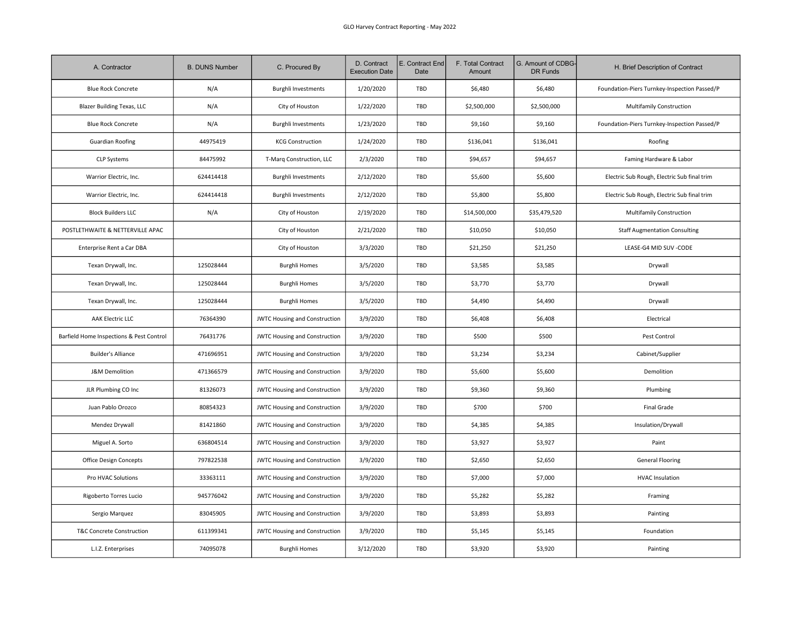| A. Contractor                            | <b>B. DUNS Number</b> | C. Procured By                       | D. Contract<br><b>Execution Date</b> | E. Contract End<br>Date | F. Total Contract<br>Amount | G. Amount of CDBG-<br>DR Funds | H. Brief Description of Contract             |
|------------------------------------------|-----------------------|--------------------------------------|--------------------------------------|-------------------------|-----------------------------|--------------------------------|----------------------------------------------|
| <b>Blue Rock Concrete</b>                | N/A                   | <b>Burghli Investments</b>           | 1/20/2020                            | TBD                     | \$6,480                     | \$6,480                        | Foundation-Piers Turnkey-Inspection Passed/P |
| <b>Blazer Building Texas, LLC</b>        | N/A                   | City of Houston                      | 1/22/2020                            | TBD                     | \$2,500,000                 | \$2,500,000                    | Multifamily Construction                     |
| <b>Blue Rock Concrete</b>                | N/A                   | <b>Burghli Investments</b>           | 1/23/2020                            | TBD                     | \$9,160                     | \$9,160                        | Foundation-Piers Turnkey-Inspection Passed/P |
| <b>Guardian Roofing</b>                  | 44975419              | <b>KCG Construction</b>              | 1/24/2020                            | TBD                     | \$136,041                   | \$136,041                      | Roofing                                      |
| <b>CLP Systems</b>                       | 84475992              | T-Marq Construction, LLC             | 2/3/2020                             | TBD                     | \$94,657                    | \$94,657                       | Faming Hardware & Labor                      |
| Warrior Electric, Inc.                   | 624414418             | <b>Burghli Investments</b>           | 2/12/2020                            | TBD                     | \$5,600                     | \$5,600                        | Electric Sub Rough, Electric Sub final trim  |
| Warrior Electric, Inc.                   | 624414418             | <b>Burghli Investments</b>           | 2/12/2020                            | TBD                     | \$5,800                     | \$5,800                        | Electric Sub Rough, Electric Sub final trim  |
| <b>Block Builders LLC</b>                | N/A                   | City of Houston                      | 2/19/2020                            | TBD                     | \$14,500,000                | \$35,479,520                   | Multifamily Construction                     |
| POSTLETHWAITE & NETTERVILLE APAC         |                       | City of Houston                      | 2/21/2020                            | TBD                     | \$10,050                    | \$10,050                       | <b>Staff Augmentation Consulting</b>         |
| Enterprise Rent a Car DBA                |                       | City of Houston                      | 3/3/2020                             | TBD                     | \$21,250                    | \$21,250                       | LEASE-G4 MID SUV -CODE                       |
| Texan Drywall, Inc.                      | 125028444             | <b>Burghli Homes</b>                 | 3/5/2020                             | TBD                     | \$3,585                     | \$3,585                        | Drywall                                      |
| Texan Drywall, Inc.                      | 125028444             | <b>Burghli Homes</b>                 | 3/5/2020                             | TBD                     | \$3,770                     | \$3,770                        | Drywall                                      |
| Texan Drywall, Inc.                      | 125028444             | <b>Burghli Homes</b>                 | 3/5/2020                             | TBD                     | \$4,490                     | \$4,490                        | Drywall                                      |
| AAK Electric LLC                         | 76364390              | JWTC Housing and Construction        | 3/9/2020                             | TBD                     | \$6,408                     | \$6,408                        | Electrical                                   |
| Barfield Home Inspections & Pest Control | 76431776              | <b>JWTC Housing and Construction</b> | 3/9/2020                             | TBD                     | \$500                       | \$500                          | Pest Control                                 |
| <b>Builder's Alliance</b>                | 471696951             | JWTC Housing and Construction        | 3/9/2020                             | TBD                     | \$3,234                     | \$3,234                        | Cabinet/Supplier                             |
| J&M Demolition                           | 471366579             | <b>JWTC Housing and Construction</b> | 3/9/2020                             | <b>TBD</b>              | \$5,600                     | \$5,600                        | Demolition                                   |
| JLR Plumbing CO Inc                      | 81326073              | JWTC Housing and Construction        | 3/9/2020                             | TBD                     | \$9,360                     | \$9,360                        | Plumbing                                     |
| Juan Pablo Orozco                        | 80854323              | <b>JWTC Housing and Construction</b> | 3/9/2020                             | TBD                     | \$700                       | \$700                          | Final Grade                                  |
| Mendez Drywall                           | 81421860              | JWTC Housing and Construction        | 3/9/2020                             | TBD                     | \$4,385                     | \$4,385                        | Insulation/Drywall                           |
| Miguel A. Sorto                          | 636804514             | <b>JWTC Housing and Construction</b> | 3/9/2020                             | TBD                     | \$3,927                     | \$3,927                        | Paint                                        |
| Office Design Concepts                   | 797822538             | <b>JWTC Housing and Construction</b> | 3/9/2020                             | TBD                     | \$2,650                     | \$2,650                        | <b>General Flooring</b>                      |
| Pro HVAC Solutions                       | 33363111              | <b>JWTC Housing and Construction</b> | 3/9/2020                             | TBD                     | \$7,000                     | \$7,000                        | <b>HVAC Insulation</b>                       |
| Rigoberto Torres Lucio                   | 945776042             | <b>JWTC Housing and Construction</b> | 3/9/2020                             | TBD                     | \$5,282                     | \$5,282                        | Framing                                      |
| Sergio Marquez                           | 83045905              | <b>JWTC Housing and Construction</b> | 3/9/2020                             | TBD                     | \$3,893                     | \$3,893                        | Painting                                     |
| T&C Concrete Construction                | 611399341             | JWTC Housing and Construction        | 3/9/2020                             | TBD                     | \$5,145                     | \$5,145                        | Foundation                                   |
| L.I.Z. Enterprises                       | 74095078              | <b>Burghli Homes</b>                 | 3/12/2020                            | TBD                     | \$3,920                     | \$3,920                        | Painting                                     |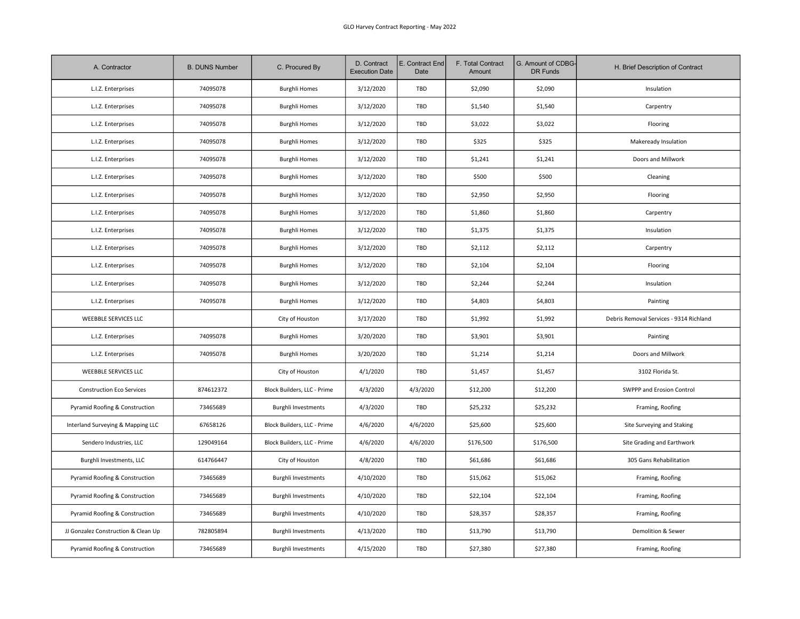| A. Contractor                       | <b>B. DUNS Number</b> | C. Procured By              | D. Contract<br><b>Execution Date</b> | E. Contract End<br>Date | F. Total Contract<br>Amount | G. Amount of CDBG-<br>DR Funds | H. Brief Description of Contract        |
|-------------------------------------|-----------------------|-----------------------------|--------------------------------------|-------------------------|-----------------------------|--------------------------------|-----------------------------------------|
| L.I.Z. Enterprises                  | 74095078              | <b>Burghli Homes</b>        | 3/12/2020                            | TBD                     | \$2,090                     | \$2,090                        | Insulation                              |
| L.I.Z. Enterprises                  | 74095078              | <b>Burghli Homes</b>        | 3/12/2020                            | TBD                     | \$1,540                     | \$1,540                        | Carpentry                               |
| L.I.Z. Enterprises                  | 74095078              | <b>Burghli Homes</b>        | 3/12/2020                            | TBD                     | \$3,022                     | \$3,022                        | Flooring                                |
| L.I.Z. Enterprises                  | 74095078              | <b>Burghli Homes</b>        | 3/12/2020                            | TBD                     | \$325                       | \$325                          | Makeready Insulation                    |
| L.I.Z. Enterprises                  | 74095078              | <b>Burghli Homes</b>        | 3/12/2020                            | TBD                     | \$1,241                     | \$1,241                        | Doors and Millwork                      |
| L.I.Z. Enterprises                  | 74095078              | <b>Burghli Homes</b>        | 3/12/2020                            | TBD                     | \$500                       | \$500                          | Cleaning                                |
| L.I.Z. Enterprises                  | 74095078              | <b>Burghli Homes</b>        | 3/12/2020                            | TBD                     | \$2,950                     | \$2,950                        | Flooring                                |
| L.I.Z. Enterprises                  | 74095078              | <b>Burghli Homes</b>        | 3/12/2020                            | TBD                     | \$1,860                     | \$1,860                        | Carpentry                               |
| L.I.Z. Enterprises                  | 74095078              | <b>Burghli Homes</b>        | 3/12/2020                            | TBD                     | \$1,375                     | \$1,375                        | Insulation                              |
| L.I.Z. Enterprises                  | 74095078              | <b>Burghli Homes</b>        | 3/12/2020                            | TBD                     | \$2,112                     | \$2,112                        | Carpentry                               |
| L.I.Z. Enterprises                  | 74095078              | <b>Burghli Homes</b>        | 3/12/2020                            | TBD                     | \$2,104                     | \$2,104                        | Flooring                                |
| L.I.Z. Enterprises                  | 74095078              | <b>Burghli Homes</b>        | 3/12/2020                            | TBD                     | \$2,244                     | \$2,244                        | Insulation                              |
| L.I.Z. Enterprises                  | 74095078              | <b>Burghli Homes</b>        | 3/12/2020                            | TBD                     | \$4,803                     | \$4,803                        | Painting                                |
| <b>WEEBBLE SERVICES LLC</b>         |                       | City of Houston             | 3/17/2020                            | TBD                     | \$1,992                     | \$1,992                        | Debris Removal Services - 9314 Richland |
| L.I.Z. Enterprises                  | 74095078              | <b>Burghli Homes</b>        | 3/20/2020                            | TBD                     | \$3,901                     | \$3,901                        | Painting                                |
| L.I.Z. Enterprises                  | 74095078              | <b>Burghli Homes</b>        | 3/20/2020                            | TBD                     | \$1,214                     | \$1,214                        | Doors and Millwork                      |
| <b>WEEBBLE SERVICES LLC</b>         |                       | City of Houston             | 4/1/2020                             | TBD                     | \$1,457                     | \$1,457                        | 3102 Florida St.                        |
| <b>Construction Eco Services</b>    | 874612372             | Block Builders, LLC - Prime | 4/3/2020                             | 4/3/2020                | \$12,200                    | \$12,200                       | SWPPP and Erosion Control               |
| Pyramid Roofing & Construction      | 73465689              | <b>Burghli Investments</b>  | 4/3/2020                             | TBD                     | \$25,232                    | \$25,232                       | Framing, Roofing                        |
| Interland Surveying & Mapping LLC   | 67658126              | Block Builders, LLC - Prime | 4/6/2020                             | 4/6/2020                | \$25,600                    | \$25,600                       | Site Surveying and Staking              |
| Sendero Industries, LLC             | 129049164             | Block Builders, LLC - Prime | 4/6/2020                             | 4/6/2020                | \$176,500                   | \$176,500                      | Site Grading and Earthwork              |
| Burghli Investments, LLC            | 614766447             | City of Houston             | 4/8/2020                             | TBD                     | \$61,686                    | \$61,686                       | 305 Gans Rehabilitation                 |
| Pyramid Roofing & Construction      | 73465689              | <b>Burghli Investments</b>  | 4/10/2020                            | TBD                     | \$15,062                    | \$15,062                       | Framing, Roofing                        |
| Pyramid Roofing & Construction      | 73465689              | <b>Burghli Investments</b>  | 4/10/2020                            | TBD                     | \$22,104                    | \$22,104                       | Framing, Roofing                        |
| Pyramid Roofing & Construction      | 73465689              | Burghli Investments         | 4/10/2020                            | TBD                     | \$28,357                    | \$28,357                       | Framing, Roofing                        |
| JJ Gonzalez Construction & Clean Up | 782805894             | <b>Burghli Investments</b>  | 4/13/2020                            | TBD                     | \$13,790                    | \$13,790                       | Demolition & Sewer                      |
| Pyramid Roofing & Construction      | 73465689              | <b>Burghli Investments</b>  | 4/15/2020                            | TBD                     | \$27,380                    | \$27,380                       | Framing, Roofing                        |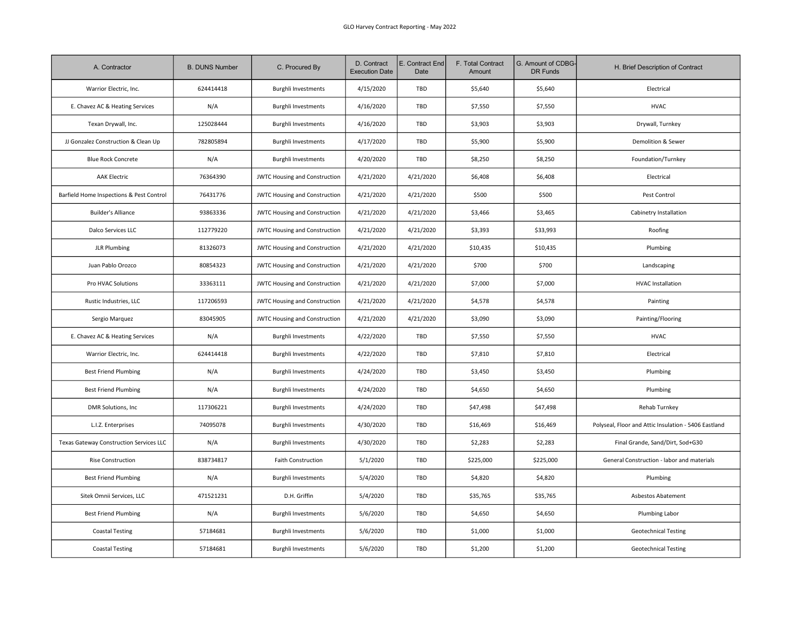| A. Contractor                            | <b>B. DUNS Number</b> | C. Procured By                       | D. Contract<br><b>Execution Date</b> | E. Contract End<br>Date | F. Total Contract<br>Amount | G. Amount of CDBG-<br><b>DR Funds</b> | H. Brief Description of Contract                     |
|------------------------------------------|-----------------------|--------------------------------------|--------------------------------------|-------------------------|-----------------------------|---------------------------------------|------------------------------------------------------|
| Warrior Electric, Inc.                   | 624414418             | <b>Burghli Investments</b>           | 4/15/2020                            | TBD                     | \$5,640                     | \$5,640                               | Electrical                                           |
| E. Chavez AC & Heating Services          | N/A                   | <b>Burghli Investments</b>           | 4/16/2020                            | TBD                     | \$7,550                     | \$7,550                               | <b>HVAC</b>                                          |
| Texan Drywall, Inc.                      | 125028444             | <b>Burghli Investments</b>           | 4/16/2020                            | TBD                     | \$3,903                     | \$3,903                               | Drywall, Turnkey                                     |
| JJ Gonzalez Construction & Clean Up      | 782805894             | <b>Burghli Investments</b>           | 4/17/2020                            | TBD                     | \$5,900                     | \$5,900                               | Demolition & Sewer                                   |
| <b>Blue Rock Concrete</b>                | N/A                   | <b>Burghli Investments</b>           | 4/20/2020                            | TBD                     | \$8,250                     | \$8,250                               | Foundation/Turnkey                                   |
| <b>AAK Electric</b>                      | 76364390              | <b>JWTC Housing and Construction</b> | 4/21/2020                            | 4/21/2020               | \$6,408                     | \$6,408                               | Electrical                                           |
| Barfield Home Inspections & Pest Control | 76431776              | <b>JWTC Housing and Construction</b> | 4/21/2020                            | 4/21/2020               | \$500                       | \$500                                 | Pest Control                                         |
| <b>Builder's Alliance</b>                | 93863336              | JWTC Housing and Construction        | 4/21/2020                            | 4/21/2020               | \$3,466                     | \$3,465                               | Cabinetry Installation                               |
| Dalco Services LLC                       | 112779220             | <b>JWTC Housing and Construction</b> | 4/21/2020                            | 4/21/2020               | \$3,393                     | \$33,993                              | Roofing                                              |
| <b>JLR Plumbing</b>                      | 81326073              | <b>JWTC Housing and Construction</b> | 4/21/2020                            | 4/21/2020               | \$10,435                    | \$10,435                              | Plumbing                                             |
| Juan Pablo Orozco                        | 80854323              | JWTC Housing and Construction        | 4/21/2020                            | 4/21/2020               | \$700                       | \$700                                 | Landscaping                                          |
| Pro HVAC Solutions                       | 33363111              | <b>JWTC Housing and Construction</b> | 4/21/2020                            | 4/21/2020               | \$7,000                     | \$7,000                               | <b>HVAC Installation</b>                             |
| Rustic Industries, LLC                   | 117206593             | JWTC Housing and Construction        | 4/21/2020                            | 4/21/2020               | \$4,578                     | \$4,578                               | Painting                                             |
| Sergio Marquez                           | 83045905              | <b>JWTC Housing and Construction</b> | 4/21/2020                            | 4/21/2020               | \$3,090                     | \$3,090                               | Painting/Flooring                                    |
| E. Chavez AC & Heating Services          | N/A                   | <b>Burghli Investments</b>           | 4/22/2020                            | TBD                     | \$7,550                     | \$7,550                               | <b>HVAC</b>                                          |
| Warrior Electric, Inc.                   | 624414418             | <b>Burghli Investments</b>           | 4/22/2020                            | TBD                     | \$7,810                     | \$7,810                               | Electrical                                           |
| <b>Best Friend Plumbing</b>              | N/A                   | <b>Burghli Investments</b>           | 4/24/2020                            | TBD                     | \$3,450                     | \$3,450                               | Plumbing                                             |
| <b>Best Friend Plumbing</b>              | N/A                   | <b>Burghli Investments</b>           | 4/24/2020                            | TBD                     | \$4,650                     | \$4,650                               | Plumbing                                             |
| DMR Solutions, Inc                       | 117306221             | <b>Burghli Investments</b>           | 4/24/2020                            | TBD                     | \$47,498                    | \$47,498                              | <b>Rehab Turnkey</b>                                 |
| L.I.Z. Enterprises                       | 74095078              | <b>Burghli Investments</b>           | 4/30/2020                            | TBD                     | \$16,469                    | \$16,469                              | Polyseal, Floor and Attic Insulation - 5406 Eastland |
| Texas Gateway Construction Services LLC  | N/A                   | <b>Burghli Investments</b>           | 4/30/2020                            | TBD                     | \$2,283                     | \$2,283                               | Final Grande, Sand/Dirt, Sod+G30                     |
| Rise Construction                        | 838734817             | Faith Construction                   | 5/1/2020                             | TBD                     | \$225,000                   | \$225,000                             | General Construction - labor and materials           |
| <b>Best Friend Plumbing</b>              | N/A                   | <b>Burghli Investments</b>           | 5/4/2020                             | TBD                     | \$4,820                     | \$4,820                               | Plumbing                                             |
| Sitek Omnii Services, LLC                | 471521231             | D.H. Griffin                         | 5/4/2020                             | TBD                     | \$35,765                    | \$35,765                              | Asbestos Abatement                                   |
| <b>Best Friend Plumbing</b>              | N/A                   | <b>Burghli Investments</b>           | 5/6/2020                             | TBD                     | \$4,650                     | \$4,650                               | Plumbing Labor                                       |
| <b>Coastal Testing</b>                   | 57184681              | <b>Burghli Investments</b>           | 5/6/2020                             | TBD                     | \$1,000                     | \$1,000                               | <b>Geotechnical Testing</b>                          |
| <b>Coastal Testing</b>                   | 57184681              | <b>Burghli Investments</b>           | 5/6/2020                             | TBD                     | \$1,200                     | \$1,200                               | <b>Geotechnical Testing</b>                          |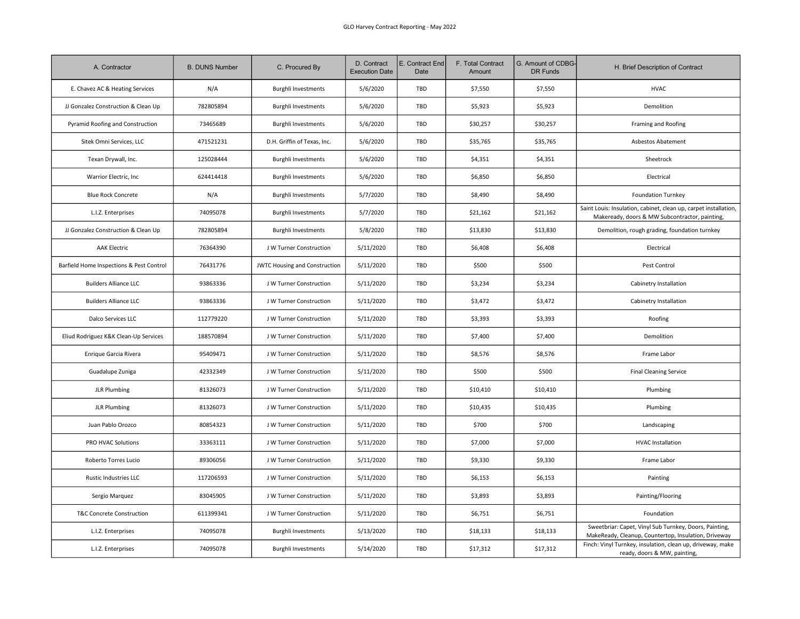| A. Contractor                            | <b>B. DUNS Number</b> | C. Procured By                | D. Contract<br><b>Execution Date</b> | E. Contract End<br>Date | F. Total Contract<br>Amount | G. Amount of CDBG-<br>DR Funds | H. Brief Description of Contract                                                                                   |
|------------------------------------------|-----------------------|-------------------------------|--------------------------------------|-------------------------|-----------------------------|--------------------------------|--------------------------------------------------------------------------------------------------------------------|
| E. Chavez AC & Heating Services          | N/A                   | <b>Burghli Investments</b>    | 5/6/2020                             | TBD                     | \$7,550                     | \$7,550                        | <b>HVAC</b>                                                                                                        |
| JJ Gonzalez Construction & Clean Up      | 782805894             | <b>Burghli Investments</b>    | 5/6/2020                             | TBD                     | \$5,923                     | \$5,923                        | Demolition                                                                                                         |
| Pyramid Roofing and Construction         | 73465689              | <b>Burghli Investments</b>    | 5/6/2020                             | TBD                     | \$30,257                    | \$30,257                       | Framing and Roofing                                                                                                |
| Sitek Omni Services, LLC                 | 471521231             | D.H. Griffin of Texas, Inc.   | 5/6/2020                             | <b>TBD</b>              | \$35,765                    | \$35,765                       | Asbestos Abatement                                                                                                 |
| Texan Drywall, Inc.                      | 125028444             | <b>Burghli Investments</b>    | 5/6/2020                             | TBD                     | \$4,351                     | \$4,351                        | Sheetrock                                                                                                          |
| Warrior Electric, Inc                    | 624414418             | <b>Burghli Investments</b>    | 5/6/2020                             | TBD                     | \$6,850                     | \$6,850                        | Electrical                                                                                                         |
| <b>Blue Rock Concrete</b>                | N/A                   | <b>Burghli Investments</b>    | 5/7/2020                             | TBD                     | \$8,490                     | \$8,490                        | <b>Foundation Turnkey</b>                                                                                          |
| L.I.Z. Enterprises                       | 74095078              | <b>Burghli Investments</b>    | 5/7/2020                             | TBD                     | \$21,162                    | \$21,162                       | Saint Louis: Insulation, cabinet, clean up, carpet installation,<br>Makeready, doors & MW Subcontractor, painting, |
| JJ Gonzalez Construction & Clean Up      | 782805894             | <b>Burghli Investments</b>    | 5/8/2020                             | TBD                     | \$13,830                    | \$13,830                       | Demolition, rough grading, foundation turnkey                                                                      |
| <b>AAK Electric</b>                      | 76364390              | J W Turner Construction       | 5/11/2020                            | TBD                     | \$6,408                     | \$6,408                        | Electrical                                                                                                         |
| Barfield Home Inspections & Pest Control | 76431776              | JWTC Housing and Construction | 5/11/2020                            | TBD                     | \$500                       | \$500                          | Pest Control                                                                                                       |
| <b>Builders Alliance LLC</b>             | 93863336              | J W Turner Construction       | 5/11/2020                            | TBD                     | \$3,234                     | \$3,234                        | Cabinetry Installation                                                                                             |
| <b>Builders Alliance LLC</b>             | 93863336              | J W Turner Construction       | 5/11/2020                            | TBD                     | \$3,472                     | \$3,472                        | Cabinetry Installation                                                                                             |
| Dalco Services LLC                       | 112779220             | J W Turner Construction       | 5/11/2020                            | TBD                     | \$3,393                     | \$3,393                        | Roofing                                                                                                            |
| Eliud Rodriguez K&K Clean-Up Services    | 188570894             | J W Turner Construction       | 5/11/2020                            | TBD                     | \$7,400                     | \$7,400                        | Demolition                                                                                                         |
| Enrique Garcia Rivera                    | 95409471              | J W Turner Construction       | 5/11/2020                            | TBD                     | \$8,576                     | \$8,576                        | Frame Labor                                                                                                        |
| Guadalupe Zuniga                         | 42332349              | J W Turner Construction       | 5/11/2020                            | TBD                     | \$500                       | \$500                          | <b>Final Cleaning Service</b>                                                                                      |
| <b>JLR Plumbing</b>                      | 81326073              | J W Turner Construction       | 5/11/2020                            | TBD                     | \$10,410                    | \$10,410                       | Plumbing                                                                                                           |
| <b>JLR Plumbing</b>                      | 81326073              | J W Turner Construction       | 5/11/2020                            | TBD                     | \$10,435                    | \$10,435                       | Plumbing                                                                                                           |
| Juan Pablo Orozco                        | 80854323              | J W Turner Construction       | 5/11/2020                            | TBD                     | \$700                       | \$700                          | Landscaping                                                                                                        |
| PRO HVAC Solutions                       | 33363111              | J W Turner Construction       | 5/11/2020                            | TBD                     | \$7,000                     | \$7,000                        | <b>HVAC Installation</b>                                                                                           |
| Roberto Torres Lucio                     | 89306056              | J W Turner Construction       | 5/11/2020                            | TBD                     | \$9,330                     | \$9,330                        | Frame Labor                                                                                                        |
| Rustic Industries LLC                    | 117206593             | J W Turner Construction       | 5/11/2020                            | TBD                     | \$6,153                     | \$6,153                        | Painting                                                                                                           |
| Sergio Marquez                           | 83045905              | J W Turner Construction       | 5/11/2020                            | TBD                     | \$3,893                     | \$3,893                        | Painting/Flooring                                                                                                  |
| T&C Concrete Construction                | 611399341             | J W Turner Construction       | 5/11/2020                            | TBD                     | \$6,751                     | \$6,751                        | Foundation                                                                                                         |
| L.I.Z. Enterprises                       | 74095078              | <b>Burghli Investments</b>    | 5/13/2020                            | TBD                     | \$18,133                    | \$18,133                       | Sweetbriar: Capet, Vinyl Sub Turnkey, Doors, Painting,<br>MakeReady, Cleanup, Countertop, Insulation, Driveway     |
| L.I.Z. Enterprises                       | 74095078              | <b>Burghli Investments</b>    | 5/14/2020                            | TBD                     | \$17,312                    | \$17,312                       | Finch: Vinyl Turnkey, insulation, clean up, driveway, make<br>ready, doors & MW, painting,                         |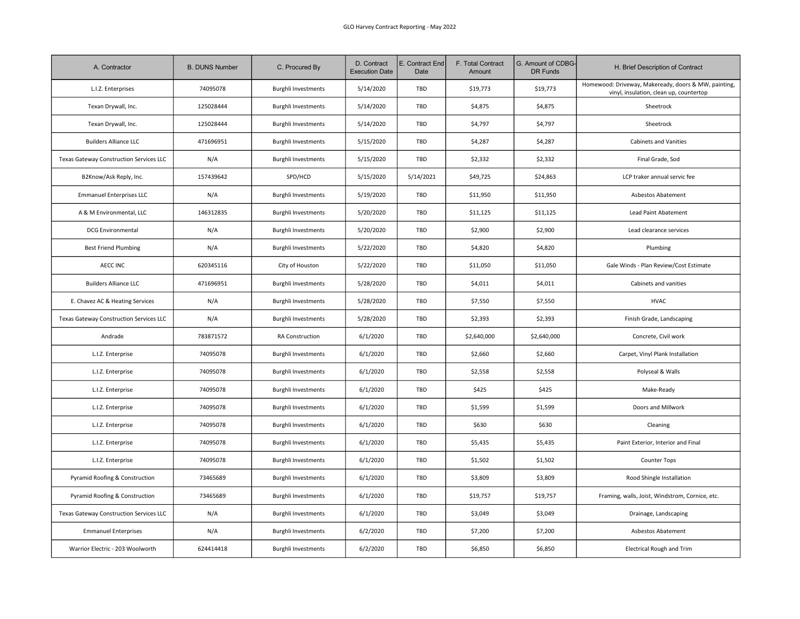| A. Contractor                           | <b>B. DUNS Number</b> | C. Procured By             | D. Contract<br><b>Execution Date</b> | E. Contract End<br>Date | F. Total Contract<br>Amount | G. Amount of CDBG-<br>DR Funds | H. Brief Description of Contract                                                                |
|-----------------------------------------|-----------------------|----------------------------|--------------------------------------|-------------------------|-----------------------------|--------------------------------|-------------------------------------------------------------------------------------------------|
| L.I.Z. Enterprises                      | 74095078              | <b>Burghli Investments</b> | 5/14/2020                            | TBD                     | \$19,773                    | \$19,773                       | Homewood: Driveway, Makeready, doors & MW, painting,<br>vinyl, insulation, clean up, countertop |
| Texan Drywall, Inc.                     | 125028444             | <b>Burghli Investments</b> | 5/14/2020                            | TBD                     | \$4,875                     | \$4,875                        | Sheetrock                                                                                       |
| Texan Drywall, Inc.                     | 125028444             | <b>Burghli Investments</b> | 5/14/2020                            | TBD                     | \$4,797                     | \$4,797                        | Sheetrock                                                                                       |
| <b>Builders Alliance LLC</b>            | 471696951             | <b>Burghli Investments</b> | 5/15/2020                            | TBD                     | \$4,287                     | \$4,287                        | <b>Cabinets and Vanities</b>                                                                    |
| Texas Gateway Construction Services LLC | N/A                   | <b>Burghli Investments</b> | 5/15/2020                            | TBD                     | \$2,332                     | \$2,332                        | Final Grade, Sod                                                                                |
| B2Know/Ask Reply, Inc.                  | 157439642             | SPD/HCD                    | 5/15/2020                            | 5/14/2021               | \$49,725                    | \$24,863                       | LCP traker annual servic fee                                                                    |
| <b>Emmanuel Enterprises LLC</b>         | N/A                   | <b>Burghli Investments</b> | 5/19/2020                            | TBD                     | \$11,950                    | \$11,950                       | Asbestos Abatement                                                                              |
| A & M Environmental, LLC                | 146312835             | <b>Burghli Investments</b> | 5/20/2020                            | TBD                     | \$11,125                    | \$11,125                       | Lead Paint Abatement                                                                            |
| <b>DCG Environmental</b>                | N/A                   | <b>Burghli Investments</b> | 5/20/2020                            | TBD                     | \$2,900                     | \$2,900                        | Lead clearance services                                                                         |
| <b>Best Friend Plumbing</b>             | N/A                   | <b>Burghli Investments</b> | 5/22/2020                            | TBD                     | \$4,820                     | \$4,820                        | Plumbing                                                                                        |
| <b>AECC INC</b>                         | 620345116             | City of Houston            | 5/22/2020                            | TBD                     | \$11,050                    | \$11,050                       | Gale Winds - Plan Review/Cost Estimate                                                          |
| <b>Builders Alliance LLC</b>            | 471696951             | <b>Burghli Investments</b> | 5/28/2020                            | TBD                     | \$4,011                     | \$4,011                        | Cabinets and vanities                                                                           |
| E. Chavez AC & Heating Services         | N/A                   | <b>Burghli Investments</b> | 5/28/2020                            | TBD                     | \$7,550                     | \$7,550                        | <b>HVAC</b>                                                                                     |
| Texas Gateway Construction Services LLC | N/A                   | <b>Burghli Investments</b> | 5/28/2020                            | TBD                     | \$2,393                     | \$2,393                        | Finish Grade, Landscaping                                                                       |
| Andrade                                 | 783871572             | RA Construction            | 6/1/2020                             | TBD                     | \$2,640,000                 | \$2,640,000                    | Concrete, Civil work                                                                            |
| L.I.Z. Enterprise                       | 74095078              | <b>Burghli Investments</b> | 6/1/2020                             | TBD                     | \$2,660                     | \$2,660                        | Carpet, Vinyl Plank Installation                                                                |
| L.I.Z. Enterprise                       | 74095078              | <b>Burghli Investments</b> | 6/1/2020                             | TBD                     | \$2,558                     | \$2,558                        | Polyseal & Walls                                                                                |
| L.I.Z. Enterprise                       | 74095078              | <b>Burghli Investments</b> | 6/1/2020                             | TBD                     | \$425                       | \$425                          | Make-Ready                                                                                      |
| L.I.Z. Enterprise                       | 74095078              | <b>Burghli Investments</b> | 6/1/2020                             | TBD                     | \$1,599                     | \$1,599                        | Doors and Millwork                                                                              |
| L.I.Z. Enterprise                       | 74095078              | <b>Burghli Investments</b> | 6/1/2020                             | TBD                     | \$630                       | \$630                          | Cleaning                                                                                        |
| L.I.Z. Enterprise                       | 74095078              | <b>Burghli Investments</b> | 6/1/2020                             | TBD                     | \$5,435                     | \$5,435                        | Paint Exterior, Interior and Final                                                              |
| L.I.Z. Enterprise                       | 74095078              | <b>Burghli Investments</b> | 6/1/2020                             | TBD                     | \$1,502                     | \$1,502                        | Counter Tops                                                                                    |
| Pyramid Roofing & Construction          | 73465689              | <b>Burghli Investments</b> | 6/1/2020                             | TBD                     | \$3,809                     | \$3,809                        | Rood Shingle Installation                                                                       |
| Pyramid Roofing & Construction          | 73465689              | <b>Burghli Investments</b> | 6/1/2020                             | TBD                     | \$19,757                    | \$19,757                       | Framing, walls, Joist, Windstrom, Cornice, etc.                                                 |
| Texas Gateway Construction Services LLC | N/A                   | <b>Burghli Investments</b> | 6/1/2020                             | TBD                     | \$3,049                     | \$3,049                        | Drainage, Landscaping                                                                           |
| <b>Emmanuel Enterprises</b>             | N/A                   | <b>Burghli Investments</b> | 6/2/2020                             | TBD                     | \$7,200                     | \$7,200                        | Asbestos Abatement                                                                              |
| Warrior Electric - 203 Woolworth        | 624414418             | Burghli Investments        | 6/2/2020                             | TBD                     | \$6,850                     | \$6,850                        | <b>Electrical Rough and Trim</b>                                                                |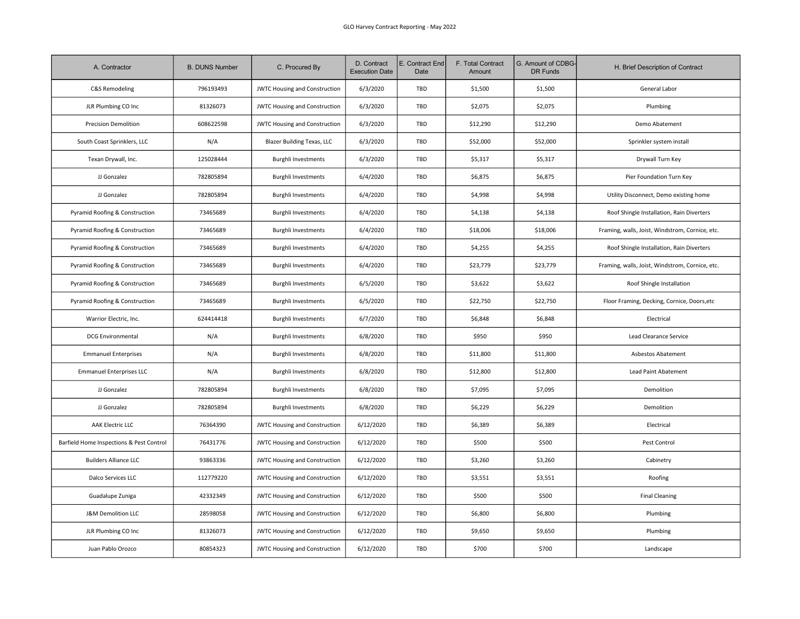| A. Contractor                            | <b>B. DUNS Number</b> | C. Procured By                       | D. Contract<br><b>Execution Date</b> | E. Contract End<br>Date | F. Total Contract<br>Amount | G. Amount of CDBG-<br>DR Funds | H. Brief Description of Contract                |
|------------------------------------------|-----------------------|--------------------------------------|--------------------------------------|-------------------------|-----------------------------|--------------------------------|-------------------------------------------------|
| C&S Remodeling                           | 796193493             | <b>JWTC Housing and Construction</b> | 6/3/2020                             | TBD                     | \$1,500                     | \$1,500                        | General Labor                                   |
| JLR Plumbing CO Inc                      | 81326073              | <b>JWTC Housing and Construction</b> | 6/3/2020                             | TBD                     | \$2,075                     | \$2,075                        | Plumbing                                        |
| <b>Precision Demolition</b>              | 608622598             | <b>JWTC Housing and Construction</b> | 6/3/2020                             | TBD                     | \$12,290                    | \$12,290                       | Demo Abatement                                  |
| South Coast Sprinklers, LLC              | N/A                   | <b>Blazer Building Texas, LLC</b>    | 6/3/2020                             | TBD                     | \$52,000                    | \$52,000                       | Sprinkler system install                        |
| Texan Drywall, Inc.                      | 125028444             | <b>Burghli Investments</b>           | 6/3/2020                             | TBD                     | \$5,317                     | \$5,317                        | Drywall Turn Key                                |
| JJ Gonzalez                              | 782805894             | <b>Burghli Investments</b>           | 6/4/2020                             | TBD                     | \$6,875                     | \$6,875                        | Pier Foundation Turn Key                        |
| JJ Gonzalez                              | 782805894             | <b>Burghli Investments</b>           | 6/4/2020                             | TBD                     | \$4,998                     | \$4,998                        | Utility Disconnect, Demo existing home          |
| Pyramid Roofing & Construction           | 73465689              | <b>Burghli Investments</b>           | 6/4/2020                             | TBD                     | \$4,138                     | \$4,138                        | Roof Shingle Installation, Rain Diverters       |
| Pyramid Roofing & Construction           | 73465689              | <b>Burghli Investments</b>           | 6/4/2020                             | TBD                     | \$18,006                    | \$18,006                       | Framing, walls, Joist, Windstrom, Cornice, etc. |
| Pyramid Roofing & Construction           | 73465689              | <b>Burghli Investments</b>           | 6/4/2020                             | TBD                     | \$4,255                     | \$4,255                        | Roof Shingle Installation, Rain Diverters       |
| Pyramid Roofing & Construction           | 73465689              | <b>Burghli Investments</b>           | 6/4/2020                             | TBD                     | \$23,779                    | \$23,779                       | Framing, walls, Joist, Windstrom, Cornice, etc. |
| Pyramid Roofing & Construction           | 73465689              | <b>Burghli Investments</b>           | 6/5/2020                             | TBD                     | \$3,622                     | \$3,622                        | Roof Shingle Installation                       |
| Pyramid Roofing & Construction           | 73465689              | <b>Burghli Investments</b>           | 6/5/2020                             | TBD                     | \$22,750                    | \$22,750                       | Floor Framing, Decking, Cornice, Doors, etc     |
| Warrior Electric, Inc.                   | 624414418             | <b>Burghli Investments</b>           | 6/7/2020                             | TBD                     | \$6,848                     | \$6,848                        | Electrical                                      |
| <b>DCG Environmental</b>                 | N/A                   | <b>Burghli Investments</b>           | 6/8/2020                             | TBD                     | \$950                       | \$950                          | Lead Clearance Service                          |
| <b>Emmanuel Enterprises</b>              | N/A                   | <b>Burghli Investments</b>           | 6/8/2020                             | TBD                     | \$11,800                    | \$11,800                       | Asbestos Abatement                              |
| <b>Emmanuel Enterprises LLC</b>          | N/A                   | <b>Burghli Investments</b>           | 6/8/2020                             | TBD                     | \$12,800                    | \$12,800                       | Lead Paint Abatement                            |
| JJ Gonzalez                              | 782805894             | <b>Burghli Investments</b>           | 6/8/2020                             | TBD                     | \$7,095                     | \$7,095                        | Demolition                                      |
| JJ Gonzalez                              | 782805894             | <b>Burghli Investments</b>           | 6/8/2020                             | TBD                     | \$6,229                     | \$6,229                        | Demolition                                      |
| <b>AAK Electric LLC</b>                  | 76364390              | JWTC Housing and Construction        | 6/12/2020                            | TBD                     | \$6,389                     | \$6,389                        | Electrical                                      |
| Barfield Home Inspections & Pest Control | 76431776              | <b>JWTC Housing and Construction</b> | 6/12/2020                            | TBD                     | \$500                       | \$500                          | Pest Control                                    |
| <b>Builders Alliance LLC</b>             | 93863336              | JWTC Housing and Construction        | 6/12/2020                            | TBD                     | \$3,260                     | \$3,260                        | Cabinetry                                       |
| Dalco Services LLC                       | 112779220             | <b>JWTC Housing and Construction</b> | 6/12/2020                            | TBD                     | \$3,551                     | \$3,551                        | Roofing                                         |
| Guadalupe Zuniga                         | 42332349              | <b>JWTC Housing and Construction</b> | 6/12/2020                            | TBD                     | \$500                       | \$500                          | <b>Final Cleaning</b>                           |
| <b>J&amp;M Demolition LLC</b>            | 28598058              | <b>JWTC Housing and Construction</b> | 6/12/2020                            | TBD                     | \$6,800                     | \$6,800                        | Plumbing                                        |
| JLR Plumbing CO Inc                      | 81326073              | JWTC Housing and Construction        | 6/12/2020                            | TBD                     | \$9,650                     | \$9,650                        | Plumbing                                        |
| Juan Pablo Orozco                        | 80854323              | <b>JWTC Housing and Construction</b> | 6/12/2020                            | TBD                     | \$700                       | \$700                          | Landscape                                       |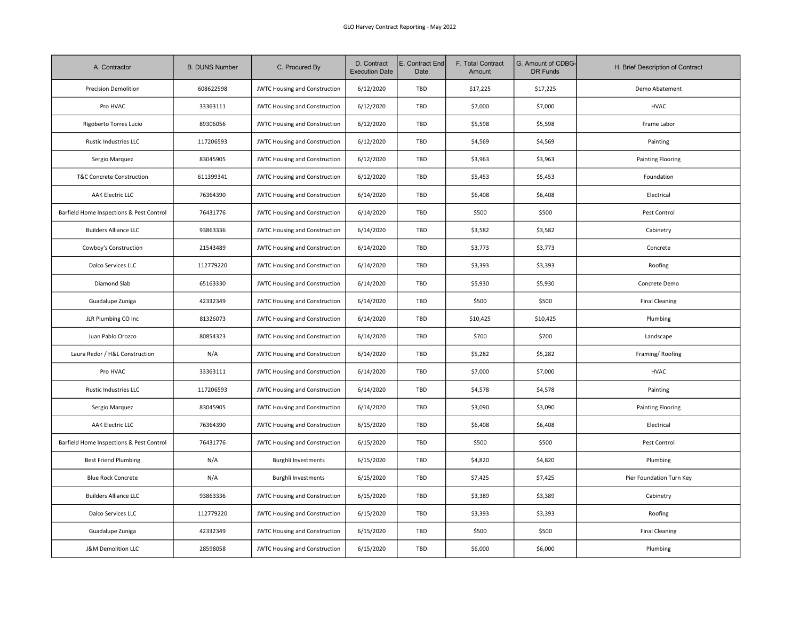| A. Contractor                            | <b>B. DUNS Number</b> | C. Procured By                       | D. Contract<br><b>Execution Date</b> | E. Contract End<br>Date | F. Total Contract<br>Amount | G. Amount of CDBG-<br>DR Funds | H. Brief Description of Contract |
|------------------------------------------|-----------------------|--------------------------------------|--------------------------------------|-------------------------|-----------------------------|--------------------------------|----------------------------------|
| <b>Precision Demolition</b>              | 608622598             | <b>JWTC Housing and Construction</b> | 6/12/2020                            | TBD                     | \$17,225                    | \$17,225                       | Demo Abatement                   |
| Pro HVAC                                 | 33363111              | <b>JWTC Housing and Construction</b> | 6/12/2020                            | TBD                     | \$7,000                     | \$7,000                        | <b>HVAC</b>                      |
| Rigoberto Torres Lucio                   | 89306056              | <b>JWTC Housing and Construction</b> | 6/12/2020                            | TBD                     | \$5,598                     | \$5,598                        | Frame Labor                      |
| <b>Rustic Industries LLC</b>             | 117206593             | JWTC Housing and Construction        | 6/12/2020                            | TBD                     | \$4,569                     | \$4,569                        | Painting                         |
| Sergio Marquez                           | 83045905              | <b>JWTC Housing and Construction</b> | 6/12/2020                            | TBD                     | \$3,963                     | \$3,963                        | <b>Painting Flooring</b>         |
| T&C Concrete Construction                | 611399341             | JWTC Housing and Construction        | 6/12/2020                            | TBD                     | \$5,453                     | \$5,453                        | Foundation                       |
| <b>AAK Electric LLC</b>                  | 76364390              | <b>JWTC Housing and Construction</b> | 6/14/2020                            | TBD                     | \$6,408                     | \$6,408                        | Electrical                       |
| Barfield Home Inspections & Pest Control | 76431776              | <b>JWTC Housing and Construction</b> | 6/14/2020                            | TBD                     | \$500                       | \$500                          | Pest Control                     |
| <b>Builders Alliance LLC</b>             | 93863336              | <b>JWTC Housing and Construction</b> | 6/14/2020                            | TBD                     | \$3,582                     | \$3,582                        | Cabinetry                        |
| Cowboy's Construction                    | 21543489              | <b>JWTC Housing and Construction</b> | 6/14/2020                            | TBD                     | \$3,773                     | \$3,773                        | Concrete                         |
| <b>Dalco Services LLC</b>                | 112779220             | JWTC Housing and Construction        | 6/14/2020                            | TBD                     | \$3,393                     | \$3,393                        | Roofing                          |
| Diamond Slab                             | 65163330              | <b>JWTC Housing and Construction</b> | 6/14/2020                            | TBD                     | \$5,930                     | \$5,930                        | Concrete Demo                    |
| Guadalupe Zuniga                         | 42332349              | <b>JWTC Housing and Construction</b> | 6/14/2020                            | TBD                     | \$500                       | \$500                          | <b>Final Cleaning</b>            |
| JLR Plumbing CO Inc                      | 81326073              | JWTC Housing and Construction        | 6/14/2020                            | TBD                     | \$10,425                    | \$10,425                       | Plumbing                         |
| Juan Pablo Orozco                        | 80854323              | <b>JWTC Housing and Construction</b> | 6/14/2020                            | TBD                     | \$700                       | \$700                          | Landscape                        |
| Laura Redor / H&L Construction           | N/A                   | JWTC Housing and Construction        | 6/14/2020                            | TBD                     | \$5,282                     | \$5,282                        | Framing/Roofing                  |
| Pro HVAC                                 | 33363111              | JWTC Housing and Construction        | 6/14/2020                            | TBD                     | \$7,000                     | \$7,000                        | <b>HVAC</b>                      |
| Rustic Industries LLC                    | 117206593             | JWTC Housing and Construction        | 6/14/2020                            | TBD                     | \$4,578                     | \$4,578                        | Painting                         |
| Sergio Marquez                           | 83045905              | <b>JWTC Housing and Construction</b> | 6/14/2020                            | TBD                     | \$3,090                     | \$3,090                        | Painting Flooring                |
| <b>AAK Electric LLC</b>                  | 76364390              | JWTC Housing and Construction        | 6/15/2020                            | TBD                     | \$6,408                     | \$6,408                        | Electrical                       |
| Barfield Home Inspections & Pest Control | 76431776              | <b>JWTC Housing and Construction</b> | 6/15/2020                            | TBD                     | \$500                       | \$500                          | Pest Control                     |
| <b>Best Friend Plumbing</b>              | N/A                   | <b>Burghli Investments</b>           | 6/15/2020                            | TBD                     | \$4,820                     | \$4,820                        | Plumbing                         |
| <b>Blue Rock Concrete</b>                | N/A                   | <b>Burghli Investments</b>           | 6/15/2020                            | TBD                     | \$7,425                     | \$7,425                        | Pier Foundation Turn Key         |
| <b>Builders Alliance LLC</b>             | 93863336              | JWTC Housing and Construction        | 6/15/2020                            | TBD                     | \$3,389                     | \$3,389                        | Cabinetry                        |
| Dalco Services LLC                       | 112779220             | <b>JWTC Housing and Construction</b> | 6/15/2020                            | TBD                     | \$3,393                     | \$3,393                        | Roofing                          |
| Guadalupe Zuniga                         | 42332349              | JWTC Housing and Construction        | 6/15/2020                            | TBD                     | \$500                       | \$500                          | <b>Final Cleaning</b>            |
| <b>J&amp;M Demolition LLC</b>            | 28598058              | <b>JWTC Housing and Construction</b> | 6/15/2020                            | TBD                     | \$6,000                     | \$6,000                        | Plumbing                         |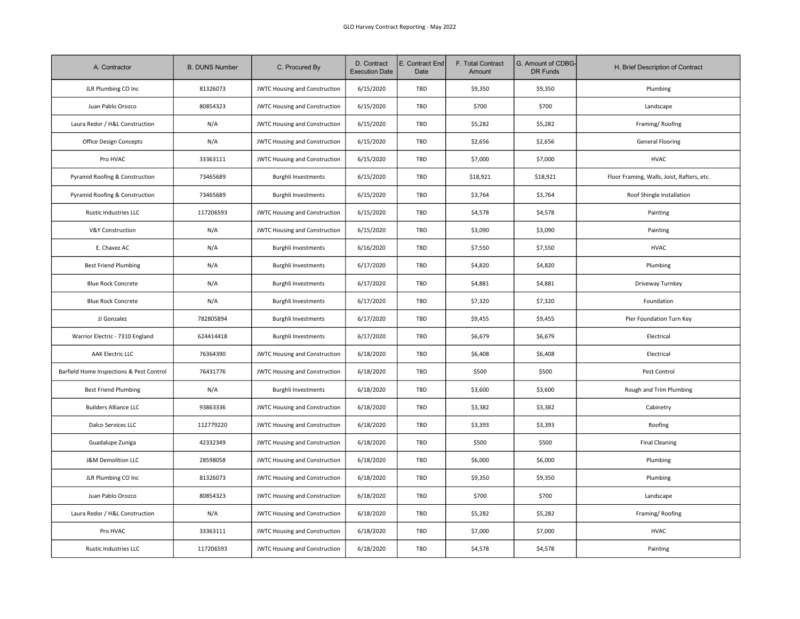| A. Contractor                            | <b>B. DUNS Number</b> | C. Procured By                       | D. Contract<br><b>Execution Date</b> | E. Contract End<br>Date | F. Total Contract<br>Amount | G. Amount of CDBG-<br><b>DR Funds</b> | H. Brief Description of Contract           |
|------------------------------------------|-----------------------|--------------------------------------|--------------------------------------|-------------------------|-----------------------------|---------------------------------------|--------------------------------------------|
| JLR Plumbing CO Inc                      | 81326073              | <b>JWTC Housing and Construction</b> | 6/15/2020                            | TBD                     | \$9,350                     | \$9,350                               | Plumbing                                   |
| Juan Pablo Orozco                        | 80854323              | JWTC Housing and Construction        | 6/15/2020                            | TBD                     | \$700                       | \$700                                 | Landscape                                  |
| Laura Redor / H&L Construction           | N/A                   | JWTC Housing and Construction        | 6/15/2020                            | TBD                     | \$5,282                     | \$5,282                               | Framing/Roofing                            |
| Office Design Concepts                   | N/A                   | JWTC Housing and Construction        | 6/15/2020                            | TBD                     | \$2,656                     | \$2,656                               | <b>General Flooring</b>                    |
| Pro HVAC                                 | 33363111              | <b>JWTC Housing and Construction</b> | 6/15/2020                            | TBD                     | \$7,000                     | \$7,000                               | <b>HVAC</b>                                |
| Pyramid Roofing & Construction           | 73465689              | <b>Burghli Investments</b>           | 6/15/2020                            | TBD                     | \$18,921                    | \$18,921                              | Floor Framing, Walls, Joist, Rafters, etc. |
| Pyramid Roofing & Construction           | 73465689              | <b>Burghli Investments</b>           | 6/15/2020                            | TBD                     | \$3,764                     | \$3,764                               | Roof Shingle Installation                  |
| Rustic Industries LLC                    | 117206593             | <b>JWTC Housing and Construction</b> | 6/15/2020                            | TBD                     | \$4,578                     | \$4,578                               | Painting                                   |
| <b>V&amp;Y Construction</b>              | N/A                   | <b>JWTC Housing and Construction</b> | 6/15/2020                            | TBD                     | \$3,090                     | \$3,090                               | Painting                                   |
| E. Chavez AC                             | N/A                   | <b>Burghli Investments</b>           | 6/16/2020                            | TBD                     | \$7,550                     | \$7,550                               | <b>HVAC</b>                                |
| <b>Best Friend Plumbing</b>              | N/A                   | <b>Burghli Investments</b>           | 6/17/2020                            | TBD                     | \$4,820                     | \$4,820                               | Plumbing                                   |
| <b>Blue Rock Concrete</b>                | N/A                   | <b>Burghli Investments</b>           | 6/17/2020                            | TBD                     | \$4,881                     | \$4,881                               | Driveway Turnkey                           |
| <b>Blue Rock Concrete</b>                | N/A                   | <b>Burghli Investments</b>           | 6/17/2020                            | TBD                     | \$7,320                     | \$7,320                               | Foundation                                 |
| JJ Gonzalez                              | 782805894             | <b>Burghli Investments</b>           | 6/17/2020                            | TBD                     | \$9,455                     | \$9,455                               | Pier Foundation Turn Key                   |
| Warrior Electric - 7310 England          | 624414418             | <b>Burghli Investments</b>           | 6/17/2020                            | TBD                     | \$6,679                     | \$6,679                               | Electrical                                 |
| AAK Electric LLC                         | 76364390              | JWTC Housing and Construction        | 6/18/2020                            | TBD                     | \$6,408                     | \$6,408                               | Electrical                                 |
| Barfield Home Inspections & Pest Control | 76431776              | <b>JWTC Housing and Construction</b> | 6/18/2020                            | TBD                     | \$500                       | \$500                                 | Pest Control                               |
| <b>Best Friend Plumbing</b>              | N/A                   | <b>Burghli Investments</b>           | 6/18/2020                            | TBD                     | \$3,600                     | \$3,600                               | Rough and Trim Plumbing                    |
| <b>Builders Alliance LLC</b>             | 93863336              | <b>JWTC Housing and Construction</b> | 6/18/2020                            | TBD                     | \$3,382                     | \$3,382                               | Cabinetry                                  |
| Dalco Services LLC                       | 112779220             | <b>JWTC Housing and Construction</b> | 6/18/2020                            | TBD                     | \$3,393                     | \$3,393                               | Roofing                                    |
| Guadalupe Zuniga                         | 42332349              | <b>JWTC Housing and Construction</b> | 6/18/2020                            | TBD                     | \$500                       | \$500                                 | <b>Final Cleaning</b>                      |
| J&M Demolition LLC                       | 28598058              | <b>JWTC Housing and Construction</b> | 6/18/2020                            | TBD                     | \$6,000                     | \$6,000                               | Plumbing                                   |
| JLR Plumbing CO Inc                      | 81326073              | <b>JWTC Housing and Construction</b> | 6/18/2020                            | TBD                     | \$9,350                     | \$9,350                               | Plumbing                                   |
| Juan Pablo Orozco                        | 80854323              | <b>JWTC Housing and Construction</b> | 6/18/2020                            | TBD                     | \$700                       | \$700                                 | Landscape                                  |
| Laura Redor / H&L Construction           | N/A                   | <b>JWTC Housing and Construction</b> | 6/18/2020                            | TBD                     | \$5,282                     | \$5,282                               | Framing/Roofing                            |
| Pro HVAC                                 | 33363111              | <b>JWTC Housing and Construction</b> | 6/18/2020                            | TBD                     | \$7,000                     | \$7,000                               | <b>HVAC</b>                                |
| <b>Rustic Industries LLC</b>             | 117206593             | JWTC Housing and Construction        | 6/18/2020                            | TBD                     | \$4,578                     | \$4,578                               | Painting                                   |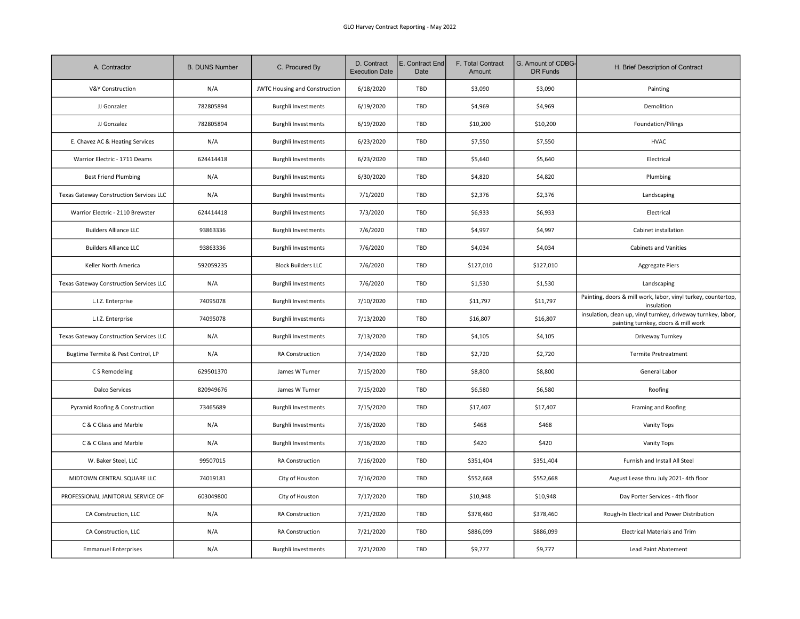| A. Contractor                           | <b>B. DUNS Number</b> | C. Procured By                       | D. Contract<br><b>Execution Date</b> | E. Contract End<br>Date | F. Total Contract<br>Amount | G. Amount of CDBG-<br>DR Funds | H. Brief Description of Contract                                                                     |
|-----------------------------------------|-----------------------|--------------------------------------|--------------------------------------|-------------------------|-----------------------------|--------------------------------|------------------------------------------------------------------------------------------------------|
| V&Y Construction                        | N/A                   | <b>JWTC Housing and Construction</b> | 6/18/2020                            | TBD                     | \$3,090                     | \$3,090                        | Painting                                                                                             |
| JJ Gonzalez                             | 782805894             | <b>Burghli Investments</b>           | 6/19/2020                            | TBD                     | \$4,969                     | \$4,969                        | Demolition                                                                                           |
| JJ Gonzalez                             | 782805894             | <b>Burghli Investments</b>           | 6/19/2020                            | TBD                     | \$10,200                    | \$10,200                       | Foundation/Pilings                                                                                   |
| E. Chavez AC & Heating Services         | N/A                   | <b>Burghli Investments</b>           | 6/23/2020                            | TBD                     | \$7,550                     | \$7,550                        | <b>HVAC</b>                                                                                          |
| Warrior Electric - 1711 Deams           | 624414418             | <b>Burghli Investments</b>           | 6/23/2020                            | TBD                     | \$5,640                     | \$5,640                        | Electrical                                                                                           |
| <b>Best Friend Plumbing</b>             | N/A                   | <b>Burghli Investments</b>           | 6/30/2020                            | TBD                     | \$4,820                     | \$4,820                        | Plumbing                                                                                             |
| Texas Gateway Construction Services LLC | N/A                   | <b>Burghli Investments</b>           | 7/1/2020                             | TBD                     | \$2,376                     | \$2,376                        | Landscaping                                                                                          |
| Warrior Electric - 2110 Brewster        | 624414418             | <b>Burghli Investments</b>           | 7/3/2020                             | TBD                     | \$6,933                     | \$6,933                        | Electrical                                                                                           |
| <b>Builders Alliance LLC</b>            | 93863336              | <b>Burghli Investments</b>           | 7/6/2020                             | TBD                     | \$4,997                     | \$4,997                        | Cabinet installation                                                                                 |
| <b>Builders Alliance LLC</b>            | 93863336              | <b>Burghli Investments</b>           | 7/6/2020                             | TBD                     | \$4,034                     | \$4,034                        | <b>Cabinets and Vanities</b>                                                                         |
| Keller North America                    | 592059235             | <b>Block Builders LLC</b>            | 7/6/2020                             | TBD                     | \$127,010                   | \$127,010                      | <b>Aggregate Piers</b>                                                                               |
| Texas Gateway Construction Services LLC | N/A                   | <b>Burghli Investments</b>           | 7/6/2020                             | TBD                     | \$1,530                     | \$1,530                        | Landscaping                                                                                          |
| L.I.Z. Enterprise                       | 74095078              | <b>Burghli Investments</b>           | 7/10/2020                            | TBD                     | \$11,797                    | \$11,797                       | Painting, doors & mill work, labor, vinyl turkey, countertop,<br>insulation                          |
| L.I.Z. Enterprise                       | 74095078              | <b>Burghli Investments</b>           | 7/13/2020                            | TBD                     | \$16,807                    | \$16,807                       | insulation, clean up, vinyl turnkey, driveway turnkey, labor,<br>painting turnkey, doors & mill work |
| Texas Gateway Construction Services LLC | N/A                   | <b>Burghli Investments</b>           | 7/13/2020                            | TBD                     | \$4,105                     | \$4,105                        | Driveway Turnkey                                                                                     |
| Bugtime Termite & Pest Control, LP      | N/A                   | RA Construction                      | 7/14/2020                            | TBD                     | \$2,720                     | \$2,720                        | <b>Termite Pretreatment</b>                                                                          |
| C S Remodeling                          | 629501370             | James W Turner                       | 7/15/2020                            | TBD                     | \$8,800                     | \$8,800                        | General Labor                                                                                        |
| <b>Dalco Services</b>                   | 820949676             | James W Turner                       | 7/15/2020                            | TBD                     | \$6,580                     | \$6,580                        | Roofing                                                                                              |
| Pyramid Roofing & Construction          | 73465689              | <b>Burghli Investments</b>           | 7/15/2020                            | TBD                     | \$17,407                    | \$17,407                       | Framing and Roofing                                                                                  |
| C & C Glass and Marble                  | N/A                   | <b>Burghli Investments</b>           | 7/16/2020                            | TBD                     | \$468                       | \$468                          | Vanity Tops                                                                                          |
| C & C Glass and Marble                  | N/A                   | <b>Burghli Investments</b>           | 7/16/2020                            | TBD                     | \$420                       | \$420                          | Vanity Tops                                                                                          |
| W. Baker Steel, LLC                     | 99507015              | RA Construction                      | 7/16/2020                            | TBD                     | \$351,404                   | \$351,404                      | Furnish and Install All Steel                                                                        |
| MIDTOWN CENTRAL SQUARE LLC              | 74019181              | City of Houston                      | 7/16/2020                            | TBD                     | \$552,668                   | \$552,668                      | August Lease thru July 2021-4th floor                                                                |
| PROFESSIONAL JANITORIAL SERVICE OF      | 603049800             | City of Houston                      | 7/17/2020                            | TBD                     | \$10,948                    | \$10,948                       | Day Porter Services - 4th floor                                                                      |
| CA Construction, LLC                    | N/A                   | RA Construction                      | 7/21/2020                            | TBD                     | \$378,460                   | \$378,460                      | Rough-In Electrical and Power Distribution                                                           |
| CA Construction, LLC                    | N/A                   | RA Construction                      | 7/21/2020                            | TBD                     | \$886,099                   | \$886,099                      | <b>Electrical Materials and Trim</b>                                                                 |
| <b>Emmanuel Enterprises</b>             | N/A                   | <b>Burghli Investments</b>           | 7/21/2020                            | TBD                     | \$9,777                     | \$9,777                        | <b>Lead Paint Abatement</b>                                                                          |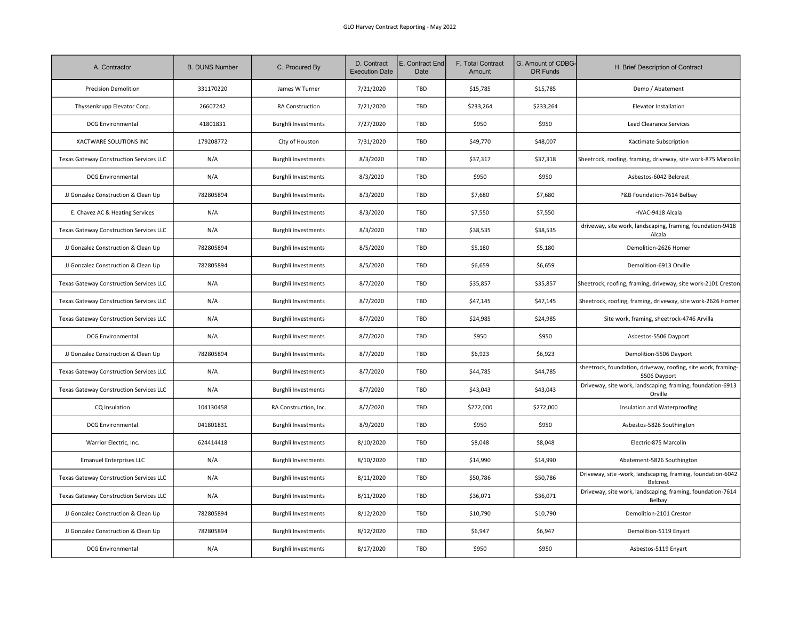| A. Contractor                           | <b>B. DUNS Number</b> | C. Procured By             | D. Contract<br><b>Execution Date</b> | E. Contract End<br>Date | F. Total Contract<br>Amount | G. Amount of CDBG-<br>DR Funds | H. Brief Description of Contract                                              |
|-----------------------------------------|-----------------------|----------------------------|--------------------------------------|-------------------------|-----------------------------|--------------------------------|-------------------------------------------------------------------------------|
| <b>Precision Demolition</b>             | 331170220             | James W Turner             | 7/21/2020                            | <b>TBD</b>              | \$15,785                    | \$15,785                       | Demo / Abatement                                                              |
| Thyssenkrupp Elevator Corp.             | 26607242              | RA Construction            | 7/21/2020                            | TBD                     | \$233,264                   | \$233,264                      | Elevator Installation                                                         |
| <b>DCG Environmental</b>                | 41801831              | <b>Burghli Investments</b> | 7/27/2020                            | TBD                     | \$950                       | \$950                          | Lead Clearance Services                                                       |
| XACTWARE SOLUTIONS INC                  | 179208772             | City of Houston            | 7/31/2020                            | <b>TBD</b>              | \$49,770                    | \$48,007                       | Xactimate Subscription                                                        |
| Texas Gateway Construction Services LLC | N/A                   | <b>Burghli Investments</b> | 8/3/2020                             | TBD                     | \$37,317                    | \$37,318                       | Sheetrock, roofing, framing, driveway, site work-875 Marcolir                 |
| <b>DCG Environmental</b>                | N/A                   | <b>Burghli Investments</b> | 8/3/2020                             | TBD                     | \$950                       | \$950                          | Asbestos-6042 Belcrest                                                        |
| JJ Gonzalez Construction & Clean Up     | 782805894             | <b>Burghli Investments</b> | 8/3/2020                             | TBD                     | \$7,680                     | \$7,680                        | P&B Foundation-7614 Belbay                                                    |
| E. Chavez AC & Heating Services         | N/A                   | <b>Burghli Investments</b> | 8/3/2020                             | TBD                     | \$7,550                     | \$7,550                        | HVAC-9418 Alcala                                                              |
| Texas Gateway Construction Services LLC | N/A                   | <b>Burghli Investments</b> | 8/3/2020                             | TBD                     | \$38,535                    | \$38,535                       | driveway, site work, landscaping, framing, foundation-9418<br>Alcala          |
| JJ Gonzalez Construction & Clean Up     | 782805894             | <b>Burghli Investments</b> | 8/5/2020                             | TBD                     | \$5,180                     | \$5,180                        | Demolition-2626 Homer                                                         |
| JJ Gonzalez Construction & Clean Up     | 782805894             | <b>Burghli Investments</b> | 8/5/2020                             | TBD                     | \$6,659                     | \$6,659                        | Demolition-6913 Orville                                                       |
| Texas Gateway Construction Services LLC | N/A                   | <b>Burghli Investments</b> | 8/7/2020                             | TBD                     | \$35,857                    | \$35,857                       | Sheetrock, roofing, framing, driveway, site work-2101 Crestor                 |
| Texas Gateway Construction Services LLC | N/A                   | <b>Burghli Investments</b> | 8/7/2020                             | TBD                     | \$47,145                    | \$47,145                       | Sheetrock, roofing, framing, driveway, site work-2626 Homer                   |
| Texas Gateway Construction Services LLC | N/A                   | <b>Burghli Investments</b> | 8/7/2020                             | TBD                     | \$24,985                    | \$24,985                       | Site work, framing, sheetrock-4746 Arvilla                                    |
| <b>DCG Environmental</b>                | N/A                   | <b>Burghli Investments</b> | 8/7/2020                             | TBD                     | \$950                       | \$950                          | Asbestos-5506 Dayport                                                         |
| JJ Gonzalez Construction & Clean Up     | 782805894             | <b>Burghli Investments</b> | 8/7/2020                             | TBD                     | \$6,923                     | \$6,923                        | Demolition-5506 Dayport                                                       |
| Texas Gateway Construction Services LLC | N/A                   | <b>Burghli Investments</b> | 8/7/2020                             | TBD                     | \$44,785                    | \$44,785                       | sheetrock, foundation, driveway, roofing, site work, framing-<br>5506 Dayport |
| Texas Gateway Construction Services LLC | N/A                   | <b>Burghli Investments</b> | 8/7/2020                             | TBD                     | \$43,043                    | \$43,043                       | Driveway, site work, landscaping, framing, foundation-6913<br>Orville         |
| CQ Insulation                           | 104130458             | RA Construction, Inc.      | 8/7/2020                             | TBD                     | \$272,000                   | \$272,000                      | Insulation and Waterproofing                                                  |
| <b>DCG Environmental</b>                | 041801831             | <b>Burghli Investments</b> | 8/9/2020                             | TBD                     | \$950                       | \$950                          | Asbestos-5826 Southington                                                     |
| Warrior Electric. Inc.                  | 624414418             | <b>Burghli Investments</b> | 8/10/2020                            | TBD                     | \$8,048                     | \$8,048                        | Electric-875 Marcolin                                                         |
| <b>Emanuel Enterprises LLC</b>          | N/A                   | <b>Burghli Investments</b> | 8/10/2020                            | TBD                     | \$14,990                    | \$14,990                       | Abatement-5826 Southington                                                    |
| Texas Gateway Construction Services LLC | N/A                   | <b>Burghli Investments</b> | 8/11/2020                            | TBD                     | \$50,786                    | \$50,786                       | Driveway, site -work, landscaping, framing, foundation-6042<br>Belcrest       |
| Texas Gateway Construction Services LLC | N/A                   | <b>Burghli Investments</b> | 8/11/2020                            | TBD                     | \$36,071                    | \$36,071                       | Driveway, site work, landscaping, framing, foundation-7614<br>Belbay          |
| JJ Gonzalez Construction & Clean Up     | 782805894             | <b>Burghli Investments</b> | 8/12/2020                            | TBD                     | \$10,790                    | \$10,790                       | Demolition-2101 Creston                                                       |
| JJ Gonzalez Construction & Clean Up     | 782805894             | <b>Burghli Investments</b> | 8/12/2020                            | TBD                     | \$6,947                     | \$6,947                        | Demolition-5119 Enyart                                                        |
| <b>DCG Environmental</b>                | N/A                   | <b>Burghli Investments</b> | 8/17/2020                            | TBD                     | \$950                       | \$950                          | Asbestos-5119 Enyart                                                          |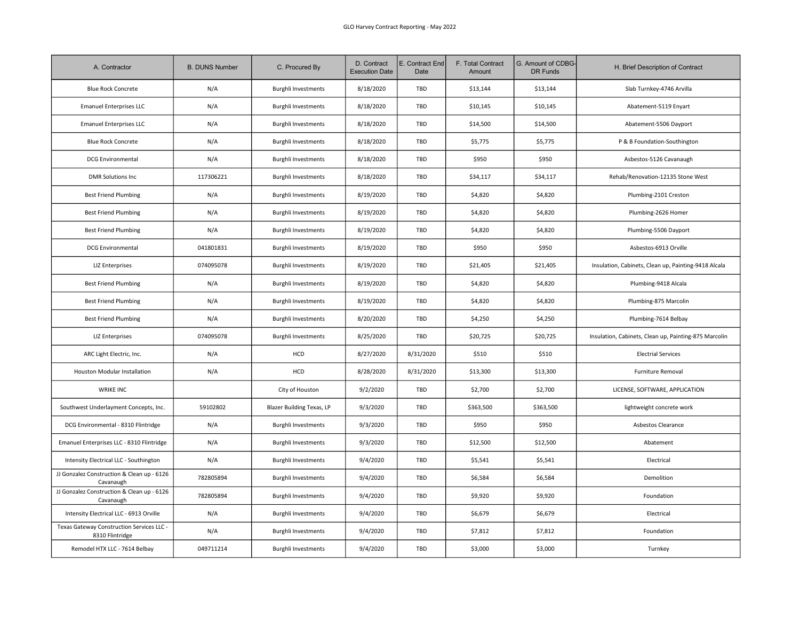| A. Contractor                                                | <b>B. DUNS Number</b> | C. Procured By                   | D. Contract<br><b>Execution Date</b> | E. Contract End<br>Date | F. Total Contract<br>Amount | G. Amount of CDBG-<br>DR Funds | H. Brief Description of Contract                      |
|--------------------------------------------------------------|-----------------------|----------------------------------|--------------------------------------|-------------------------|-----------------------------|--------------------------------|-------------------------------------------------------|
| <b>Blue Rock Concrete</b>                                    | N/A                   | <b>Burghli Investments</b>       | 8/18/2020                            | TBD                     | \$13,144                    | \$13,144                       | Slab Turnkey-4746 Arvilla                             |
| <b>Emanuel Enterprises LLC</b>                               | N/A                   | <b>Burghli Investments</b>       | 8/18/2020                            | TBD                     | \$10,145                    | \$10,145                       | Abatement-5119 Enyart                                 |
| <b>Emanuel Enterprises LLC</b>                               | N/A                   | <b>Burghli Investments</b>       | 8/18/2020                            | TBD                     | \$14,500                    | \$14,500                       | Abatement-5506 Dayport                                |
| <b>Blue Rock Concrete</b>                                    | N/A                   | <b>Burghli Investments</b>       | 8/18/2020                            | TBD                     | \$5,775                     | \$5,775                        | P & B Foundation-Southington                          |
| <b>DCG Environmental</b>                                     | N/A                   | <b>Burghli Investments</b>       | 8/18/2020                            | TBD                     | \$950                       | \$950                          | Asbestos-5126 Cavanaugh                               |
| <b>DMR Solutions Inc</b>                                     | 117306221             | Burghli Investments              | 8/18/2020                            | TBD                     | \$34,117                    | \$34,117                       | Rehab/Renovation-12135 Stone West                     |
| <b>Best Friend Plumbing</b>                                  | N/A                   | <b>Burghli Investments</b>       | 8/19/2020                            | TBD                     | \$4,820                     | \$4,820                        | Plumbing-2101 Creston                                 |
| <b>Best Friend Plumbing</b>                                  | N/A                   | <b>Burghli Investments</b>       | 8/19/2020                            | TBD                     | \$4,820                     | \$4,820                        | Plumbing-2626 Homer                                   |
| <b>Best Friend Plumbing</b>                                  | N/A                   | <b>Burghli Investments</b>       | 8/19/2020                            | TBD                     | \$4,820                     | \$4,820                        | Plumbing-5506 Dayport                                 |
| <b>DCG Environmental</b>                                     | 041801831             | <b>Burghli Investments</b>       | 8/19/2020                            | TBD                     | \$950                       | \$950                          | Asbestos-6913 Orville                                 |
| <b>LIZ Enterprises</b>                                       | 074095078             | <b>Burghli Investments</b>       | 8/19/2020                            | TBD                     | \$21,405                    | \$21,405                       | Insulation, Cabinets, Clean up, Painting-9418 Alcala  |
| <b>Best Friend Plumbing</b>                                  | N/A                   | <b>Burghli Investments</b>       | 8/19/2020                            | TBD                     | \$4,820                     | \$4,820                        | Plumbing-9418 Alcala                                  |
| <b>Best Friend Plumbing</b>                                  | N/A                   | <b>Burghli Investments</b>       | 8/19/2020                            | TBD                     | \$4,820                     | \$4,820                        | Plumbing-875 Marcolin                                 |
| <b>Best Friend Plumbing</b>                                  | N/A                   | <b>Burghli Investments</b>       | 8/20/2020                            | TBD                     | \$4,250                     | \$4,250                        | Plumbing-7614 Belbay                                  |
| <b>LIZ Enterprises</b>                                       | 074095078             | <b>Burghli Investments</b>       | 8/25/2020                            | TBD                     | \$20,725                    | \$20,725                       | Insulation, Cabinets, Clean up, Painting-875 Marcolin |
| ARC Light Electric, Inc.                                     | N/A                   | HCD                              | 8/27/2020                            | 8/31/2020               | \$510                       | \$510                          | <b>Electrial Services</b>                             |
| Houston Modular Installation                                 | N/A                   | HCD                              | 8/28/2020                            | 8/31/2020               | \$13,300                    | \$13,300                       | <b>Furniture Removal</b>                              |
| <b>WRIKE INC</b>                                             |                       | City of Houston                  | 9/2/2020                             | TBD                     | \$2,700                     | \$2,700                        | LICENSE, SOFTWARE, APPLICATION                        |
| Southwest Underlayment Concepts, Inc.                        | 59102802              | <b>Blazer Building Texas, LP</b> | 9/3/2020                             | TBD                     | \$363,500                   | \$363,500                      | lightweight concrete work                             |
| DCG Environmental - 8310 Flintridge                          | N/A                   | <b>Burghli Investments</b>       | 9/3/2020                             | TBD                     | \$950                       | \$950                          | Asbestos Clearance                                    |
| Emanuel Enterprises LLC - 8310 Flintridge                    | N/A                   | <b>Burghli Investments</b>       | 9/3/2020                             | TBD                     | \$12,500                    | \$12,500                       | Abatement                                             |
| Intensity Electrical LLC - Southington                       | N/A                   | <b>Burghli Investments</b>       | 9/4/2020                             | TBD                     | \$5,541                     | \$5,541                        | Electrical                                            |
| JJ Gonzalez Construction & Clean up - 6126<br>Cavanaugh      | 782805894             | <b>Burghli Investments</b>       | 9/4/2020                             | TBD                     | \$6,584                     | \$6,584                        | Demolition                                            |
| JJ Gonzalez Construction & Clean up - 6126<br>Cavanaugh      | 782805894             | <b>Burghli Investments</b>       | 9/4/2020                             | TBD                     | \$9,920                     | \$9,920                        | Foundation                                            |
| Intensity Electrical LLC - 6913 Orville                      | N/A                   | <b>Burghli Investments</b>       | 9/4/2020                             | TBD                     | \$6,679                     | \$6,679                        | Electrical                                            |
| Texas Gateway Construction Services LLC -<br>8310 Flintridge | N/A                   | <b>Burghli Investments</b>       | 9/4/2020                             | TBD                     | \$7,812                     | \$7,812                        | Foundation                                            |
| Remodel HTX LLC - 7614 Belbay                                | 049711214             | <b>Burghli Investments</b>       | 9/4/2020                             | TBD                     | \$3,000                     | \$3,000                        | Turnkey                                               |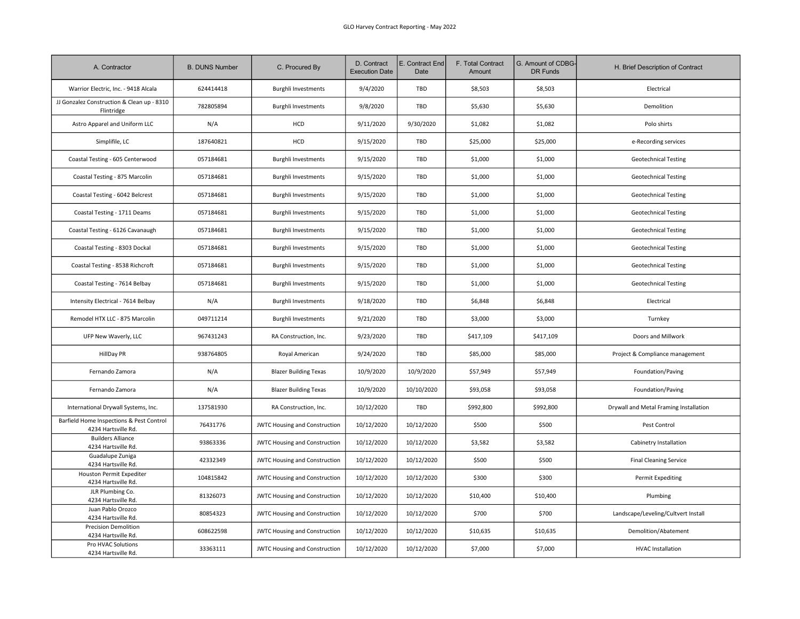| A. Contractor                                                   | <b>B. DUNS Number</b> | C. Procured By                       | D. Contract<br><b>Execution Date</b> | E. Contract End<br>Date | F. Total Contract<br>Amount | G. Amount of CDBG-<br>DR Funds | H. Brief Description of Contract       |
|-----------------------------------------------------------------|-----------------------|--------------------------------------|--------------------------------------|-------------------------|-----------------------------|--------------------------------|----------------------------------------|
| Warrior Electric, Inc. - 9418 Alcala                            | 624414418             | <b>Burghli Investments</b>           | 9/4/2020                             | TBD                     | \$8,503                     | \$8,503                        | Electrical                             |
| JJ Gonzalez Construction & Clean up - 8310<br>Flintridge        | 782805894             | <b>Burghli Investments</b>           | 9/8/2020                             | TBD                     | \$5,630                     | \$5,630                        | Demolition                             |
| Astro Apparel and Uniform LLC                                   | N/A                   | HCD                                  | 9/11/2020                            | 9/30/2020               | \$1,082                     | \$1,082                        | Polo shirts                            |
| Simplifile, LC                                                  | 187640821             | HCD                                  | 9/15/2020                            | TBD                     | \$25,000                    | \$25,000                       | e-Recording services                   |
| Coastal Testing - 605 Centerwood                                | 057184681             | <b>Burghli Investments</b>           | 9/15/2020                            | TBD                     | \$1,000                     | \$1,000                        | <b>Geotechnical Testing</b>            |
| Coastal Testing - 875 Marcolin                                  | 057184681             | <b>Burghli Investments</b>           | 9/15/2020                            | TBD                     | \$1,000                     | \$1,000                        | <b>Geotechnical Testing</b>            |
| Coastal Testing - 6042 Belcrest                                 | 057184681             | <b>Burghli Investments</b>           | 9/15/2020                            | TBD                     | \$1,000                     | \$1,000                        | <b>Geotechnical Testing</b>            |
| Coastal Testing - 1711 Deams                                    | 057184681             | <b>Burghli Investments</b>           | 9/15/2020                            | TBD                     | \$1,000                     | \$1,000                        | <b>Geotechnical Testing</b>            |
| Coastal Testing - 6126 Cavanaugh                                | 057184681             | <b>Burghli Investments</b>           | 9/15/2020                            | TBD                     | \$1,000                     | \$1,000                        | <b>Geotechnical Testing</b>            |
| Coastal Testing - 8303 Dockal                                   | 057184681             | <b>Burghli Investments</b>           | 9/15/2020                            | TBD                     | \$1,000                     | \$1,000                        | <b>Geotechnical Testing</b>            |
| Coastal Testing - 8538 Richcroft                                | 057184681             | <b>Burghli Investments</b>           | 9/15/2020                            | TBD                     | \$1,000                     | \$1,000                        | <b>Geotechnical Testing</b>            |
| Coastal Testing - 7614 Belbay                                   | 057184681             | <b>Burghli Investments</b>           | 9/15/2020                            | TBD                     | \$1,000                     | \$1,000                        | <b>Geotechnical Testing</b>            |
| Intensity Electrical - 7614 Belbay                              | N/A                   | <b>Burghli Investments</b>           | 9/18/2020                            | TBD                     | \$6,848                     | \$6,848                        | Electrical                             |
| Remodel HTX LLC - 875 Marcolin                                  | 049711214             | <b>Burghli Investments</b>           | 9/21/2020                            | TBD                     | \$3,000                     | \$3,000                        | Turnkey                                |
| UFP New Waverly, LLC                                            | 967431243             | RA Construction, Inc.                | 9/23/2020                            | TBD                     | \$417,109                   | \$417,109                      | Doors and Millwork                     |
| <b>HillDay PR</b>                                               | 938764805             | Royal American                       | 9/24/2020                            | TBD                     | \$85,000                    | \$85,000                       | Project & Compliance management        |
| Fernando Zamora                                                 | N/A                   | <b>Blazer Building Texas</b>         | 10/9/2020                            | 10/9/2020               | \$57,949                    | \$57,949                       | Foundation/Paving                      |
| Fernando Zamora                                                 | N/A                   | <b>Blazer Building Texas</b>         | 10/9/2020                            | 10/10/2020              | \$93,058                    | \$93,058                       | Foundation/Paving                      |
| International Drywall Systems, Inc.                             | 137581930             | RA Construction, Inc.                | 10/12/2020                           | TBD                     | \$992,800                   | \$992,800                      | Drywall and Metal Framing Installation |
| Barfield Home Inspections & Pest Control<br>4234 Hartsville Rd. | 76431776              | JWTC Housing and Construction        | 10/12/2020                           | 10/12/2020              | \$500                       | \$500                          | Pest Control                           |
| <b>Builders Alliance</b><br>4234 Hartsville Rd.                 | 93863336              | <b>JWTC Housing and Construction</b> | 10/12/2020                           | 10/12/2020              | \$3,582                     | \$3,582                        | Cabinetry Installation                 |
| Guadalupe Zuniga<br>4234 Hartsville Rd.                         | 42332349              | JWTC Housing and Construction        | 10/12/2020                           | 10/12/2020              | \$500                       | \$500                          | <b>Final Cleaning Service</b>          |
| Houston Permit Expediter<br>4234 Hartsville Rd.                 | 104815842             | JWTC Housing and Construction        | 10/12/2020                           | 10/12/2020              | \$300                       | \$300                          | Permit Expediting                      |
| JLR Plumbing Co.<br>4234 Hartsville Rd.                         | 81326073              | <b>JWTC Housing and Construction</b> | 10/12/2020                           | 10/12/2020              | \$10,400                    | \$10,400                       | Plumbing                               |
| Juan Pablo Orozco<br>4234 Hartsville Rd.                        | 80854323              | JWTC Housing and Construction        | 10/12/2020                           | 10/12/2020              | \$700                       | \$700                          | Landscape/Leveling/Cultvert Install    |
| <b>Precision Demolition</b><br>4234 Hartsville Rd.              | 608622598             | JWTC Housing and Construction        | 10/12/2020                           | 10/12/2020              | \$10,635                    | \$10,635                       | Demolition/Abatement                   |
| Pro HVAC Solutions<br>4234 Hartsville Rd.                       | 33363111              | <b>JWTC Housing and Construction</b> | 10/12/2020                           | 10/12/2020              | \$7,000                     | \$7,000                        | <b>HVAC</b> Installation               |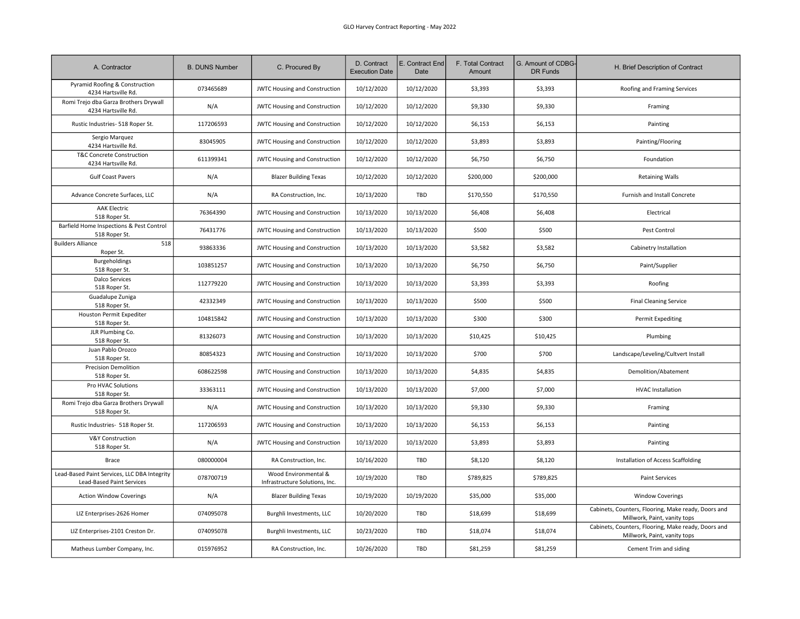| A. Contractor                                                             | <b>B. DUNS Number</b> | C. Procured By                                         | D. Contract<br><b>Execution Date</b> | E. Contract End<br>Date | F. Total Contract<br>Amount | G. Amount of CDBG-<br>DR Funds | H. Brief Description of Contract                                                    |
|---------------------------------------------------------------------------|-----------------------|--------------------------------------------------------|--------------------------------------|-------------------------|-----------------------------|--------------------------------|-------------------------------------------------------------------------------------|
| Pyramid Roofing & Construction<br>4234 Hartsville Rd.                     | 073465689             | <b>JWTC Housing and Construction</b>                   | 10/12/2020                           | 10/12/2020              | \$3,393                     | \$3,393                        | Roofing and Framing Services                                                        |
| Romi Trejo dba Garza Brothers Drywall<br>4234 Hartsville Rd.              | N/A                   | <b>JWTC Housing and Construction</b>                   | 10/12/2020                           | 10/12/2020              | \$9,330                     | \$9,330                        | Framing                                                                             |
| Rustic Industries- 518 Roper St.                                          | 117206593             | <b>JWTC Housing and Construction</b>                   | 10/12/2020                           | 10/12/2020              | \$6,153                     | \$6,153                        | Painting                                                                            |
| Sergio Marquez<br>4234 Hartsville Rd.                                     | 83045905              | <b>JWTC Housing and Construction</b>                   | 10/12/2020                           | 10/12/2020              | \$3,893                     | \$3,893                        | Painting/Flooring                                                                   |
| T&C Concrete Construction<br>4234 Hartsville Rd.                          | 611399341             | JWTC Housing and Construction                          | 10/12/2020                           | 10/12/2020              | \$6,750                     | \$6,750                        | Foundation                                                                          |
| <b>Gulf Coast Pavers</b>                                                  | N/A                   | <b>Blazer Building Texas</b>                           | 10/12/2020                           | 10/12/2020              | \$200,000                   | \$200,000                      | <b>Retaining Walls</b>                                                              |
| Advance Concrete Surfaces, LLC                                            | N/A                   | RA Construction, Inc.                                  | 10/13/2020                           | TBD                     | \$170,550                   | \$170,550                      | Furnish and Install Concrete                                                        |
| <b>AAK Electric</b><br>518 Roper St.                                      | 76364390              | JWTC Housing and Construction                          | 10/13/2020                           | 10/13/2020              | \$6,408                     | \$6,408                        | Electrical                                                                          |
| Barfield Home Inspections & Pest Control<br>518 Roper St.                 | 76431776              | <b>JWTC Housing and Construction</b>                   | 10/13/2020                           | 10/13/2020              | \$500                       | \$500                          | Pest Control                                                                        |
| <b>Builders Alliance</b><br>518<br>Roper St.                              | 93863336              | <b>JWTC Housing and Construction</b>                   | 10/13/2020                           | 10/13/2020              | \$3,582                     | \$3,582                        | Cabinetry Installation                                                              |
| Burgeholdings<br>518 Roper St.                                            | 103851257             | <b>JWTC Housing and Construction</b>                   | 10/13/2020                           | 10/13/2020              | \$6,750                     | \$6,750                        | Paint/Supplier                                                                      |
| <b>Dalco Services</b><br>518 Roper St.                                    | 112779220             | JWTC Housing and Construction                          | 10/13/2020                           | 10/13/2020              | \$3,393                     | \$3,393                        | Roofing                                                                             |
| Guadalupe Zuniga<br>518 Roper St.                                         | 42332349              | <b>JWTC Housing and Construction</b>                   | 10/13/2020                           | 10/13/2020              | \$500                       | \$500                          | <b>Final Cleaning Service</b>                                                       |
| Houston Permit Expediter<br>518 Roper St.                                 | 104815842             | JWTC Housing and Construction                          | 10/13/2020                           | 10/13/2020              | \$300                       | \$300                          | Permit Expediting                                                                   |
| JLR Plumbing Co.<br>518 Roper St.                                         | 81326073              | <b>JWTC Housing and Construction</b>                   | 10/13/2020                           | 10/13/2020              | \$10,425                    | \$10,425                       | Plumbing                                                                            |
| Juan Pablo Orozco<br>518 Roper St.                                        | 80854323              | <b>JWTC Housing and Construction</b>                   | 10/13/2020                           | 10/13/2020              | \$700                       | \$700                          | Landscape/Leveling/Cultvert Install                                                 |
| <b>Precision Demolition</b><br>518 Roper St.                              | 608622598             | JWTC Housing and Construction                          | 10/13/2020                           | 10/13/2020              | \$4,835                     | \$4,835                        | Demolition/Abatement                                                                |
| Pro HVAC Solutions<br>518 Roper St.                                       | 33363111              | <b>JWTC Housing and Construction</b>                   | 10/13/2020                           | 10/13/2020              | \$7,000                     | \$7,000                        | <b>HVAC Installation</b>                                                            |
| Romi Trejo dba Garza Brothers Drywall<br>518 Roper St.                    | N/A                   | <b>JWTC Housing and Construction</b>                   | 10/13/2020                           | 10/13/2020              | \$9,330                     | \$9,330                        | Framing                                                                             |
| Rustic Industries- 518 Roper St.                                          | 117206593             | <b>JWTC Housing and Construction</b>                   | 10/13/2020                           | 10/13/2020              | \$6,153                     | \$6,153                        | Painting                                                                            |
| <b>V&amp;Y Construction</b><br>518 Roper St.                              | N/A                   | <b>JWTC Housing and Construction</b>                   | 10/13/2020                           | 10/13/2020              | \$3,893                     | \$3,893                        | Painting                                                                            |
| <b>Brace</b>                                                              | 080000004             | RA Construction, Inc.                                  | 10/16/2020                           | TBD                     | \$8,120                     | \$8,120                        | Installation of Access Scaffolding                                                  |
| Lead-Based Paint Services, LLC DBA Integrity<br>Lead-Based Paint Services | 078700719             | Wood Environmental &<br>Infrastructure Solutions, Inc. | 10/19/2020                           | TBD                     | \$789,825                   | \$789,825                      | <b>Paint Services</b>                                                               |
| <b>Action Window Coverings</b>                                            | N/A                   | <b>Blazer Building Texas</b>                           | 10/19/2020                           | 10/19/2020              | \$35,000                    | \$35,000                       | <b>Window Coverings</b>                                                             |
| LIZ Enterprises-2626 Homer                                                | 074095078             | Burghli Investments, LLC                               | 10/20/2020                           | TBD                     | \$18,699                    | \$18,699                       | Cabinets, Counters, Flooring, Make ready, Doors and<br>Millwork, Paint, vanity tops |
| LIZ Enterprises-2101 Creston Dr.                                          | 074095078             | Burghli Investments, LLC                               | 10/23/2020                           | <b>TBD</b>              | \$18,074                    | \$18,074                       | Cabinets, Counters, Flooring, Make ready, Doors and<br>Millwork, Paint, vanity tops |
| Matheus Lumber Company, Inc.                                              | 015976952             | RA Construction, Inc.                                  | 10/26/2020                           | TBD                     | \$81,259                    | \$81,259                       | Cement Trim and siding                                                              |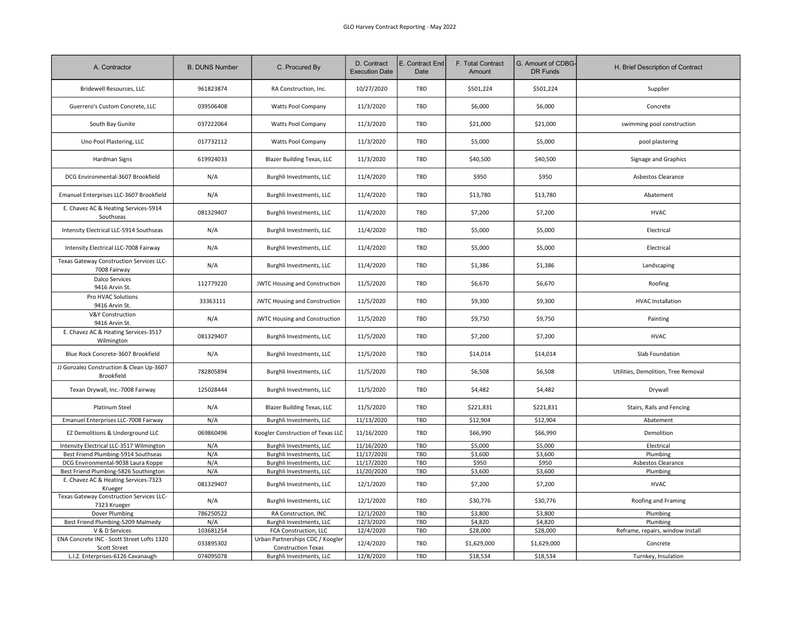| A. Contractor                                                     | <b>B. DUNS Number</b> | C. Procured By                                                | D. Contract<br><b>Execution Date</b> | E. Contract End<br>Date | F. Total Contract<br>Amount | G. Amount of CDBG<br>DR Funds | H. Brief Description of Contract    |
|-------------------------------------------------------------------|-----------------------|---------------------------------------------------------------|--------------------------------------|-------------------------|-----------------------------|-------------------------------|-------------------------------------|
| Bridewell Resources, LLC                                          | 961823874             | RA Construction, Inc.                                         | 10/27/2020                           | TBD                     | \$501,224                   | \$501,224                     | Supplier                            |
| Guerrero's Custom Concrete, LLC                                   | 039506408             | Watts Pool Company                                            | 11/3/2020                            | TBD                     | \$6,000                     | \$6,000                       | Concrete                            |
| South Bay Gunite                                                  | 037222064             | Watts Pool Company                                            | 11/3/2020                            | TBD                     | \$21,000                    | \$21,000                      | swimming pool construction          |
| Uno Pool Plastering, LLC                                          | 017732112             | <b>Watts Pool Company</b>                                     | 11/3/2020                            | TBD                     | \$5,000                     | \$5,000                       | pool plastering                     |
| Hardman Signs                                                     | 619924033             | <b>Blazer Building Texas, LLC</b>                             | 11/3/2020                            | TBD                     | \$40,500                    | \$40,500                      | Signage and Graphics                |
| DCG Environmental-3607 Brookfield                                 | N/A                   | Burghli Investments, LLC                                      | 11/4/2020                            | TBD                     | \$950                       | \$950                         | Asbestos Clearance                  |
| Emanuel Enterprises LLC-3607 Brookfield                           | N/A                   | Burghli Investments, LLC                                      | 11/4/2020                            | TBD                     | \$13,780                    | \$13,780                      | Abatement                           |
| E. Chavez AC & Heating Services-5914<br>Southseas                 | 081329407             | Burghli Investments, LLC                                      | 11/4/2020                            | TBD                     | \$7,200                     | \$7,200                       | <b>HVAC</b>                         |
| Intensity Electrical LLC-5914 Southseas                           | N/A                   | Burghli Investments, LLC                                      | 11/4/2020                            | TBD                     | \$5,000                     | \$5,000                       | Electrical                          |
| Intensity Electrical LLC-7008 Fairway                             | N/A                   | Burghli Investments, LLC                                      | 11/4/2020                            | TBD                     | \$5,000                     | \$5,000                       | Electrical                          |
| Texas Gateway Construction Services LLC-<br>7008 Fairway          | N/A                   | Burghli Investments, LLC                                      | 11/4/2020                            | TBD                     | \$1,386                     | \$1,386                       | Landscaping                         |
| <b>Dalco Services</b><br>9416 Arvin St.                           | 112779220             | <b>JWTC Housing and Construction</b>                          | 11/5/2020                            | TBD                     | \$6,670                     | \$6,670                       | Roofing                             |
| Pro HVAC Solutions<br>9416 Arvin St.                              | 33363111              | <b>JWTC Housing and Construction</b>                          | 11/5/2020                            | TBD                     | \$9,300                     | \$9,300                       | <b>HVAC Installation</b>            |
| <b>V&amp;Y Construction</b><br>9416 Arvin St.                     | N/A                   | <b>JWTC Housing and Construction</b>                          | 11/5/2020                            | TBD                     | \$9,750                     | \$9,750                       | Painting                            |
| E. Chavez AC & Heating Services-3517<br>Wilmington                | 081329407             | Burghli Investments, LLC                                      | 11/5/2020                            | TBD                     | \$7,200                     | \$7,200                       | <b>HVAC</b>                         |
| Blue Rock Concrete-3607 Brookfield                                | N/A                   | Burghli Investments, LLC                                      | 11/5/2020                            | TBD                     | \$14,014                    | \$14,014                      | Slab Foundation                     |
| JJ Gonzalez Construction & Clean Up-3607<br>Brookfield            | 782805894             | Burghli Investments, LLC                                      | 11/5/2020                            | TBD                     | \$6,508                     | \$6,508                       | Utilities, Demolition, Tree Removal |
| Texan Drywall, Inc.-7008 Fairway                                  | 125028444             | Burghli Investments, LLC                                      | 11/5/2020                            | TBD                     | \$4,482                     | \$4,482                       | Drywall                             |
| Platinum Steel                                                    | N/A                   | <b>Blazer Building Texas, LLC</b>                             | 11/5/2020                            | TBD                     | \$221,831                   | \$221,831                     | Stairs, Rails and Fencing           |
| Emanuel Enterprises LLC-7008 Fairway                              | N/A                   | Burghli Investments, LLC                                      | 11/13/2020                           | TBD                     | \$12,904                    | \$12,904                      | Abatement                           |
| EZ Demolitions & Underground LLC                                  | 069860496             | Koogler Construction of Texas LLC                             | 11/16/2020                           | <b>TBD</b>              | \$66,990                    | \$66,990                      | Demolition                          |
| Intensity Electrical LLC-3517 Wilmington                          | N/A                   | Burghli Investments, LLC                                      | 11/16/2020                           | TBD                     | \$5,000                     | \$5,000                       | Electrical                          |
| Best Friend Plumbing-5914 Southseas                               | N/A                   | Burghli Investments, LLC                                      | 11/17/2020                           | TBD                     | \$3,600                     | \$3,600                       | Plumbing                            |
| DCG Environmental-9038 Laura Koppe                                | N/A                   | Burghli Investments, LLC                                      | 11/17/2020                           | TBD                     | \$950                       | \$950                         | Asbestos Clearance                  |
| Best Friend Plumbing-5826 Southington                             | N/A                   | Burghli Investments, LLC                                      | 11/20/2020                           | TBD                     | \$3,600                     | \$3,600                       | Plumbing                            |
| E. Chavez AC & Heating Services-7323<br>Krueger                   | 081329407             | Burghli Investments, LLC                                      | 12/1/2020                            | TBD                     | \$7,200                     | \$7,200                       | <b>HVAC</b>                         |
| Texas Gateway Construction Services LLC-<br>7323 Krueger          | N/A                   | Burghli Investments, LLC                                      | 12/1/2020                            | <b>TBD</b>              | \$30,776                    | \$30,776                      | Roofing and Framing                 |
| Dover Plumbing                                                    | 786250522             | RA Construction, INC                                          | 12/1/2020                            | TBD                     | \$3,800                     | \$3,800                       | Plumbing                            |
| Best Friend Plumbing-5209 Malmedy                                 | N/A                   | Burghli Investments, LLC                                      | 12/3/2020                            | TBD                     | \$4,820                     | \$4,820                       | Plumbing                            |
| V & D Services                                                    | 103681254             | FCA Construction, LLC                                         | 12/4/2020                            | TBD                     | \$28,000                    | \$28,000                      | Reframe, repairs, window install    |
| ENA Concrete INC - Scott Street Lofts 1320<br><b>Scott Street</b> | 033895302             | Urban Partnerships CDC / Koogler<br><b>Construction Texas</b> | 12/4/2020                            | TBD                     | \$1,629,000                 | \$1,629,000                   | Concrete                            |
| L.I.Z. Enterprises-6126 Cavanaugh                                 | 074095078             | Burghli Investments, LLC                                      | 12/8/2020                            | TBD                     | \$18,534                    | \$18,534                      | Turnkey, Insulation                 |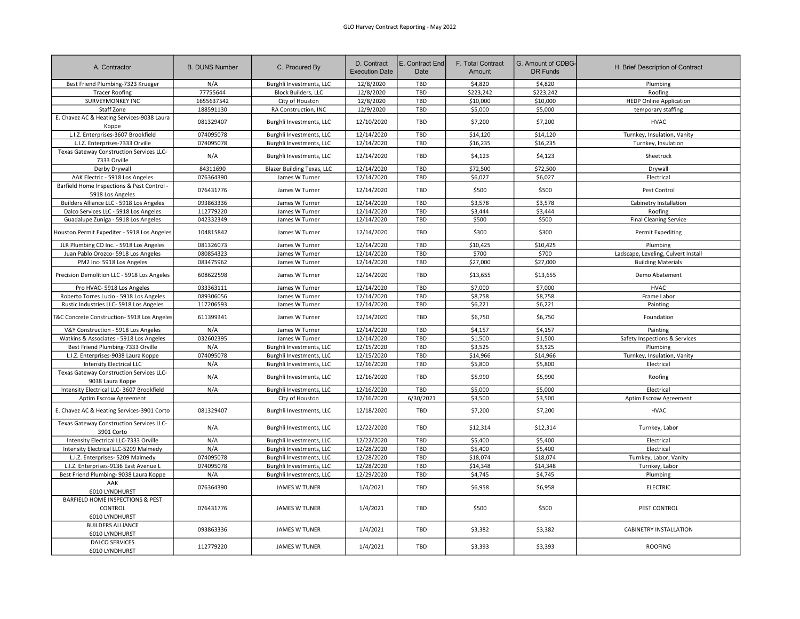| A. Contractor                                                  | <b>B. DUNS Number</b> | C. Procured By                    | D. Contract<br><b>Execution Date</b> | E. Contract End<br>Date | F. Total Contract<br>Amount | G. Amount of CDBG-<br><b>DR Funds</b> | H. Brief Description of Contract    |
|----------------------------------------------------------------|-----------------------|-----------------------------------|--------------------------------------|-------------------------|-----------------------------|---------------------------------------|-------------------------------------|
| Best Friend Plumbing-7323 Krueger                              | N/A                   | Burghli Investments, LLC          | 12/8/2020                            | TBD                     | \$4,820                     | \$4,820                               | Plumbing                            |
| <b>Tracer Roofing</b>                                          | 77755644              | <b>Block Builders, LLC</b>        | 12/8/2020                            | TBD                     | \$223,242                   | \$223,242                             | Roofing                             |
| SURVEYMONKEY INC                                               | 1655637542            | City of Houston                   | 12/8/2020                            | TBD                     | \$10,000                    | \$10,000                              | <b>HEDP Online Application</b>      |
| Staff Zone                                                     | 188591130             | RA Construction, INC              | 12/9/2020                            | TBD                     | \$5,000                     | \$5,000                               | temporary staffing                  |
| E. Chavez AC & Heating Services-9038 Laura<br>Koppe            | 081329407             | Burghli Investments, LLC          | 12/10/2020                           | TBD                     | \$7,200                     | \$7,200                               | <b>HVAC</b>                         |
| L.I.Z. Enterprises-3607 Brookfield                             | 074095078             | Burghli Investments, LLC          | 12/14/2020                           | TBD                     | \$14,120                    | \$14,120                              | Turnkey, Insulation, Vanity         |
| L.I.Z. Enterprises-7333 Orville                                | 074095078             | Burghli Investments, LLC          | 12/14/2020                           | TBD                     | \$16,235                    | \$16,235                              | Turnkey, Insulation                 |
| Texas Gateway Construction Services LLC-<br>7333 Orville       | N/A                   | Burghli Investments, LLC          | 12/14/2020                           | TBD                     | \$4,123                     | \$4,123                               | Sheetrock                           |
| Derby Drywall                                                  | 84311690              | <b>Blazer Building Texas, LLC</b> | 12/14/2020                           | TBD                     | \$72,500                    | \$72,500                              | Drywall                             |
| AAK Electric - 5918 Los Angeles                                | 076364390             | James W Turner                    | 12/14/2020                           | TBD                     | \$6,027                     | \$6,027                               | Electrical                          |
| Barfield Home Inspections & Pest Control -<br>5918 Los Angeles | 076431776             | James W Turner                    | 12/14/2020                           | TBD                     | \$500                       | \$500                                 | Pest Control                        |
| Builders Alliance LLC - 5918 Los Angeles                       | 093863336             | James W Turner                    | 12/14/2020                           | TBD                     | \$3,578                     | \$3,578                               | Cabinetry Installation              |
| Dalco Services LLC - 5918 Los Angeles                          | 112779220             | James W Turner                    | 12/14/2020                           | TBD                     | \$3,444                     | \$3,444                               | Roofing                             |
| Guadalupe Zuniga - 5918 Los Angeles                            | 042332349             | James W Turner                    | 12/14/2020                           | TBD                     | \$500                       | \$500                                 | <b>Final Cleaning Service</b>       |
| Houston Permit Expediter - 5918 Los Angeles                    | 104815842             | James W Turner                    | 12/14/2020                           | TBD                     | \$300                       | \$300                                 | <b>Permit Expediting</b>            |
| JLR Plumbing CO Inc. - 5918 Los Angeles                        | 081326073             | James W Turner                    | 12/14/2020                           | TBD                     | \$10,425                    | \$10,425                              | Plumbing                            |
| Juan Pablo Orozco- 5918 Los Angeles                            | 080854323             | James W Turner                    | 12/14/2020                           | TBD                     | \$700                       | \$700                                 | Ladscape, Leveling, Culvert Install |
| PM2 Inc-5918 Los Angeles                                       | 083475962             | James W Turner                    | 12/14/2020                           | TBD                     | \$27,000                    | \$27,000                              | <b>Building Materials</b>           |
| Precision Demolition LLC - 5918 Los Angeles                    | 608622598             | James W Turner                    | 12/14/2020                           | TBD                     | \$13,655                    | \$13,655                              | Demo Abatement                      |
| Pro HVAC-5918 Los Angeles                                      | 033363111             | James W Turner                    | 12/14/2020                           | TBD                     | \$7,000                     | \$7.000                               | <b>HVAC</b>                         |
| Roberto Torres Lucio - 5918 Los Angeles                        | 089306056             | James W Turner                    | 12/14/2020                           | TBD                     | \$8,758                     | \$8,758                               | Frame Labor                         |
| Rustic Industries LLC-5918 Los Angeles                         | 117206593             | James W Turner                    | 12/14/2020                           | TBD                     | \$6,221                     | \$6,221                               | Painting                            |
| T&C Concrete Construction- 5918 Los Angeles                    | 611399341             | James W Turner                    | 12/14/2020                           | TBD                     | \$6,750                     | \$6,750                               | Foundation                          |
| V&Y Construction - 5918 Los Angeles                            | N/A                   | James W Turner                    | 12/14/2020                           | TBD                     | \$4,157                     | \$4,157                               | Painting                            |
| Watkins & Associates - 5918 Los Angeles                        | 032602395             | James W Turner                    | 12/14/2020                           | TBD                     | \$1,500                     | \$1,500                               | Safety Inspections & Services       |
| Best Friend Plumbing-7333 Orville                              | N/A                   | Burghli Investments, LLC          | 12/15/2020                           | TBD                     | \$3,525                     | \$3,525                               | Plumbing                            |
| L.I.Z. Enterprises-9038 Laura Koppe                            | 074095078             | Burghli Investments, LLC          | 12/15/2020                           | TBD                     | \$14,966                    | \$14,966                              | Turnkey, Insulation, Vanity         |
| <b>Intensity Electrical LLC</b>                                | N/A                   | Burghli Investments, LLC          | 12/16/2020                           | TBD                     | \$5,800                     | \$5,800                               | Electrical                          |
| Texas Gateway Construction Services LLC-<br>9038 Laura Koppe   | N/A                   | Burghli Investments, LLC          | 12/16/2020                           | TBD                     | \$5,990                     | \$5,990                               | Roofing                             |
| Intensity Electrical LLC-3607 Brookfield                       | N/A                   | Burghli Investments, LLC          | 12/16/2020                           | TBD                     | \$5,000                     | \$5,000                               | Electrical                          |
| Aptim Escrow Agreement                                         |                       | City of Houston                   | 12/16/2020                           | 6/30/2021               | \$3,500                     | \$3,500                               | Aptim Escrow Agreement              |
| E. Chavez AC & Heating Services-3901 Corto                     | 081329407             | Burghli Investments, LLC          | 12/18/2020                           | TBD                     | \$7,200                     | \$7,200                               | <b>HVAC</b>                         |
| Texas Gateway Construction Services LLC-<br>3901 Corto         | N/A                   | Burghli Investments, LLC          | 12/22/2020                           | TBD                     | \$12,314                    | \$12,314                              | Turnkey, Labor                      |
| Intensity Electrical LLC-7333 Orville                          | N/A                   | Burghli Investments, LLC          | 12/22/2020                           | TBD                     | \$5,400                     | \$5.400                               | Electrical                          |
| Intensity Electrical LLC-5209 Malmedy                          | N/A                   | Burghli Investments, LLC          | 12/28/2020                           | TBD                     | \$5,400                     | \$5,400                               | Electrical                          |
| L.I.Z. Enterprises- 5209 Malmedy                               | 074095078             | Burghli Investments, LLC          | 12/28/2020                           | TBD                     | \$18,074                    | \$18,074                              | Turnkey, Labor, Vanity              |
| L.I.Z. Enterprises-9136 East Avenue L                          | 074095078             | Burghli Investments, LLC          | 12/28/2020                           | TBD                     | \$14,348                    | \$14,348                              | Turnkey, Labor                      |
| Best Friend Plumbing- 9038 Laura Koppe                         | N/A                   | Burghli Investments, LLC          | 12/29/2020                           | TBD                     | \$4,745                     | \$4,745                               | Plumbing                            |
| AAK<br>6010 LYNDHURST                                          | 076364390             | <b>JAMES W TUNER</b>              | 1/4/2021                             | TBD                     | \$6,958                     | \$6,958                               | <b>ELECTRIC</b>                     |
| BARFIELD HOME INSPECTIONS & PEST<br>CONTROL<br>6010 LYNDHURST  | 076431776             | <b>JAMES W TUNER</b>              | 1/4/2021                             | TBD                     | \$500                       | \$500                                 | PEST CONTROL                        |
| <b>BUILDERS ALLIANCE</b><br>6010 LYNDHURST                     | 093863336             | <b>JAMES W TUNER</b>              | 1/4/2021                             | TBD                     | \$3,382                     | \$3,382                               | CABINETRY INSTALLATION              |
| <b>DALCO SERVICES</b><br>6010 LYNDHURST                        | 112779220             | <b>JAMES W TUNER</b>              | 1/4/2021                             | TBD                     | \$3,393                     | \$3,393                               | <b>ROOFING</b>                      |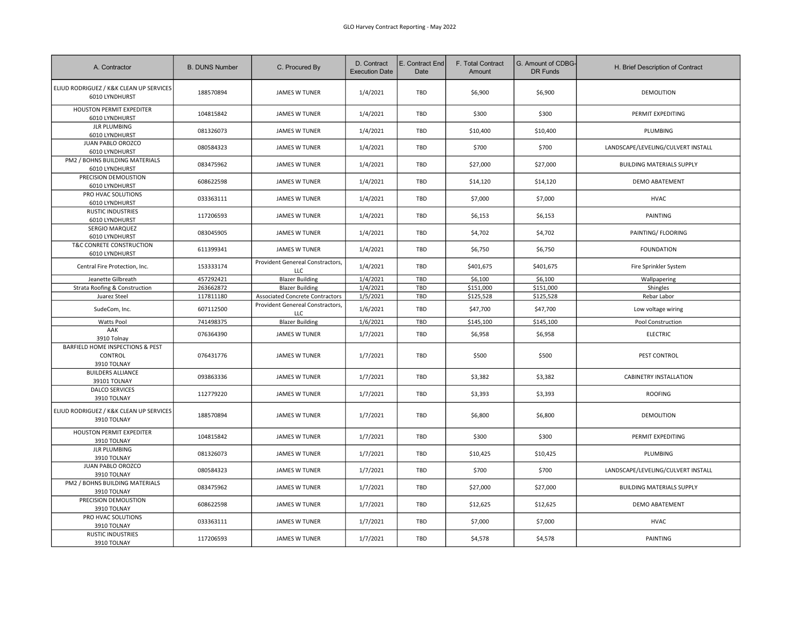| A. Contractor                                              | <b>B. DUNS Number</b> | C. Procured By                                 | D. Contract<br><b>Execution Date</b> | E. Contract End<br>Date | F. Total Contract<br>Amount | G. Amount of CDBG-<br>DR Funds | H. Brief Description of Contract   |
|------------------------------------------------------------|-----------------------|------------------------------------------------|--------------------------------------|-------------------------|-----------------------------|--------------------------------|------------------------------------|
| ELIUD RODRIGUEZ / K&K CLEAN UP SERVICES<br>6010 LYNDHURST  | 188570894             | <b>JAMES W TUNER</b>                           | 1/4/2021                             | TBD                     | \$6,900                     | \$6,900                        | <b>DEMOLITION</b>                  |
| HOUSTON PERMIT EXPEDITER<br>6010 LYNDHURST                 | 104815842             | <b>JAMES W TUNER</b>                           | 1/4/2021                             | TBD                     | \$300                       | \$300                          | PERMIT EXPEDITING                  |
| <b>JLR PLUMBING</b><br>6010 LYNDHURST                      | 081326073             | <b>JAMES W TUNER</b>                           | 1/4/2021                             | TBD                     | \$10,400                    | \$10,400                       | PLUMBING                           |
| JUAN PABLO OROZCO<br>6010 LYNDHURST                        | 080584323             | <b>JAMES W TUNER</b>                           | 1/4/2021                             | TBD                     | \$700                       | \$700                          | LANDSCAPE/LEVELING/CULVERT INSTALL |
| PM2 / BOHNS BUILDING MATERIALS<br>6010 LYNDHURST           | 083475962             | <b>JAMES W TUNER</b>                           | 1/4/2021                             | <b>TBD</b>              | \$27,000                    | \$27,000                       | <b>BUILDING MATERIALS SUPPLY</b>   |
| PRECISION DEMOLISTION<br>6010 LYNDHURST                    | 608622598             | <b>JAMES W TUNER</b>                           | 1/4/2021                             | TBD                     | \$14,120                    | \$14,120                       | DEMO ABATEMENT                     |
| PRO HVAC SOLUTIONS<br>6010 LYNDHURST                       | 033363111             | <b>JAMES W TUNER</b>                           | 1/4/2021                             | TBD                     | \$7,000                     | \$7,000                        | <b>HVAC</b>                        |
| <b>RUSTIC INDUSTRIES</b><br>6010 LYNDHURST                 | 117206593             | <b>JAMES W TUNER</b>                           | 1/4/2021                             | TBD                     | \$6,153                     | \$6,153                        | <b>PAINTING</b>                    |
| SERGIO MARQUEZ<br>6010 LYNDHURST                           | 083045905             | <b>JAMES W TUNER</b>                           | 1/4/2021                             | TBD                     | \$4,702                     | \$4,702                        | PAINTING/ FLOORING                 |
| T&C CONRETE CONSTRUCTION<br>6010 LYNDHURST                 | 611399341             | <b>JAMES W TUNER</b>                           | 1/4/2021                             | TBD                     | \$6,750                     | \$6,750                        | <b>FOUNDATION</b>                  |
| Central Fire Protection, Inc.                              | 153333174             | Provident Genereal Constractors,<br><b>LLC</b> | 1/4/2021                             | TBD                     | \$401,675                   | \$401,675                      | Fire Sprinkler System              |
| Jeanette Gilbreath                                         | 457292421             | <b>Blazer Building</b>                         | 1/4/2021                             | TBD                     | \$6,100                     | \$6,100                        | Wallpapering                       |
| Strata Roofing & Construction                              | 263662872             | <b>Blazer Building</b>                         | 1/4/2021                             | TBD                     | \$151,000                   | \$151,000                      | Shingles                           |
| Juarez Steel                                               | 117811180             | Associated Concrete Contractors                | 1/5/2021                             | TBD                     | \$125,528                   | \$125,528                      | Rebar Labor                        |
| SudeCom, Inc.                                              | 607112500             | Provident Genereal Constractors,<br><b>LLC</b> | 1/6/2021                             | TBD                     | \$47,700                    | \$47,700                       | Low voltage wiring                 |
| Watts Pool                                                 | 741498375             | <b>Blazer Building</b>                         | 1/6/2021                             | TBD                     | \$145,100                   | \$145,100                      | Pool Construction                  |
| AAK<br>3910 Tolnay                                         | 076364390             | <b>JAMES W TUNER</b>                           | 1/7/2021                             | TBD                     | \$6,958                     | \$6,958                        | <b>ELECTRIC</b>                    |
| BARFIELD HOME INSPECTIONS & PEST<br>CONTROL<br>3910 TOLNAY | 076431776             | <b>JAMES W TUNER</b>                           | 1/7/2021                             | TBD                     | \$500                       | \$500                          | PEST CONTROL                       |
| <b>BUILDERS ALLIANCE</b><br>39101 TOLNAY                   | 093863336             | <b>JAMES W TUNER</b>                           | 1/7/2021                             | TBD                     | \$3,382                     | \$3,382                        | CABINETRY INSTALLATION             |
| <b>DALCO SERVICES</b><br>3910 TOLNAY                       | 112779220             | <b>JAMES W TUNER</b>                           | 1/7/2021                             | TBD                     | \$3,393                     | \$3,393                        | <b>ROOFING</b>                     |
| ELIUD RODRIGUEZ / K&K CLEAN UP SERVICES<br>3910 TOLNAY     | 188570894             | <b>JAMES W TUNER</b>                           | 1/7/2021                             | TBD                     | \$6,800                     | \$6,800                        | <b>DEMOLITION</b>                  |
| HOUSTON PERMIT EXPEDITER<br>3910 TOLNAY                    | 104815842             | <b>JAMES W TUNER</b>                           | 1/7/2021                             | TBD                     | \$300                       | \$300                          | PERMIT EXPEDITING                  |
| <b>JLR PLUMBING</b><br>3910 TOLNAY                         | 081326073             | <b>JAMES W TUNER</b>                           | 1/7/2021                             | TBD                     | \$10,425                    | \$10,425                       | PLUMBING                           |
| JUAN PABLO OROZCO<br>3910 TOLNAY                           | 080584323             | <b>JAMES W TUNER</b>                           | 1/7/2021                             | TBD                     | \$700                       | \$700                          | LANDSCAPE/LEVELING/CULVERT INSTALL |
| PM2 / BOHNS BUILDING MATERIALS<br>3910 TOLNAY              | 083475962             | <b>JAMES W TUNER</b>                           | 1/7/2021                             | TBD                     | \$27,000                    | \$27,000                       | <b>BUILDING MATERIALS SUPPLY</b>   |
| PRECISION DEMOLISTION<br>3910 TOLNAY                       | 608622598             | <b>JAMES W TUNER</b>                           | 1/7/2021                             | TBD                     | \$12,625                    | \$12,625                       | <b>DEMO ABATEMENT</b>              |
| PRO HVAC SOLUTIONS<br>3910 TOLNAY                          | 033363111             | <b>JAMES W TUNER</b>                           | 1/7/2021                             | TBD                     | \$7,000                     | \$7,000                        | <b>HVAC</b>                        |
| <b>RUSTIC INDUSTRIES</b><br>3910 TOLNAY                    | 117206593             | <b>JAMES W TUNER</b>                           | 1/7/2021                             | TBD                     | \$4,578                     | \$4,578                        | <b>PAINTING</b>                    |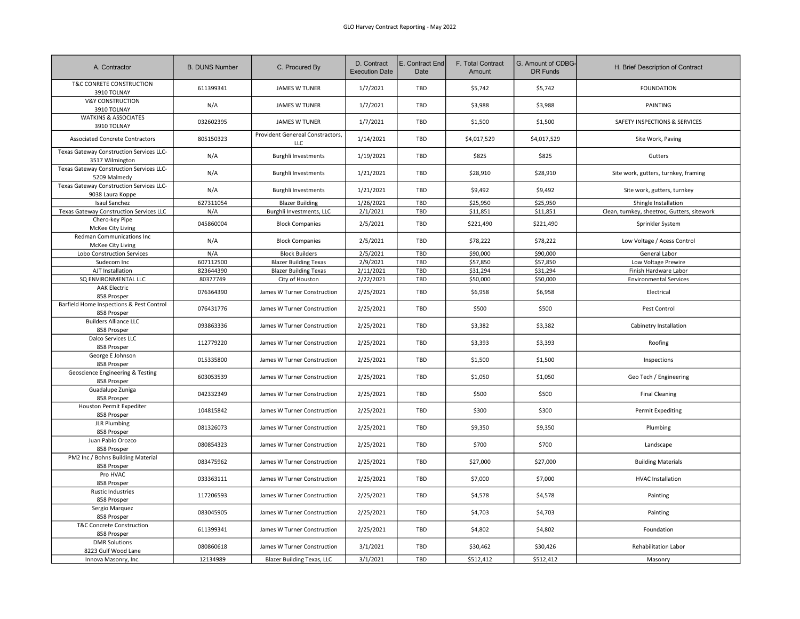| A. Contractor                                                | <b>B. DUNS Number</b> | C. Procured By                                 | D. Contract<br><b>Execution Date</b> | E. Contract End<br>Date | F. Total Contract<br>Amount | G. Amount of CDBG-<br><b>DR Funds</b> | H. Brief Description of Contract            |
|--------------------------------------------------------------|-----------------------|------------------------------------------------|--------------------------------------|-------------------------|-----------------------------|---------------------------------------|---------------------------------------------|
| T&C CONRETE CONSTRUCTION<br>3910 TOLNAY                      | 611399341             | <b>JAMES W TUNER</b>                           | 1/7/2021                             | TBD                     | \$5,742                     | \$5,742                               | <b>FOUNDATION</b>                           |
| <b>V&amp;Y CONSTRUCTION</b><br>3910 TOLNAY                   | N/A                   | <b>JAMES W TUNER</b>                           | 1/7/2021                             | TBD                     | \$3,988                     | \$3,988                               | PAINTING                                    |
| <b>WATKINS &amp; ASSOCIATES</b><br>3910 TOLNAY               | 032602395             | <b>JAMES W TUNER</b>                           | 1/7/2021                             | TBD                     | \$1,500                     | \$1,500                               | SAFETY INSPECTIONS & SERVICES               |
| <b>Associated Concrete Contractors</b>                       | 805150323             | Provident Genereal Constractors,<br><b>LLC</b> | 1/14/2021                            | TBD                     | \$4,017,529                 | \$4,017,529                           | Site Work, Paving                           |
| Texas Gateway Construction Services LLC-<br>3517 Wilmington  | N/A                   | <b>Burghli Investments</b>                     | 1/19/2021                            | TBD                     | \$825                       | \$825                                 | Gutters                                     |
| Texas Gateway Construction Services LLC-<br>5209 Malmedy     | N/A                   | <b>Burghli Investments</b>                     | 1/21/2021                            | TBD                     | \$28,910                    | \$28,910                              | Site work, gutters, turnkey, framing        |
| Texas Gateway Construction Services LLC-<br>9038 Laura Koppe | N/A                   | <b>Burghli Investments</b>                     | 1/21/2021                            | TBD                     | \$9,492                     | \$9,492                               | Site work, gutters, turnkey                 |
| Isaul Sanchez                                                | 627311054             | <b>Blazer Building</b>                         | 1/26/2021                            | TBD                     | \$25,950                    | \$25,950                              | Shingle Installation                        |
| Texas Gateway Construction Services LLC                      | N/A                   | Burghli Investments, LLC                       | 2/1/2021                             | TBD                     | \$11,851                    | \$11,851                              | Clean, turnkey, sheetroc, Gutters, sitework |
| Chero-key Pipe<br>McKee City Living                          | 045860004             | <b>Block Companies</b>                         | 2/5/2021                             | TBD                     | \$221,490                   | \$221,490                             | Sprinkler System                            |
| Redman Communications Inc<br>McKee City Living               | N/A                   | <b>Block Companies</b>                         | 2/5/2021                             | TBD                     | \$78,222                    | \$78,222                              | Low Voltage / Acess Control                 |
| Lobo Construction Services                                   | N/A                   | <b>Block Builders</b>                          | 2/5/2021                             | TBD                     | \$90,000                    | \$90,000                              | General Labor                               |
| Sudecom Inc                                                  | 607112500             | <b>Blazer Building Texas</b>                   | 2/9/2021                             | TBD                     | \$57,850                    | \$57,850                              | Low Voltage Prewire                         |
| AJT Installation                                             | 823644390             | <b>Blazer Building Texas</b>                   | 2/11/2021                            | TBD                     | \$31,294                    | \$31,294                              | Finish Hardware Labor                       |
| SQ ENVIRONMENTAL LLC                                         | 80377749              | City of Houston                                | 2/22/2021                            | TBD                     | \$50,000                    | \$50,000                              | <b>Environmental Services</b>               |
| <b>AAK Electric</b><br>858 Prosper                           | 076364390             | James W Turner Construction                    | 2/25/2021                            | TBD                     | \$6,958                     | \$6,958                               | Electrical                                  |
| Barfield Home Inspections & Pest Control<br>858 Prosper      | 076431776             | James W Turner Construction                    | 2/25/2021                            | TBD                     | \$500                       | \$500                                 | Pest Control                                |
| <b>Builders Alliance LLC</b><br>858 Prosper                  | 093863336             | James W Turner Construction                    | 2/25/2021                            | TBD                     | \$3,382                     | \$3,382                               | Cabinetry Installation                      |
| Dalco Services LLC<br>858 Prosper                            | 112779220             | James W Turner Construction                    | 2/25/2021                            | TBD                     | \$3,393                     | \$3,393                               | Roofing                                     |
| George E Johnson<br>858 Prosper                              | 015335800             | James W Turner Construction                    | 2/25/2021                            | TBD                     | \$1,500                     | \$1,500                               | Inspections                                 |
| Geoscience Engineering & Testing<br>858 Prosper              | 603053539             | James W Turner Construction                    | 2/25/2021                            | TBD                     | \$1,050                     | \$1,050                               | Geo Tech / Engineering                      |
| Guadalupe Zuniga<br>858 Prosper                              | 042332349             | James W Turner Construction                    | 2/25/2021                            | TBD                     | \$500                       | \$500                                 | <b>Final Cleaning</b>                       |
| Houston Permit Expediter<br>858 Prosper                      | 104815842             | James W Turner Construction                    | 2/25/2021                            | TBD                     | \$300                       | \$300                                 | <b>Permit Expediting</b>                    |
| <b>JLR Plumbing</b><br>858 Prosper                           | 081326073             | James W Turner Construction                    | 2/25/2021                            | TBD                     | \$9,350                     | \$9,350                               | Plumbing                                    |
| Juan Pablo Orozco<br>858 Prosper                             | 080854323             | James W Turner Construction                    | 2/25/2021                            | <b>TBD</b>              | \$700                       | \$700                                 | Landscape                                   |
| PM2 Inc / Bohns Building Material<br>858 Prosper             | 083475962             | James W Turner Construction                    | 2/25/2021                            | TBD                     | \$27,000                    | \$27,000                              | <b>Building Materials</b>                   |
| Pro HVAC<br>858 Prosper                                      | 033363111             | James W Turner Construction                    | 2/25/2021                            | TBD                     | \$7,000                     | \$7,000                               | <b>HVAC Installation</b>                    |
| <b>Rustic Industries</b><br>858 Prosper                      | 117206593             | James W Turner Construction                    | 2/25/2021                            | TBD                     | \$4,578                     | \$4,578                               | Painting                                    |
| Sergio Marquez<br>858 Prosper                                | 083045905             | James W Turner Construction                    | 2/25/2021                            | <b>TBD</b>              | \$4,703                     | \$4,703                               | Painting                                    |
| T&C Concrete Construction<br>858 Prosper                     | 611399341             | James W Turner Construction                    | 2/25/2021                            | TBD                     | \$4,802                     | \$4,802                               | Foundation                                  |
| <b>DMR Solutions</b><br>8223 Gulf Wood Lane                  | 080860618             | James W Turner Construction                    | 3/1/2021                             | TBD                     | \$30,462                    | \$30,426                              | Rehabilitation Labor                        |
| Innova Masonry, Inc.                                         | 12134989              | <b>Blazer Building Texas, LLC</b>              | 3/1/2021                             | TBD                     | \$512,412                   | \$512,412                             | Masonry                                     |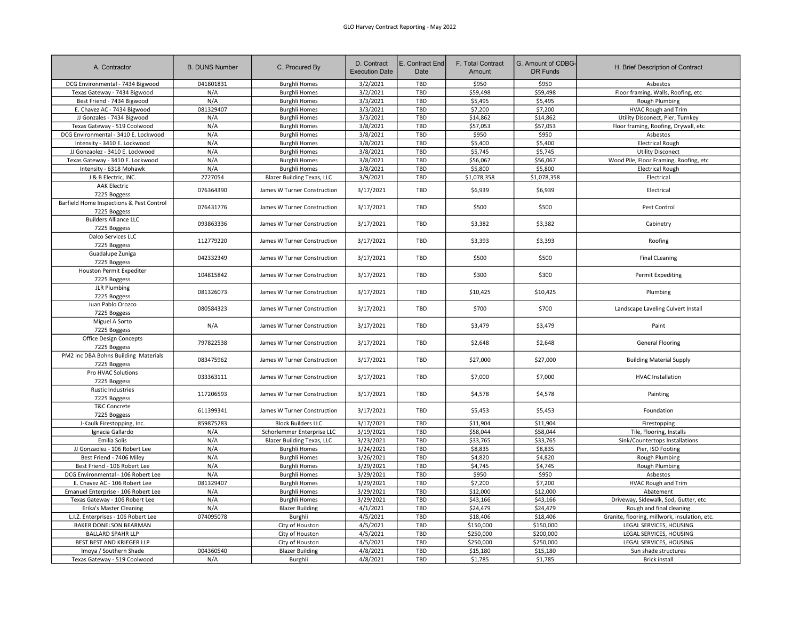| A. Contractor                                            | <b>B. DUNS Number</b> | C. Procured By                    | D. Contract<br><b>Execution Date</b> | E. Contract End<br>Date | F. Total Contract<br>Amount | G. Amount of CDBG-<br>DR Funds | H. Brief Description of Contract              |
|----------------------------------------------------------|-----------------------|-----------------------------------|--------------------------------------|-------------------------|-----------------------------|--------------------------------|-----------------------------------------------|
| DCG Environmental - 7434 Bigwood                         | 041801831             | <b>Burghli Homes</b>              | 3/2/2021                             | TBD                     | \$950                       | \$950                          | Asbestos                                      |
| Texas Gateway - 7434 Bigwood                             | N/A                   | <b>Burghli Homes</b>              | 3/2/2021                             | TBD                     | \$59,498                    | \$59,498                       | Floor framing, Walls, Roofing, etc            |
| Best Friend - 7434 Bigwood                               | N/A                   | <b>Burghli Homes</b>              | 3/3/2021                             | TBD                     | \$5,495                     | \$5,495                        | Rough Plumbing                                |
| E. Chavez AC - 7434 Bigwood                              | 081329407             | <b>Burghli Homes</b>              | 3/3/2021                             | TBD                     | \$7,200                     | \$7,200                        | <b>HVAC Rough and Trim</b>                    |
| JJ Gonzales - 7434 Bigwood                               | N/A                   | <b>Burghli Homes</b>              | 3/3/2021                             | TBD                     | \$14,862                    | \$14,862                       | Utility Disconect, Pier, Turnkey              |
| Texas Gateway - 519 Coolwood                             | N/A                   | <b>Burghli Homes</b>              | 3/8/2021                             | TBD                     | \$57,053                    | \$57,053                       | Floor framing, Roofing, Drywall, etc          |
| DCG Environmental - 3410 E. Lockwood                     | N/A                   | <b>Burghli Homes</b>              | 3/8/2021                             | TBD                     | \$950                       | \$950                          | Asbestos                                      |
| Intensity - 3410 E. Lockwood                             | N/A                   | <b>Burghli Homes</b>              | 3/8/2021                             | TBD                     | \$5,400                     | \$5,400                        | <b>Electrical Rough</b>                       |
| JJ Gonzaolez - 3410 E. Lockwood                          | N/A                   | <b>Burghli Homes</b>              | 3/8/2021                             | TBD                     | \$5,745                     | \$5,745                        | <b>Utility Disconect</b>                      |
| Texas Gateway - 3410 E. Lockwood                         | N/A                   | <b>Burghli Homes</b>              | 3/8/2021                             | TBD                     | \$56,067                    | \$56,067                       | Wood Pile, Floor Framing, Roofing, etc        |
| Intensity - 6318 Mohawk                                  | N/A                   | <b>Burghli Homes</b>              | 3/8/2021                             | TBD                     | \$5,800                     | \$5,800                        | <b>Electrical Rough</b>                       |
| J & B Electric, INC.                                     | 2727054               | <b>Blazer Building Texas, LLC</b> | 3/9/2021                             | TBD                     | \$1,078,358                 | \$1,078,358                    | Electrical                                    |
| <b>AAK Electric</b>                                      |                       |                                   |                                      |                         |                             |                                |                                               |
| 7225 Boggess                                             | 076364390             | James W Turner Construction       | 3/17/2021                            | TBD                     | \$6,939                     | \$6,939                        | Electrical                                    |
| Barfield Home Inspections & Pest Control<br>7225 Boggess | 076431776             | James W Turner Construction       | 3/17/2021                            | TBD                     | \$500                       | \$500                          | Pest Control                                  |
| <b>Builders Alliance LLC</b><br>7225 Boggess             | 093863336             | James W Turner Construction       | 3/17/2021                            | TBD                     | \$3,382                     | \$3,382                        | Cabinetry                                     |
| Dalco Services LLC<br>7225 Boggess                       | 112779220             | James W Turner Construction       | 3/17/2021                            | TBD                     | \$3,393                     | \$3,393                        | Roofing                                       |
| Guadalupe Zuniga<br>7225 Boggess                         | 042332349             | James W Turner Construction       | 3/17/2021                            | TBD                     | \$500                       | \$500                          | <b>Final CLeaning</b>                         |
| Houston Permit Expediter<br>7225 Boggess                 | 104815842             | James W Turner Construction       | 3/17/2021                            | TBD                     | \$300                       | \$300                          | Permit Expediting                             |
| <b>JLR Plumbing</b><br>7225 Boggess                      | 081326073             | James W Turner Construction       | 3/17/2021                            | TBD                     | \$10,425                    | \$10,425                       | Plumbing                                      |
| Juan Pablo Orozco<br>7225 Boggess                        | 080584323             | James W Turner Construction       | 3/17/2021                            | TBD                     | \$700                       | \$700                          | Landscape Laveling Culvert Install            |
| Miguel A Sorto<br>7225 Boggess                           | N/A                   | James W Turner Construction       | 3/17/2021                            | TBD                     | \$3,479                     | \$3,479                        | Paint                                         |
| Office Design Concepts<br>7225 Boggess                   | 797822538             | James W Turner Construction       | 3/17/2021                            | TBD                     | \$2,648                     | \$2,648                        | General Flooring                              |
| PM2 Inc DBA Bohns Building Materials<br>7225 Boggess     | 083475962             | James W Turner Construction       | 3/17/2021                            | TBD                     | \$27,000                    | \$27,000                       | <b>Building Material Supply</b>               |
| Pro HVAC Solutions<br>7225 Boggess                       | 033363111             | James W Turner Construction       | 3/17/2021                            | TBD                     | \$7,000                     | \$7,000                        | <b>HVAC Installation</b>                      |
| <b>Rustic Industries</b><br>7225 Boggess                 | 117206593             | James W Turner Construction       | 3/17/2021                            | TBD                     | \$4,578                     | \$4,578                        | Painting                                      |
| T&C Concrete<br>7225 Boggess                             | 611399341             | James W Turner Construction       | 3/17/2021                            | TBD                     | \$5,453                     | \$5,453                        | Foundation                                    |
| J-Kaulk Firestopping, Inc.                               | 859875283             | <b>Block Builders LLC</b>         | 3/17/2021                            | TBD                     | \$11,904                    | \$11,904                       | Firestopping                                  |
| Ignacia Gallardo                                         | N/A                   | Schorlemmer Enterprise LLC        | 3/19/2021                            | TBD                     | \$58,044                    | \$58,044                       | Tile, Flooring, Installs                      |
| Emilia Solis                                             | N/A                   | <b>Blazer Building Texas, LLC</b> | 3/23/2021                            | TBD                     | \$33,765                    | \$33,765                       | Sink/Countertops Installations                |
| JJ Gonzaolez - 106 Robert Lee                            | N/A                   | <b>Burghli Homes</b>              | 3/24/2021                            | TBD                     | \$8,835                     | \$8,835                        | Pier, ISO Footing                             |
| Best Friend - 7406 Miley                                 | N/A                   | <b>Burghli Homes</b>              | 3/26/2021                            | TBD                     | \$4,820                     | \$4,820                        | Rough Plumbing                                |
| Best Friend - 106 Robert Lee                             | N/A                   | <b>Burghli Homes</b>              | 3/29/2021                            | TBD                     | \$4,745                     | \$4,745                        | Rough Plumbing                                |
| DCG Environmental - 106 Robert Lee                       | N/A                   | <b>Burghli Homes</b>              | 3/29/2021                            | TBD                     | \$950                       | \$950                          | Asbestos                                      |
| E. Chavez AC - 106 Robert Lee                            | 081329407             | <b>Burghli Homes</b>              | 3/29/2021                            | TBD                     | \$7,200                     | \$7,200                        | HVAC Rough and Trim                           |
| Emanuel Enterprise - 106 Robert Lee                      | N/A                   | <b>Burghli Homes</b>              | 3/29/2021                            | TBD                     | \$12,000                    | \$12,000                       | Abatement                                     |
| Texas Gateway - 106 Robert Lee                           | N/A                   | <b>Burghli Homes</b>              | 3/29/2021                            | TBD                     | \$43,166                    | \$43,166                       | Driveway, Sidewalk, Sod, Gutter, etc          |
| Erika's Master Cleaning                                  | N/A                   | <b>Blazer Building</b>            | 4/1/2021                             | TBD                     | \$24,479                    | \$24,479                       | Rough and final cleaning                      |
| L.I.Z. Enterprises - 106 Robert Lee                      | 074095078             | Burghli                           | 4/5/2021                             | TBD                     | \$18,406                    | \$18,406                       | Granite, flooring, millwork, insulation, etc. |
| BAKER DONELSON BEARMAN                                   |                       | City of Houston                   | 4/5/2021                             | TBD                     | \$150,000                   | \$150,000                      | LEGAL SERVICES, HOUSING                       |
| <b>BALLARD SPAHR LLP</b>                                 |                       | City of Houston                   | 4/5/2021                             | TBD                     | \$250,000                   | \$200,000                      | LEGAL SERVICES, HOUSING                       |
| BEST BEST AND KRIEGER LLP                                |                       | City of Houston                   | 4/5/2021                             | TBD                     | \$250,000                   | \$250,000                      | LEGAL SERVICES, HOUSING                       |
| Imoya / Southern Shade                                   | 004360540             | <b>Blazer Building</b>            | 4/8/2021                             | TBD                     | \$15,180                    | \$15,180                       | Sun shade structures                          |
| Texas Gateway - 519 Coolwood                             | N/A                   | Burghli                           | 4/8/2021                             | TBD                     | \$1,785                     | \$1,785                        | <b>Brick install</b>                          |
|                                                          |                       |                                   |                                      |                         |                             |                                |                                               |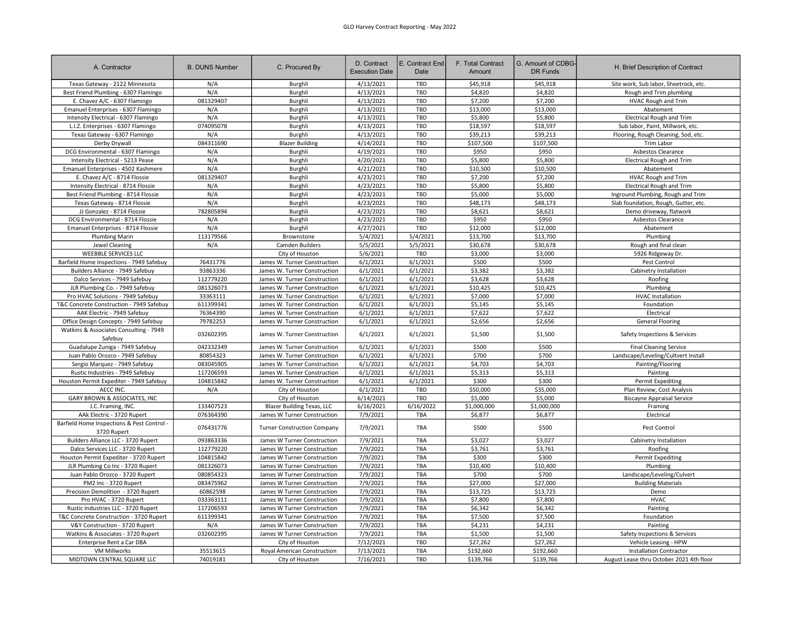| A. Contractor                                             | <b>B. DUNS Number</b> | C. Procured By                     | D. Contract<br><b>Execution Date</b> | E. Contract End<br>Date | F. Total Contract<br>Amount | G. Amount of CDBG<br>DR Funds | H. Brief Description of Contract         |
|-----------------------------------------------------------|-----------------------|------------------------------------|--------------------------------------|-------------------------|-----------------------------|-------------------------------|------------------------------------------|
| Texas Gateway - 2122 Minnesota                            | N/A                   | Burghli                            | 4/13/2021                            | <b>TBD</b>              | \$45,918                    | \$45,918                      | Site work, Sub labor, Sheetrock, etc.    |
| Best Friend Plumbing - 6307 Flamingo                      | N/A                   | Burghli                            | 4/13/2021                            | TBD                     | \$4,820                     | \$4,820                       | Rough and Trim plumbing                  |
| E. Chavez A/C - 6307 Flamingo                             | 081329407             | Burghli                            | 4/13/2021                            | <b>TBD</b>              | \$7,200                     | \$7,200                       | HVAC Rough and Trim                      |
| Emanuel Enterprises - 6307 Flamingo                       | N/A                   | Burghli                            | 4/13/2021                            | TBD                     | \$13,000                    | \$13,000                      | Abatement                                |
| Intensity Electrical - 6307 Flamingo                      | N/A                   | Burghli                            | 4/13/2021                            | TBD                     | \$5,800                     | \$5,800                       | <b>Electrical Rough and Trim</b>         |
| L.I.Z. Enterprises - 6307 Flamingo                        | 074095078             | Burghli                            | 4/13/2021                            | TBD                     | \$18,597                    | \$18,597                      | Sub labor, Paint, Millwork, etc.         |
| Texas Gateway - 6307 Flamingo                             | N/A                   | Burghli                            | 4/13/2021                            | TBD                     | \$39,213                    | \$39,213                      | Flooring, Rough Cleaning, Sod, etc.      |
| Derby Drywall                                             | 084311690             | <b>Blazer Building</b>             | 4/14/2021                            | TBD                     | \$107,500                   | \$107,500                     | Trim Labor                               |
| DCG Environmental - 6307 Flamingo                         | N/A                   | Burghli                            | 4/19/2021                            | <b>TBD</b>              | \$950                       | \$950                         | Asbestos Clearance                       |
| Intensity Electrical - 5213 Pease                         | N/A                   | Burghli                            | 4/20/2021                            | TBD                     | \$5,800                     | \$5,800                       | <b>Electrical Rough and Trim</b>         |
| Emanuel Enterprises - 4502 Kashmere                       | N/A                   | Burghli                            | 4/21/2021                            | TBD                     | \$10,500                    | \$10,500                      | Abatement                                |
| E. Chavez A/C - 8714 Flossie                              | 081329407             | Burghli                            | 4/23/2021                            | TBD                     | \$7,200                     | \$7,200                       | <b>HVAC Rough and Trim</b>               |
| Intensity Electrical - 8714 Flossie                       | N/A                   | Burghli                            | 4/23/2021                            | TBD                     | \$5,800                     | \$5,800                       | <b>Electrical Rough and Trim</b>         |
| Best Friend Plumbing - 8714 Flossie                       | N/A                   | Burghli                            | 4/23/2021                            | TBD                     | \$5,000                     | \$5,000                       | Inground Plumbing, Rough and Trim        |
| Texas Gateway - 8714 Flossie                              | N/A                   | Burghli                            | 4/23/2021                            | TBD                     | \$48,173                    | \$48,173                      | Slab foundation, Rough, Gutter, etc.     |
| JJ Gonzalez - 8714 Flossie                                | 782805894             | Burghli                            | 4/23/2021                            | TBD                     | \$8,621                     | \$8,621                       | Demo driveway, flatwork                  |
| DCG Environmental - 8714 Flossie                          | N/A                   | Burghli                            | 4/23/2021                            | TBD                     | \$950                       | \$950                         | Asbestos Clearance                       |
| Emanuel Enterprises - 8714 Flossie                        | N/A                   | Burghli                            | 4/27/2021                            | TBD                     | \$12,000                    | \$12,000                      | Abatement                                |
| <b>Plumbing Marin</b>                                     | 113179566             | Brownstone                         | 5/4/2021                             | 5/4/2021                | \$13,700                    | \$13,700                      | Plumbing                                 |
| Jewel Cleaning                                            | N/A                   | Camden Builders                    | 5/5/2021                             | 5/5/2021                | \$30,678                    | \$30,678                      | Rough and final clean                    |
| WEEBBLE SERVICES LLC                                      |                       | City of Houston                    | 5/6/2021                             | TBD                     | \$3,000                     | \$3,000                       | 5926 Ridgeway Dr.                        |
| Barfield Home Inspections - 7949 Safebuy                  | 76431776              | James W. Turner Construction       | 6/1/2021                             | 6/1/2021                | \$500                       | \$500                         | Pest Control                             |
| Builders Alliance - 7949 Safebuy                          | 93863336              | James W. Turner Construction       | 6/1/2021                             | 6/1/2021                | \$3,382                     | \$3,382                       | Cabinetry Installation                   |
| Dalco Services - 7949 Safebuy                             | 112779220             | James W. Turner Construction       | 6/1/2021                             | 6/1/2021                | \$3,628                     | \$3,628                       | Roofing                                  |
| JLR Plumbing Co. - 7949 Safebuy                           | 081326073             | James W. Turner Construction       | 6/1/2021                             | 6/1/2021                | \$10,425                    | \$10,425                      | Plumbing                                 |
| Pro HVAC Solutions - 7949 Safebuy                         | 33363111              | James W. Turner Construction       | 6/1/2021                             | 6/1/2021                | \$7,000                     | \$7,000                       | <b>HVAC Installation</b>                 |
| T&C Concrete Construction - 7949 Safebuy                  | 611399341             | James W. Turner Construction       | 6/1/2021                             | 6/1/2021                | \$5,145                     | \$5,145                       | Foundation                               |
| AAK Electric - 7949 Safebuy                               | 76364390              | James W. Turner Construction       | 6/1/2021                             | 6/1/2021                | \$7,622                     | \$7,622                       | Electrical                               |
| Office Design Concepts - 7949 Safebuy                     | 79782253              | James W. Turner Construction       | 6/1/2021                             | 6/1/2021                | \$2,656                     | \$2,656                       | <b>General Flooring</b>                  |
| Watkins & Associates Consulting - 7949<br>Safebuy         | 032602395             | James W. Turner Construction       | 6/1/2021                             | 6/1/2021                | \$1,500                     | \$1,500                       | Safety Inspections & Services            |
| Guadalupe Zuniga - 7949 Safebuy                           | 042332349             | James W. Turner Construction       | 6/1/2021                             | 6/1/2021                | \$500                       | \$500                         | <b>Final Cleaning Service</b>            |
| Juan Pablo Orozco - 7949 Safebuy                          | 80854323              | James W. Turner Construction       | 6/1/2021                             | 6/1/2021                | \$700                       | \$700                         | Landscape/Leveling/Cultvert Install      |
| Sergio Marquez - 7949 Safebuy                             | 083045905             | James W. Turner Construction       | 6/1/2021                             | 6/1/2021                | \$4,703                     | \$4,703                       | Painting/Flooring                        |
| Rustic Industries - 7949 Safebuy                          | 117206593             | James W. Turner Construction       | 6/1/2021                             | 6/1/2021                | \$5,313                     | \$5,313                       | Painting                                 |
| Houston Permit Expediter - 7949 Safebuy                   | 104815842             | James W. Turner Construction       | 6/1/2021                             | 6/1/2021                | \$300                       | \$300                         | <b>Permit Expediting</b>                 |
| AECC INC.                                                 | N/A                   | City of Houston                    | 6/1/2021                             | TBD                     | \$50,000                    | \$35,000                      | Plan Review, Cost Analysis               |
| GARY BROWN & ASSOCIATES, INC                              |                       | City of Houston                    | 6/14/2021                            | TBD                     | \$5,000                     | \$5,000                       | <b>Biscayne Appraisal Service</b>        |
| J.C. Framing, INC.                                        | 133407523             | <b>Blazer Building Texas, LLC</b>  | 6/16/2021                            | 6/16/2022               | \$1,000,000                 | \$1,000,000                   | Framing                                  |
| AAk Electric - 3720 Rupert                                | 076364390             | James W Turner Construction        | 7/9/2021                             | TBA                     | \$6,877                     | \$6,877                       | Electrical                               |
| Barfield Home Inspections & Pest Control -<br>3720 Rupert | 076431776             | <b>Turner Construction Company</b> | 7/9/2021                             | TBA                     | \$500                       | \$500                         | Pest Control                             |
| Builders Alliance LLC - 3720 Rupert                       | 093863336             | James W Turner Construction        | 7/9/2021                             | TBA                     | \$3,027                     | \$3,027                       | Cabinetry Installation                   |
| Dalco Services LLC - 3720 Rupert                          | 112779220             | James W Turner Construction        | 7/9/2021                             | TBA                     | \$3,761                     | \$3,761                       | Roofing                                  |
| Houston Permit Expediter - 3720 Rupert                    | 104815842             | James W Turner Construction        | 7/9/2021                             | TBA                     | \$300                       | \$300                         | <b>Permit Expediting</b>                 |
| JLR Plumbing Co Inc - 3720 Rupert                         | 081326073             | James W Turner Construction        | 7/9/2021                             | TBA                     | \$10,400                    | \$10,400                      | Plumbing                                 |
| Juan Pablo Orozco - 3720 Rupert                           | 080854323             | James W Turner Construction        | 7/9/2021                             | TBA                     | \$700                       | \$700                         | Landscape/Leveling/Culvert               |
| PM2 Inc - 3720 Rupert                                     | 083475962             | James W Turner Construction        | 7/9/2021                             | TBA                     | \$27,000                    | \$27,000                      | <b>Building Materials</b>                |
| Precision Demolition - 3720 Rupert                        | 60862598              | James W Turner Construction        | 7/9/2021                             | TBA                     | \$13,725                    | \$13,725                      | Demo                                     |
| Pro HVAC - 3720 Rupert                                    | 033363111             | James W Turner Construction        | 7/9/2021                             | TBA                     | \$7,800                     | \$7,800                       | <b>HVAC</b>                              |
| Rustic Industries LLC - 3720 Rupert                       | 117206593             | James W Turner Construction        | 7/9/2021                             | TBA                     | \$6,342                     | \$6,342                       | Painting                                 |
| T&C Concrete Construction - 3720 Rupert                   | 611399341             | James W Turner Construction        | 7/9/2021                             | TBA                     | \$7,500                     | \$7,500                       | Foundation                               |
| V&Y Construction - 3720 Rupert                            | N/A                   | James W Turner Construction        | 7/9/2021                             | TBA                     | \$4,231                     | \$4,231                       | Painting                                 |
| Watkins & Associates - 3720 Rupert                        | 032602395             | James W Turner Construction        | 7/9/2021                             | TBA                     | \$1,500                     | \$1,500                       | Safety Inspections & Services            |
| Enterprise Rent a Car DBA                                 |                       | City of Houston                    | 7/12/2021                            | TBD                     | \$27,262                    | \$27,262                      | Vehicle Leasing - HPW                    |
| <b>VM Millworks</b>                                       | 35513615              | Royal American Construction        | 7/13/2021                            | <b>TBA</b>              | \$192,660                   | \$192,660                     | <b>Installation Contractor</b>           |
| MIDTOWN CENTRAL SQUARE LLC                                | 74019181              | City of Houston                    | 7/16/2021                            | TBD                     | \$139,766                   | \$139,766                     | August Lease thru October 2021 4th floor |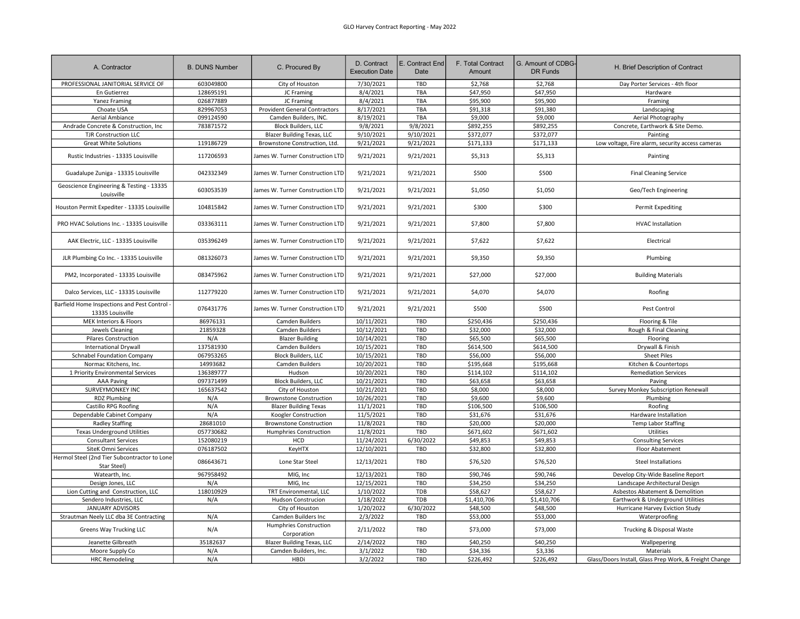| A. Contractor                                                  | <b>B. DUNS Number</b> | C. Procured By                        | D. Contract<br><b>Execution Date</b> | E. Contract End<br>Date | F. Total Contract<br>Amount | G. Amount of CDBG-<br><b>DR Funds</b> | H. Brief Description of Contract                       |
|----------------------------------------------------------------|-----------------------|---------------------------------------|--------------------------------------|-------------------------|-----------------------------|---------------------------------------|--------------------------------------------------------|
| PROFESSIONAL JANITORIAL SERVICE OF                             | 603049800             | City of Houston                       | 7/30/2021                            | TBD                     | \$2,768                     | \$2,768                               | Day Porter Services - 4th floor                        |
| En Gutierrez                                                   | 128695191             | JC Framing                            | 8/4/2021                             | TBA                     | \$47,950                    | \$47,950                              | Hardware                                               |
| <b>Yanez Framing</b>                                           | 026877889             | JC Framing                            | 8/4/2021                             | TBA                     | \$95,900                    | \$95,900                              | Framing                                                |
| Choate USA                                                     | 829967053             | <b>Provident General Contractors</b>  | 8/17/2021                            | TBA                     | \$91,318                    | \$91,380                              | Landscaping                                            |
| Aerial Ambiance                                                | 099124590             | Camden Builders, INC.                 | 8/19/2021                            | TBA                     | \$9,000                     | \$9,000                               | Aerial Photography                                     |
| Andrade Concrete & Construction, Inc                           | 783871572             | <b>Block Builders, LLC</b>            | 9/8/2021                             | 9/8/2021                | \$892,255                   | \$892,255                             | Concrete, Earthwork & Site Demo.                       |
| <b>TJR Construction LLC</b>                                    |                       | <b>Blazer Building Texas, LLC</b>     | 9/10/2021                            | 9/10/2021               | \$372,077                   | \$372,077                             | Painting                                               |
| <b>Great White Solutions</b>                                   | 119186729             | Brownstone Construction, Ltd.         | 9/21/2021                            | 9/21/2021               | \$171,133                   | \$171,133                             | Low voltage, Fire alarm, security access cameras       |
|                                                                |                       |                                       |                                      |                         |                             |                                       |                                                        |
| Rustic Industries - 13335 Louisville                           | 117206593             | James W. Turner Construction LTD      | 9/21/2021                            | 9/21/2021               | \$5,313                     | \$5,313                               | Painting                                               |
| Guadalupe Zuniga - 13335 Louisville                            | 042332349             | James W. Turner Construction LTD      | 9/21/2021                            | 9/21/2021               | \$500                       | \$500                                 | <b>Final Cleaning Service</b>                          |
| Geoscience Engineering & Testing - 13335<br>Louisville         | 603053539             | James W. Turner Construction LTD      | 9/21/2021                            | 9/21/2021               | \$1,050                     | \$1,050                               | Geo/Tech Engineering                                   |
| Houston Permit Expediter - 13335 Louisville                    | 104815842             | James W. Turner Construction LTD      | 9/21/2021                            | 9/21/2021               | \$300                       | \$300                                 | Permit Expediting                                      |
| PRO HVAC Solutions Inc. - 13335 Louisville                     | 033363111             | James W. Turner Construction LTD      | 9/21/2021                            | 9/21/2021               | \$7,800                     | \$7,800                               | <b>HVAC Installation</b>                               |
| AAK Electric, LLC - 13335 Louisville                           | 035396249             | James W. Turner Construction LTD      | 9/21/2021                            | 9/21/2021               | \$7,622                     | \$7,622                               | Electrical                                             |
| JLR Plumbing Co Inc. - 13335 Louisville                        | 081326073             | James W. Turner Construction LTD      | 9/21/2021                            | 9/21/2021               | \$9,350                     | \$9,350                               | Plumbing                                               |
| PM2, Incorporated - 13335 Louisville                           | 083475962             | James W. Turner Construction LTD      | 9/21/2021                            | 9/21/2021               | \$27,000                    | \$27,000                              | <b>Building Materials</b>                              |
| Dalco Services, LLC - 13335 Louisville                         | 112779220             | James W. Turner Construction LTD      | 9/21/2021                            | 9/21/2021               | \$4,070                     | \$4,070                               | Roofing                                                |
| Barfield Home Inspections and Pest Control<br>13335 Louisville | 076431776             | James W. Turner Construction LTD      | 9/21/2021                            | 9/21/2021               | \$500                       | \$500                                 | Pest Control                                           |
| MEK Interiors & Floors                                         | 86976131              | Camden Builders                       | 10/11/2021                           | TBD                     | \$250,436                   | \$250,436                             | Flooring & Tile                                        |
| Jewels Cleaning                                                | 21859328              | Camden Builders                       | 10/12/2021                           | TBD                     | \$32,000                    | \$32,000                              | Rough & Final Cleaning                                 |
| <b>Pilares Construction</b>                                    | N/A                   | <b>Blazer Building</b>                | 10/14/2021                           | TBD                     | \$65,500                    | \$65,500                              | Flooring                                               |
| <b>International Drywall</b>                                   | 137581930             | Camden Builders                       | 10/15/2021                           | <b>TBD</b>              | \$614,500                   | \$614,500                             | Drywall & Finish                                       |
| <b>Schnabel Foundation Company</b>                             | 067953265             | <b>Block Builders, LLC</b>            | 10/15/2021                           | TBD                     | \$56,000                    | \$56,000                              | <b>Sheet Piles</b>                                     |
| Normac Kitchens, Inc.                                          | 14993682              | Camden Builders                       | 10/20/2021                           | <b>TBD</b>              | \$195,668                   | \$195,668                             | Kitchen & Countertops                                  |
| 1 Priority Environmental Services                              | 136389777             | Hudson                                | 10/20/2021                           | TBD                     | \$114,102                   | \$114,102                             | <b>Remediation Services</b>                            |
| <b>AAA Paving</b>                                              | 097371499             | <b>Block Builders, LLC</b>            | 10/21/2021                           | TBD                     | \$63,658                    | \$63,658                              | Paving                                                 |
| SURVEYMONKEY INC                                               | 165637542             | City of Houston                       | 10/21/2021                           | TBD                     | \$8,000                     | \$8,000                               | Survey Monkey Subscription Renewall                    |
| <b>RDZ Plumbing</b>                                            | N/A                   | <b>Brownstone Construction</b>        | 10/26/2021                           | TBD                     | \$9,600                     | \$9,600                               | Plumbing                                               |
| Castillo RPG Roofing                                           | N/A                   | <b>Blazer Building Texas</b>          | 11/1/2021                            | TBD                     | \$106,500                   | \$106,500                             | Roofing                                                |
| Dependable Cabinet Company                                     | N/A                   | Koogler Construction                  | 11/5/2021                            | TBD                     | \$31,676                    | \$31,676                              | Hardware Installation                                  |
| <b>Radley Staffing</b>                                         | 28681010              | <b>Brownstone Construction</b>        | 11/8/2021                            | TBD                     | \$20,000                    | \$20,000                              | <b>Temp Labor Staffing</b>                             |
| <b>Texas Underground Utilities</b>                             | 057730682             | Humphries Construction                | 11/8/2021                            | TBD                     | \$671,602                   | \$671,602                             | Utilities                                              |
|                                                                |                       | HCD                                   | 11/24/2021                           | 6/30/2022               |                             |                                       |                                                        |
| <b>Consultant Services</b>                                     | 152080219             |                                       |                                      |                         | \$49,853                    | \$49,853                              | <b>Consulting Services</b>                             |
| SiteK Omni Services                                            | 076187502             | KeyHTX                                | 12/10/2021                           | TBD                     | \$32,800                    | \$32,800                              | Floor Abatement                                        |
| Hermol Steel (2nd Tier Subcontractor to Lone<br>Star Steel)    | 086643671             | Lone Star Steel                       | 12/13/2021                           | TBD                     | \$76,520                    | \$76,520                              | <b>Steel Installations</b>                             |
| Watearth, Inc.                                                 | 967958492             | MIG, Inc                              | 12/13/2021                           | TBD                     | \$90,746                    | \$90,746                              | Develop City-Wide Baseline Report                      |
| Design Jones, LLC                                              | N/A                   | MIG, Inc                              | 12/15/2021                           | TBD                     | \$34,250                    | \$34,250                              | Landscape Architectural Design                         |
| Lion Cutting and Construction, LLC                             | 118010929             | TRT Environmental, LLC                | 1/10/2022                            | TDB                     | \$58,627                    | \$58,627                              | Asbestos Abatement & Demolition                        |
| Sendero Industries, LLC                                        | N/A                   | Hudson Construcion                    | 1/18/2022                            | TDB                     | \$1,410,706                 | \$1,410,706                           | Earthwork & Underground Utilities                      |
| JANUARY ADVISORS                                               |                       | City of Houston                       | 1/20/2022                            | 6/30/2022               | \$48,500                    | \$48,500                              | Hurricane Harvey Eviction Study                        |
| Strautman Neely LLC dba 3E Contracting                         | N/A                   | Camden Builders Inc                   | 2/3/2022                             | TBD                     | \$53,000                    | \$53,000                              | Waterproofing                                          |
| Greens Way Trucking LLC                                        | N/A                   | Humphries Construction<br>Corporation | 2/11/2022                            | TBD                     | \$73,000                    | \$73,000                              | Trucking & Disposal Waste                              |
| Jeanette Gilbreath                                             | 35182637              | <b>Blazer Building Texas, LLC</b>     | 2/14/2022                            | TBD                     | \$40,250                    | \$40,250                              | Wallpepering                                           |
| Moore Supply Co                                                | N/A                   | Camden Builders, Inc.                 | 3/1/2022                             | TBD                     | \$34,336                    | \$3,336                               | Materials                                              |
| <b>HRC Remodeling</b>                                          | N/A                   | <b>HBDi</b>                           | 3/2/2022                             | TBD                     | \$226,492                   | \$226,492                             | Glass/Doors Install, Glass Prep Work, & Freight Change |